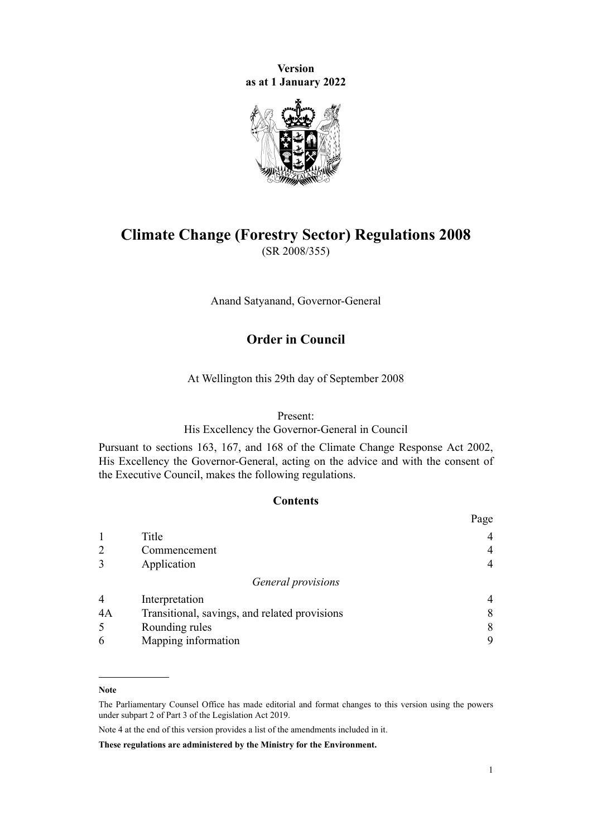**Version as at 1 January 2022**



# **Climate Change (Forestry Sector) Regulations 2008** (SR 2008/355)

Anand Satyanand, Governor-General

# **Order in Council**

At Wellington this 29th day of September 2008

#### Present:

His Excellency the Governor-General in Council

Pursuant to [sections 163](http://legislation.govt.nz/pdflink.aspx?id=DLM1662740), [167,](http://legislation.govt.nz/pdflink.aspx?id=DLM1662744) and [168](http://legislation.govt.nz/pdflink.aspx?id=DLM1662745) of the [Climate Change Response Act 2002](http://legislation.govt.nz/pdflink.aspx?id=DLM158583), His Excellency the Governor-General, acting on the advice and with the consent of the Executive Council, makes the following regulations.

# **Contents**

|                |                                               | Page |
|----------------|-----------------------------------------------|------|
|                | Title                                         |      |
| $\overline{2}$ | Commencement                                  |      |
| 3              | Application                                   |      |
|                | General provisions                            |      |
| $\overline{4}$ | Interpretation                                |      |
| 4A             | Transitional, savings, and related provisions | 8    |
| 5              | Rounding rules                                | 8    |
| 6              | Mapping information                           | 9    |

#### **Note**

Note 4 at the end of this version provides a list of the amendments included in it.

**These regulations are administered by the Ministry for the Environment.**

The Parliamentary Counsel Office has made editorial and format changes to this version using the powers under [subpart 2](http://legislation.govt.nz/pdflink.aspx?id=DLM7298371) of Part 3 of the Legislation Act 2019.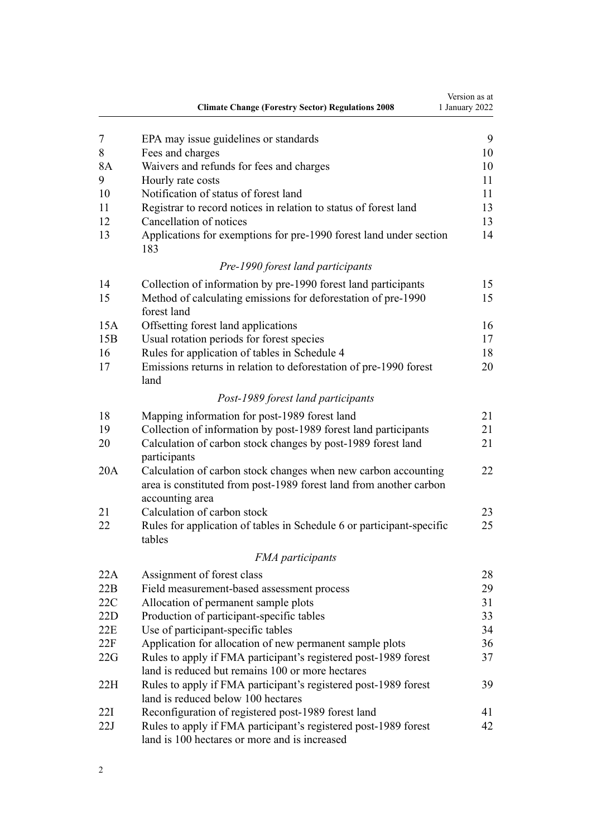|     | <b>Climate Change (Forestry Sector) Regulations 2008</b>                                                                                                | Version as at<br>1 January 2022 |
|-----|---------------------------------------------------------------------------------------------------------------------------------------------------------|---------------------------------|
| 7   | EPA may issue guidelines or standards                                                                                                                   | 9                               |
| 8   | Fees and charges                                                                                                                                        | 10                              |
| 8A  | Waivers and refunds for fees and charges                                                                                                                | 10                              |
| 9   | Hourly rate costs                                                                                                                                       | 11                              |
| 10  | Notification of status of forest land                                                                                                                   | 11                              |
| 11  | Registrar to record notices in relation to status of forest land                                                                                        | 13                              |
| 12  | Cancellation of notices                                                                                                                                 | 13                              |
| 13  | Applications for exemptions for pre-1990 forest land under section<br>183                                                                               | 14                              |
|     | Pre-1990 forest land participants                                                                                                                       |                                 |
| 14  | Collection of information by pre-1990 forest land participants                                                                                          | 15                              |
| 15  | Method of calculating emissions for deforestation of pre-1990<br>forest land                                                                            | 15                              |
| 15A | Offsetting forest land applications                                                                                                                     | 16                              |
| 15B | Usual rotation periods for forest species                                                                                                               | 17                              |
| 16  | Rules for application of tables in Schedule 4                                                                                                           | 18                              |
| 17  | Emissions returns in relation to deforestation of pre-1990 forest<br>land                                                                               | 20                              |
|     | Post-1989 forest land participants                                                                                                                      |                                 |
| 18  | Mapping information for post-1989 forest land                                                                                                           | 21                              |
| 19  | Collection of information by post-1989 forest land participants                                                                                         | 21                              |
| 20  | Calculation of carbon stock changes by post-1989 forest land<br>participants                                                                            | 21                              |
| 20A | Calculation of carbon stock changes when new carbon accounting<br>area is constituted from post-1989 forest land from another carbon<br>accounting area | 22                              |
| 21  | Calculation of carbon stock                                                                                                                             | 23                              |
| 22  | Rules for application of tables in Schedule 6 or participant-specific<br>tables                                                                         | 25                              |
|     | <b>FMA</b> participants                                                                                                                                 |                                 |
| 22A | Assignment of forest class                                                                                                                              | 28                              |
| 22B | Field measurement-based assessment process                                                                                                              | 29                              |
| 22C | Allocation of permanent sample plots                                                                                                                    | 31                              |
| 22D | Production of participant-specific tables                                                                                                               | 33                              |
| 22E | Use of participant-specific tables                                                                                                                      | 34                              |
| 22F | Application for allocation of new permanent sample plots                                                                                                | 36                              |
| 22G | Rules to apply if FMA participant's registered post-1989 forest<br>land is reduced but remains 100 or more hectares                                     | 37                              |
| 22H | Rules to apply if FMA participant's registered post-1989 forest<br>land is reduced below 100 hectares                                                   | 39                              |
| 22I | Reconfiguration of registered post-1989 forest land                                                                                                     | 41                              |
| 22J | Rules to apply if FMA participant's registered post-1989 forest<br>land is 100 hectares or more and is increased                                        | 42                              |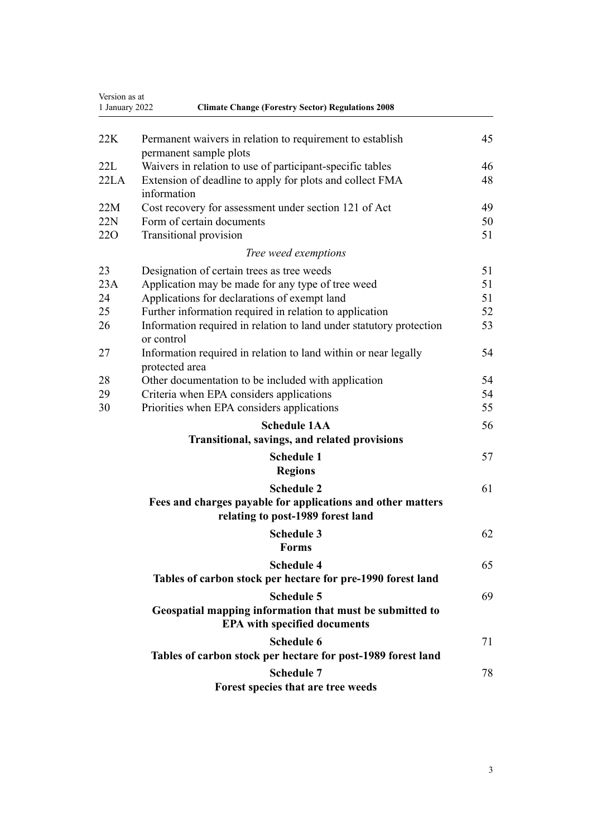| Version as at<br><b>Climate Change (Forestry Sector) Regulations 2008</b><br>1 January 2022 |                                                                                                  |    |
|---------------------------------------------------------------------------------------------|--------------------------------------------------------------------------------------------------|----|
| 22K                                                                                         | Permanent waivers in relation to requirement to establish                                        | 45 |
|                                                                                             | permanent sample plots                                                                           |    |
| 22L                                                                                         | Waivers in relation to use of participant-specific tables                                        | 46 |
| 22LA                                                                                        | Extension of deadline to apply for plots and collect FMA<br>information                          | 48 |
| 22M                                                                                         | Cost recovery for assessment under section 121 of Act                                            |    |
| 22N                                                                                         | Form of certain documents                                                                        | 50 |
| 22O                                                                                         | Transitional provision                                                                           | 51 |
|                                                                                             | Tree weed exemptions                                                                             |    |
| 23                                                                                          | Designation of certain trees as tree weeds                                                       | 51 |
| 23A                                                                                         | Application may be made for any type of tree weed                                                | 51 |
| 24                                                                                          | Applications for declarations of exempt land                                                     | 51 |
| 25                                                                                          | Further information required in relation to application                                          | 52 |
| 26                                                                                          | Information required in relation to land under statutory protection<br>or control                | 53 |
| 27                                                                                          | Information required in relation to land within or near legally<br>protected area                | 54 |
| 28                                                                                          | Other documentation to be included with application                                              | 54 |
| 29                                                                                          | Criteria when EPA considers applications                                                         | 54 |
| 30                                                                                          | Priorities when EPA considers applications                                                       | 55 |
|                                                                                             | <b>Schedule 1AA</b>                                                                              | 56 |
|                                                                                             | Transitional, savings, and related provisions                                                    |    |
|                                                                                             | <b>Schedule 1</b>                                                                                | 57 |
|                                                                                             | <b>Regions</b>                                                                                   |    |
|                                                                                             | <b>Schedule 2</b>                                                                                | 61 |
|                                                                                             | Fees and charges payable for applications and other matters<br>relating to post-1989 forest land |    |
|                                                                                             | Schedule 3<br><b>Forms</b>                                                                       | 62 |
|                                                                                             | <b>Schedule 4</b>                                                                                | 65 |
|                                                                                             | Tables of carbon stock per hectare for pre-1990 forest land                                      |    |
|                                                                                             | <b>Schedule 5</b>                                                                                | 69 |
|                                                                                             | Geospatial mapping information that must be submitted to<br><b>EPA with specified documents</b>  |    |
|                                                                                             | <b>Schedule 6</b>                                                                                | 71 |
|                                                                                             | Tables of carbon stock per hectare for post-1989 forest land                                     |    |
|                                                                                             | <b>Schedule 7</b>                                                                                | 78 |
|                                                                                             | Forest species that are tree weeds                                                               |    |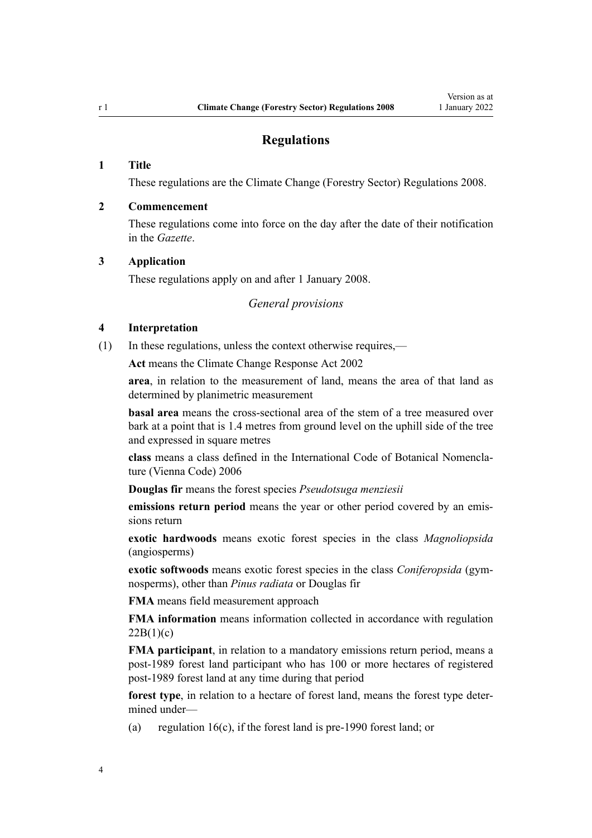# **Regulations**

# <span id="page-3-0"></span>**1 Title**

These regulations are the Climate Change (Forestry Sector) Regulations 2008.

### **2 Commencement**

These regulations come into force on the day after the date of their notification in the *Gazette*.

## **3 Application**

These regulations apply on and after 1 January 2008.

*General provisions*

# **4 Interpretation**

(1) In these regulations, unless the context otherwise requires,—

**Act** means the [Climate Change Response Act 2002](http://legislation.govt.nz/pdflink.aspx?id=DLM158583)

**area**, in relation to the measurement of land, means the area of that land as determined by planimetric measurement

**basal area** means the cross-sectional area of the stem of a tree measured over bark at a point that is 1.4 metres from ground level on the uphill side of the tree and expressed in square metres

**class** means a class defined in the International Code of Botanical Nomencla‐ ture (Vienna Code) 2006

**Douglas fir** means the forest species *Pseudotsuga menziesii*

**emissions return period** means the year or other period covered by an emis‐ sions return

**exotic hardwoods** means exotic forest species in the class *Magnoliopsida* (angiosperms)

**exotic softwoods** means exotic forest species in the class *Coniferopsida* (gym‐ nosperms), other than *Pinus radiata* or Douglas fir

**FMA** means field measurement approach

**FMA information** means information collected in accordance with [regulation](#page-28-0)  $22B(1)(c)$ 

**FMA participant**, in relation to a mandatory emissions return period, means a post-1989 forest land participant who has 100 or more hectares of registered post-1989 forest land at any time during that period

forest type, in relation to a hectare of forest land, means the forest type determined under—

(a) regulation  $16(c)$ , if the forest land is pre-1990 forest land; or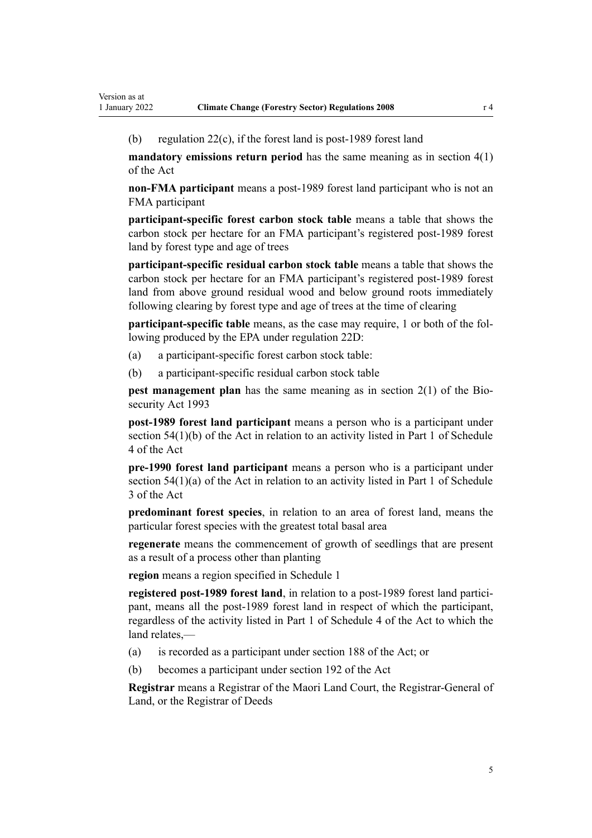(b) [regulation 22\(c\),](#page-24-0) if the forest land is post-1989 forest land

**mandatory emissions return period** has the same meaning as in [section 4\(1\)](http://legislation.govt.nz/pdflink.aspx?id=DLM158592) of the Act

**non-FMA participant** means a post-1989 forest land participant who is not an FMA participant

**participant-specific forest carbon stock table** means a table that shows the carbon stock per hectare for an FMA participant's registered post-1989 forest land by forest type and age of trees

**participant-specific residual carbon stock table** means a table that shows the carbon stock per hectare for an FMA participant's registered post-1989 forest land from above ground residual wood and below ground roots immediately following clearing by forest type and age of trees at the time of clearing

**participant-specific table** means, as the case may require, 1 or both of the following produced by the EPA under [regulation 22D:](#page-32-0)

- (a) a participant-specific forest carbon stock table:
- (b) a participant-specific residual carbon stock table

**pest management plan** has the same meaning as in [section 2\(1\)](http://legislation.govt.nz/pdflink.aspx?id=DLM314629) of the Biosecurity Act 1993

**post-1989 forest land participant** means a person who is a participant under [section 54\(1\)\(b\)](http://legislation.govt.nz/pdflink.aspx?id=DLM1662483) of the Act in relation to an activity listed in [Part 1](http://legislation.govt.nz/pdflink.aspx?id=DLM1662865) of Schedule 4 of the Act

**pre-1990 forest land participant** means a person who is a participant under [section 54\(1\)\(a\)](http://legislation.govt.nz/pdflink.aspx?id=DLM1662483) of the Act in relation to an activity listed in [Part 1](http://legislation.govt.nz/pdflink.aspx?id=DLM1662842) of Schedule 3 of the Act

**predominant forest species**, in relation to an area of forest land, means the particular forest species with the greatest total basal area

**regenerate** means the commencement of growth of seedlings that are present as a result of a process other than planting

**region** means a region specified in [Schedule 1](#page-56-0)

**registered post-1989 forest land**, in relation to a post-1989 forest land participant, means all the post-1989 forest land in respect of which the participant, regardless of the activity listed in [Part 1](http://legislation.govt.nz/pdflink.aspx?id=DLM1662865) of Schedule 4 of the Act to which the land relates,—

- (a) is recorded as a participant under [section 188](http://legislation.govt.nz/pdflink.aspx?id=DLM1662781) of the Act; or
- (b) becomes a participant under [section 192](http://legislation.govt.nz/pdflink.aspx?id=DLM1662791) of the Act

**Registrar** means a Registrar of the Maori Land Court, the Registrar-General of Land, or the Registrar of Deeds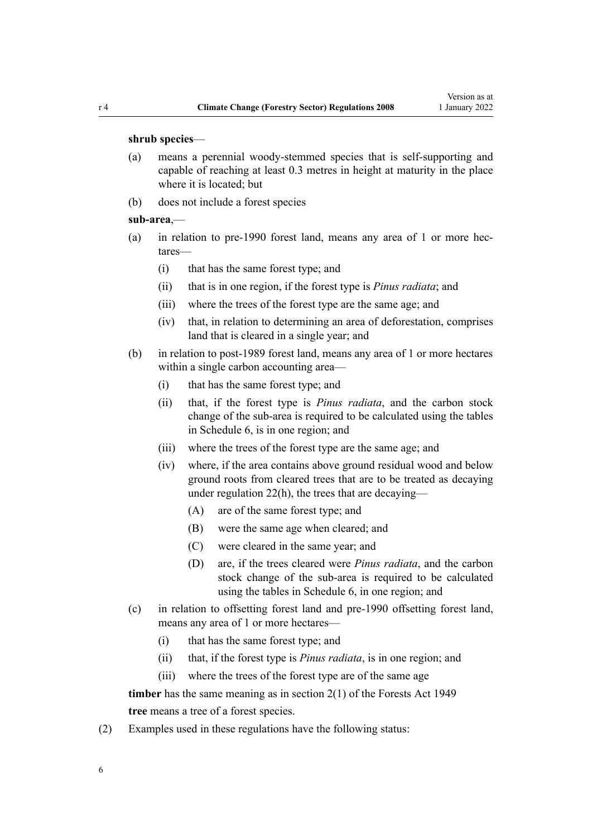#### **shrub species**—

- (a) means a perennial woody-stemmed species that is self-supporting and capable of reaching at least 0.3 metres in height at maturity in the place where it is located; but
- (b) does not include a forest species

#### **sub-area**,—

- (a) in relation to pre-1990 forest land, means any area of 1 or more hec‐ tares—
	- (i) that has the same forest type; and
	- (ii) that is in one region, if the forest type is *Pinus radiata*; and
	- (iii) where the trees of the forest type are the same age; and
	- (iv) that, in relation to determining an area of deforestation, comprises land that is cleared in a single year; and
- (b) in relation to post-1989 forest land, means any area of 1 or more hectares within a single carbon accounting area—
	- (i) that has the same forest type; and
	- (ii) that, if the forest type is *Pinus radiata*, and the carbon stock change of the sub-area is required to be calculated using the tables in [Schedule 6,](#page-70-0) is in one region; and
	- (iii) where the trees of the forest type are the same age; and
	- (iv) where, if the area contains above ground residual wood and below ground roots from cleared trees that are to be treated as decaying under [regulation 22\(h\),](#page-24-0) the trees that are decaying—
		- (A) are of the same forest type; and
		- (B) were the same age when cleared; and
		- (C) were cleared in the same year; and
		- (D) are, if the trees cleared were *Pinus radiata*, and the carbon stock change of the sub-area is required to be calculated using the tables in [Schedule 6](#page-70-0), in one region; and
- (c) in relation to offsetting forest land and pre-1990 offsetting forest land, means any area of 1 or more hectares—
	- (i) that has the same forest type; and
	- (ii) that, if the forest type is *Pinus radiata*, is in one region; and
	- (iii) where the trees of the forest type are of the same age

**timber** has the same meaning as in [section 2\(1\)](http://legislation.govt.nz/pdflink.aspx?id=DLM255632) of the Forests Act 1949 **tree** means a tree of a forest species.

(2) Examples used in these regulations have the following status: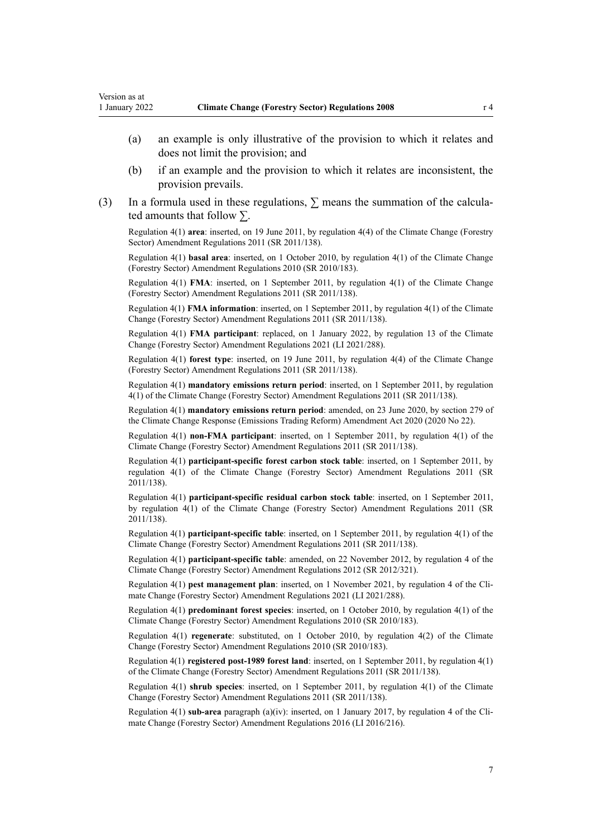- (a) an example is only illustrative of the provision to which it relates and does not limit the provision; and
- (b) if an example and the provision to which it relates are inconsistent, the provision prevails.
- (3) In a formula used in these regulations,  $\Sigma$  means the summation of the calculated amounts that follow  $\Sigma$ .

Regulation 4(1) **area**: inserted, on 19 June 2011, by [regulation 4\(4\)](http://legislation.govt.nz/pdflink.aspx?id=DLM3733304) of the Climate Change (Forestry Sector) Amendment Regulations 2011 (SR 2011/138).

Regulation 4(1) **basal area**: inserted, on 1 October 2010, by [regulation 4\(1\)](http://legislation.govt.nz/pdflink.aspx?id=DLM3048745) of the Climate Change (Forestry Sector) Amendment Regulations 2010 (SR 2010/183).

Regulation 4(1) **FMA**: inserted, on 1 September 2011, by [regulation 4\(1\)](http://legislation.govt.nz/pdflink.aspx?id=DLM3733304) of the Climate Change (Forestry Sector) Amendment Regulations 2011 (SR 2011/138).

Regulation 4(1) **FMA information**: inserted, on 1 September 2011, by [regulation 4\(1\)](http://legislation.govt.nz/pdflink.aspx?id=DLM3733304) of the Climate Change (Forestry Sector) Amendment Regulations 2011 (SR 2011/138).

Regulation 4(1) **FMA participant**: replaced, on 1 January 2022, by [regulation 13](http://legislation.govt.nz/pdflink.aspx?id=LMS539394) of the Climate Change (Forestry Sector) Amendment Regulations 2021 (LI 2021/288).

Regulation 4(1) **forest type**: inserted, on 19 June 2011, by [regulation 4\(4\)](http://legislation.govt.nz/pdflink.aspx?id=DLM3733304) of the Climate Change (Forestry Sector) Amendment Regulations 2011 (SR 2011/138).

Regulation 4(1) **mandatory emissions return period**: inserted, on 1 September 2011, by [regulation](http://legislation.govt.nz/pdflink.aspx?id=DLM3733304) [4\(1\)](http://legislation.govt.nz/pdflink.aspx?id=DLM3733304) of the Climate Change (Forestry Sector) Amendment Regulations 2011 (SR 2011/138).

Regulation 4(1) **mandatory emissions return period**: amended, on 23 June 2020, by [section 279](http://legislation.govt.nz/pdflink.aspx?id=LMS146262) of the Climate Change Response (Emissions Trading Reform) Amendment Act 2020 (2020 No 22).

Regulation 4(1) **non-FMA participant**: inserted, on 1 September 2011, by [regulation 4\(1\)](http://legislation.govt.nz/pdflink.aspx?id=DLM3733304) of the Climate Change (Forestry Sector) Amendment Regulations 2011 (SR 2011/138).

Regulation 4(1) **participant-specific forest carbon stock table**: inserted, on 1 September 2011, by [regulation 4\(1\)](http://legislation.govt.nz/pdflink.aspx?id=DLM3733304) of the Climate Change (Forestry Sector) Amendment Regulations 2011 (SR 2011/138).

Regulation 4(1) **participant-specific residual carbon stock table**: inserted, on 1 September 2011, by [regulation 4\(1\)](http://legislation.govt.nz/pdflink.aspx?id=DLM3733304) of the Climate Change (Forestry Sector) Amendment Regulations 2011 (SR 2011/138).

Regulation 4(1) **participant-specific table**: inserted, on 1 September 2011, by [regulation 4\(1\)](http://legislation.govt.nz/pdflink.aspx?id=DLM3733304) of the Climate Change (Forestry Sector) Amendment Regulations 2011 (SR 2011/138).

Regulation 4(1) **participant-specific table**: amended, on 22 November 2012, by [regulation 4](http://legislation.govt.nz/pdflink.aspx?id=DLM4807907) of the Climate Change (Forestry Sector) Amendment Regulations 2012 (SR 2012/321).

Regulation 4(1) **pest management plan**: inserted, on 1 November 2021, by [regulation 4](http://legislation.govt.nz/pdflink.aspx?id=LMS539360) of the Climate Change (Forestry Sector) Amendment Regulations 2021 (LI 2021/288).

Regulation 4(1) **predominant forest species**: inserted, on 1 October 2010, by [regulation 4\(1\)](http://legislation.govt.nz/pdflink.aspx?id=DLM3048745) of the Climate Change (Forestry Sector) Amendment Regulations 2010 (SR 2010/183).

Regulation 4(1) **regenerate**: substituted, on 1 October 2010, by [regulation 4\(2\)](http://legislation.govt.nz/pdflink.aspx?id=DLM3048745) of the Climate Change (Forestry Sector) Amendment Regulations 2010 (SR 2010/183).

Regulation 4(1) **registered post-1989 forest land**: inserted, on 1 September 2011, by [regulation 4\(1\)](http://legislation.govt.nz/pdflink.aspx?id=DLM3733304) of the Climate Change (Forestry Sector) Amendment Regulations 2011 (SR 2011/138).

Regulation 4(1) **shrub species**: inserted, on 1 September 2011, by [regulation 4\(1\)](http://legislation.govt.nz/pdflink.aspx?id=DLM3733304) of the Climate Change (Forestry Sector) Amendment Regulations 2011 (SR 2011/138).

Regulation 4(1) **sub-area** paragraph (a)(iv): inserted, on 1 January 2017, by [regulation 4](http://legislation.govt.nz/pdflink.aspx?id=DLM6964832) of the Climate Change (Forestry Sector) Amendment Regulations 2016 (LI 2016/216).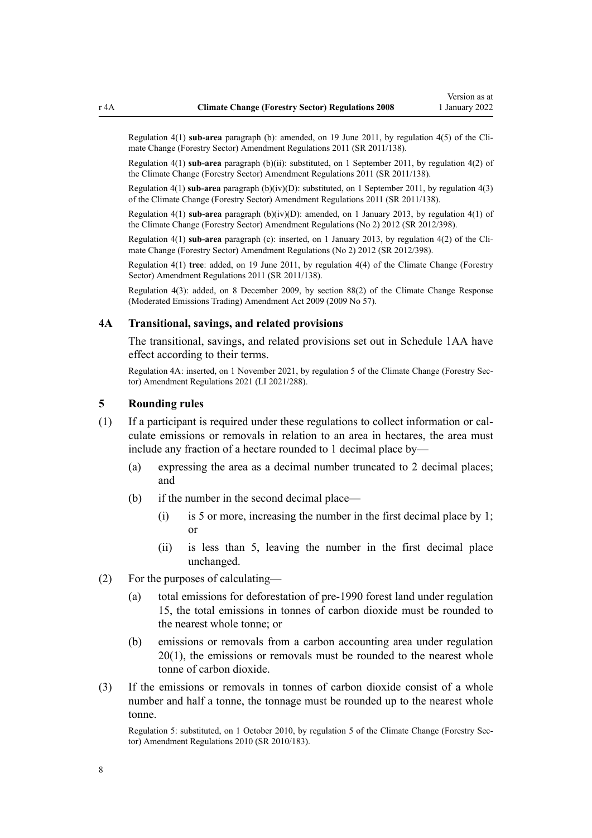<span id="page-7-0"></span>Regulation 4(1) **sub-area** paragraph (b): amended, on 19 June 2011, by [regulation 4\(5\)](http://legislation.govt.nz/pdflink.aspx?id=DLM3733304) of the Climate Change (Forestry Sector) Amendment Regulations 2011 (SR 2011/138).

Regulation 4(1) **sub-area** paragraph (b)(ii): substituted, on 1 September 2011, by [regulation 4\(2\)](http://legislation.govt.nz/pdflink.aspx?id=DLM3733304) of the Climate Change (Forestry Sector) Amendment Regulations 2011 (SR 2011/138).

Regulation 4(1) **sub-area** paragraph (b)(iv)(D): substituted, on 1 September 2011, by [regulation 4\(3\)](http://legislation.govt.nz/pdflink.aspx?id=DLM3733304) of the Climate Change (Forestry Sector) Amendment Regulations 2011 (SR 2011/138).

Regulation 4(1) **sub-area** paragraph (b)(iv)(D): amended, on 1 January 2013, by [regulation 4\(1\)](http://legislation.govt.nz/pdflink.aspx?id=DLM4918708) of the Climate Change (Forestry Sector) Amendment Regulations (No 2) 2012 (SR 2012/398).

Regulation 4(1) **sub-area** paragraph (c): inserted, on 1 January 2013, by [regulation 4\(2\)](http://legislation.govt.nz/pdflink.aspx?id=DLM4918708) of the Climate Change (Forestry Sector) Amendment Regulations (No 2) 2012 (SR 2012/398).

Regulation 4(1) **tree**: added, on 19 June 2011, by [regulation 4\(4\)](http://legislation.govt.nz/pdflink.aspx?id=DLM3733304) of the Climate Change (Forestry Sector) Amendment Regulations 2011 (SR 2011/138).

Regulation 4(3): added, on 8 December 2009, by [section 88\(2\)](http://legislation.govt.nz/pdflink.aspx?id=DLM2595617) of the Climate Change Response (Moderated Emissions Trading) Amendment Act 2009 (2009 No 57).

# **4A Transitional, savings, and related provisions**

The transitional, savings, and related provisions set out in [Schedule 1AA](#page-55-0) have effect according to their terms.

Regulation 4A: inserted, on 1 November 2021, by [regulation 5](http://legislation.govt.nz/pdflink.aspx?id=LMS539362) of the Climate Change (Forestry Sec‐ tor) Amendment Regulations 2021 (LI 2021/288).

## **5 Rounding rules**

- (1) If a participant is required under these regulations to collect information or cal‐ culate emissions or removals in relation to an area in hectares, the area must include any fraction of a hectare rounded to 1 decimal place by—
	- (a) expressing the area as a decimal number truncated to 2 decimal places; and
	- (b) if the number in the second decimal place—
		- (i) is 5 or more, increasing the number in the first decimal place by 1; or
		- (ii) is less than 5, leaving the number in the first decimal place unchanged.
- (2) For the purposes of calculating—
	- (a) total emissions for deforestation of pre-1990 forest land under regulation 15, the total emissions in tonnes of carbon dioxide must be rounded to the nearest whole tonne; or
	- (b) emissions or removals from a carbon accounting area under [regulation](#page-20-0) [20\(1\)](#page-20-0), the emissions or removals must be rounded to the nearest whole tonne of carbon dioxide.
- (3) If the emissions or removals in tonnes of carbon dioxide consist of a whole number and half a tonne, the tonnage must be rounded up to the nearest whole tonne.

Regulation 5: substituted, on 1 October 2010, by [regulation 5](http://legislation.govt.nz/pdflink.aspx?id=DLM3048752) of the Climate Change (Forestry Sec‐ tor) Amendment Regulations 2010 (SR 2010/183).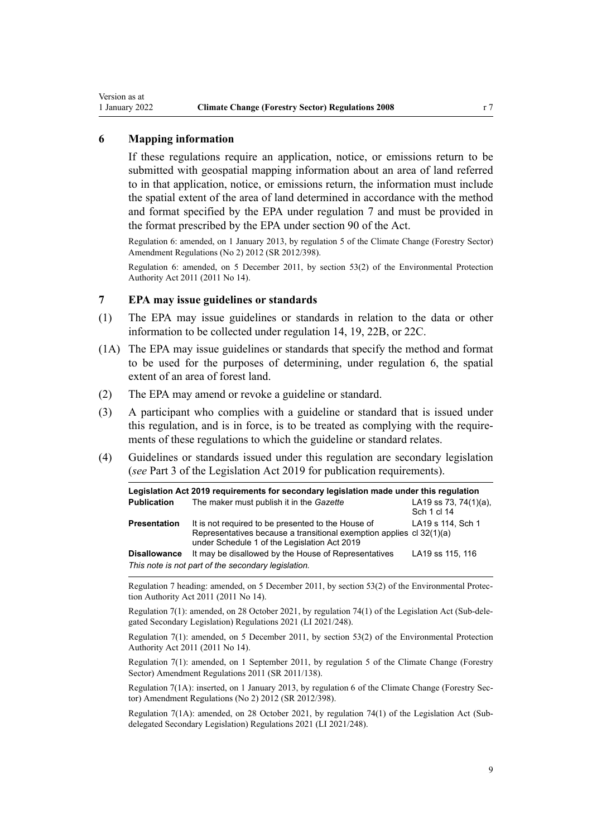# <span id="page-8-0"></span>**6 Mapping information**

If these regulations require an application, notice, or emissions return to be submitted with geospatial mapping information about an area of land referred to in that application, notice, or emissions return, the information must include the spatial extent of the area of land determined in accordance with the method and format specified by the EPA under regulation 7 and must be provided in the format prescribed by the EPA under [section 90](http://legislation.govt.nz/pdflink.aspx?id=DLM1662655) of the Act.

Regulation 6: amended, on 1 January 2013, by regulation 5 of the Climate Change (Forestry Sector) Amendment Regulations (No 2) 2012 (SR 2012/398).

Regulation 6: amended, on 5 December 2011, by [section 53\(2\)](http://legislation.govt.nz/pdflink.aspx?id=DLM3366997) of the Environmental Protection Authority Act 2011 (2011 No 14).

### **7 EPA may issue guidelines or standards**

- (1) The EPA may issue guidelines or standards in relation to the data or other information to be collected under [regulation 14](#page-14-0), [19,](#page-20-0) [22B,](#page-28-0) or [22C.](#page-30-0)
- (1A) The EPA may issue guidelines or standards that specify the method and format to be used for the purposes of determining, under regulation 6, the spatial extent of an area of forest land.
- (2) The EPA may amend or revoke a guideline or standard.
- (3) A participant who complies with a guideline or standard that is issued under this regulation, and is in force, is to be treated as complying with the require‐ ments of these regulations to which the guideline or standard relates.
- (4) Guidelines or standards issued under this regulation are secondary legislation (*see* [Part 3](http://legislation.govt.nz/pdflink.aspx?id=DLM7298343) of the Legislation Act 2019 for publication requirements).

| Legislation Act 2019 requirements for secondary legislation made under this regulation |                                                                                                                                                                            |                                          |  |  |  |  |
|----------------------------------------------------------------------------------------|----------------------------------------------------------------------------------------------------------------------------------------------------------------------------|------------------------------------------|--|--|--|--|
| <b>Publication</b>                                                                     | The maker must publish it in the Gazette                                                                                                                                   | LA19 ss 73, 74 $(1)(a)$ ,<br>Sch 1 cl 14 |  |  |  |  |
| <b>Presentation</b>                                                                    | It is not required to be presented to the House of<br>Representatives because a transitional exemption applies cl 32(1)(a)<br>under Schedule 1 of the Legislation Act 2019 | LA19 s 114, Sch 1                        |  |  |  |  |
| <b>Disallowance</b>                                                                    | It may be disallowed by the House of Representatives                                                                                                                       | LA19 ss 115, 116                         |  |  |  |  |
| This note is not part of the secondary legislation.                                    |                                                                                                                                                                            |                                          |  |  |  |  |

Regulation 7 heading: amended, on 5 December 2011, by [section 53\(2\)](http://legislation.govt.nz/pdflink.aspx?id=DLM3366997) of the Environmental Protec‐ tion Authority Act 2011 (2011 No 14).

Regulation 7(1): amended, on 28 October 2021, by [regulation 74\(1\)](http://legislation.govt.nz/pdflink.aspx?id=LMS473410) of the Legislation Act (Sub-dele‐ gated Secondary Legislation) Regulations 2021 (LI 2021/248).

Regulation 7(1): amended, on 5 December 2011, by [section 53\(2\)](http://legislation.govt.nz/pdflink.aspx?id=DLM3366997) of the Environmental Protection Authority Act 2011 (2011 No 14).

Regulation 7(1): amended, on 1 September 2011, by [regulation 5](http://legislation.govt.nz/pdflink.aspx?id=DLM3733306) of the Climate Change (Forestry Sector) Amendment Regulations 2011 (SR 2011/138).

Regulation 7(1A): inserted, on 1 January 2013, by [regulation 6](http://legislation.govt.nz/pdflink.aspx?id=DLM4918712) of the Climate Change (Forestry Sec‐ tor) Amendment Regulations (No 2) 2012 (SR 2012/398).

Regulation 7(1A): amended, on 28 October 2021, by [regulation 74\(1\)](http://legislation.govt.nz/pdflink.aspx?id=LMS473410) of the Legislation Act (Subdelegated Secondary Legislation) Regulations 2021 (LI 2021/248).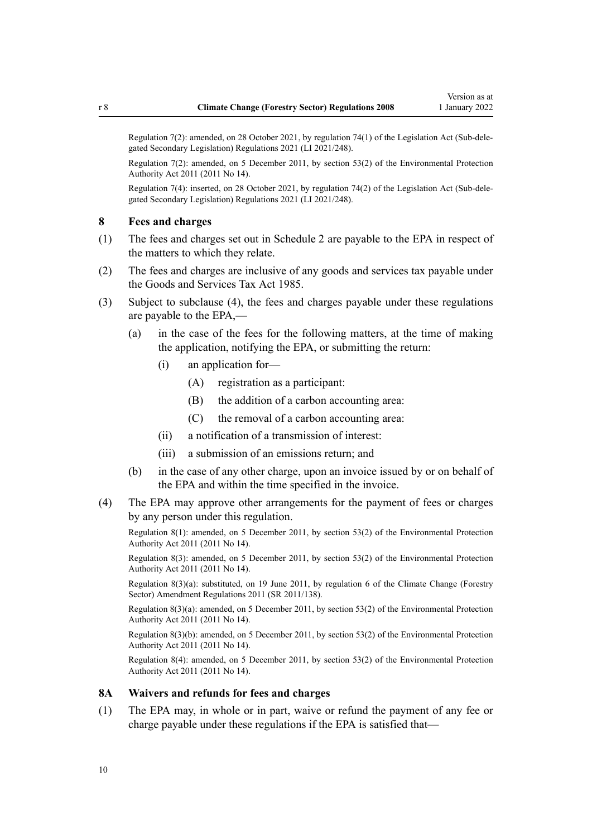<span id="page-9-0"></span>Regulation 7(2): amended, on 28 October 2021, by [regulation 74\(1\)](http://legislation.govt.nz/pdflink.aspx?id=LMS473410) of the Legislation Act (Sub-dele‐ gated Secondary Legislation) Regulations 2021 (LI 2021/248).

Regulation 7(2): amended, on 5 December 2011, by [section 53\(2\)](http://legislation.govt.nz/pdflink.aspx?id=DLM3366997) of the Environmental Protection Authority Act 2011 (2011 No 14).

Regulation 7(4): inserted, on 28 October 2021, by [regulation 74\(2\)](http://legislation.govt.nz/pdflink.aspx?id=LMS473410) of the Legislation Act (Sub-dele‐ gated Secondary Legislation) Regulations 2021 (LI 2021/248).

### **8 Fees and charges**

- (1) The fees and charges set out in [Schedule 2](#page-60-0) are payable to the EPA in respect of the matters to which they relate.
- (2) The fees and charges are inclusive of any goods and services tax payable under the [Goods and Services Tax Act 1985.](http://legislation.govt.nz/pdflink.aspx?id=DLM81034)
- (3) Subject to subclause (4), the fees and charges payable under these regulations are payable to the EPA,—
	- (a) in the case of the fees for the following matters, at the time of making the application, notifying the EPA, or submitting the return:
		- (i) an application for—
			- (A) registration as a participant:
			- (B) the addition of a carbon accounting area:
			- (C) the removal of a carbon accounting area:
		- (ii) a notification of a transmission of interest:
		- (iii) a submission of an emissions return; and
	- (b) in the case of any other charge, upon an invoice issued by or on behalf of the EPA and within the time specified in the invoice.
- (4) The EPA may approve other arrangements for the payment of fees or charges by any person under this regulation.

Regulation 8(1): amended, on 5 December 2011, by [section 53\(2\)](http://legislation.govt.nz/pdflink.aspx?id=DLM3366997) of the Environmental Protection Authority Act 2011 (2011 No 14).

Regulation 8(3): amended, on 5 December 2011, by [section 53\(2\)](http://legislation.govt.nz/pdflink.aspx?id=DLM3366997) of the Environmental Protection Authority Act 2011 (2011 No 14).

Regulation 8(3)(a): substituted, on 19 June 2011, by [regulation 6](http://legislation.govt.nz/pdflink.aspx?id=DLM3733403) of the Climate Change (Forestry Sector) Amendment Regulations 2011 (SR 2011/138).

Regulation 8(3)(a): amended, on 5 December 2011, by [section 53\(2\)](http://legislation.govt.nz/pdflink.aspx?id=DLM3366997) of the Environmental Protection Authority Act 2011 (2011 No 14).

Regulation 8(3)(b): amended, on 5 December 2011, by [section 53\(2\)](http://legislation.govt.nz/pdflink.aspx?id=DLM3366997) of the Environmental Protection Authority Act 2011 (2011 No 14).

Regulation 8(4): amended, on 5 December 2011, by [section 53\(2\)](http://legislation.govt.nz/pdflink.aspx?id=DLM3366997) of the Environmental Protection Authority Act 2011 (2011 No 14).

# **8A Waivers and refunds for fees and charges**

(1) The EPA may, in whole or in part, waive or refund the payment of any fee or charge payable under these regulations if the EPA is satisfied that—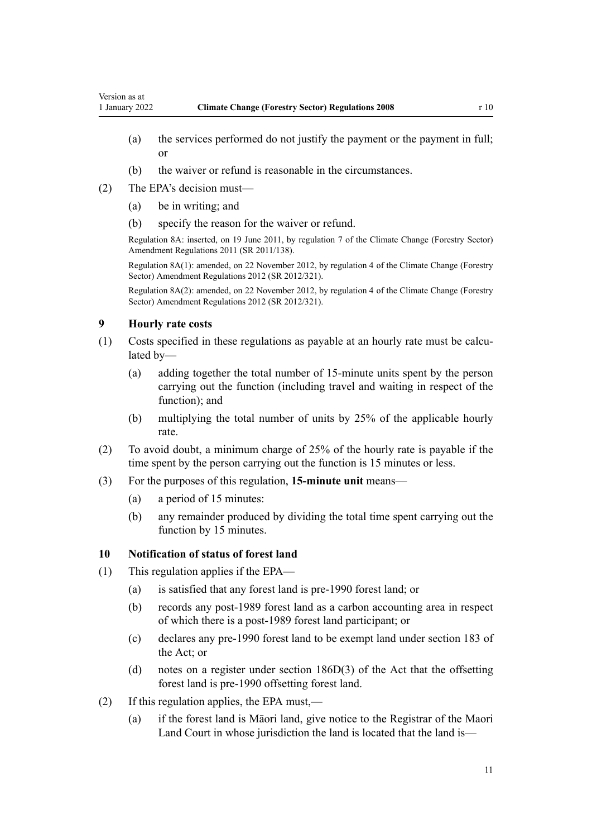- <span id="page-10-0"></span>(a) the services performed do not justify the payment or the payment in full; or
- (b) the waiver or refund is reasonable in the circumstances.
- (2) The EPA's decision must—
	- (a) be in writing; and
	- (b) specify the reason for the waiver or refund.

Regulation 8A: inserted, on 19 June 2011, by [regulation 7](http://legislation.govt.nz/pdflink.aspx?id=DLM3733404) of the Climate Change (Forestry Sector) Amendment Regulations 2011 (SR 2011/138).

Regulation 8A(1): amended, on 22 November 2012, by [regulation 4](http://legislation.govt.nz/pdflink.aspx?id=DLM4807907) of the Climate Change (Forestry Sector) Amendment Regulations 2012 (SR 2012/321).

Regulation 8A(2): amended, on 22 November 2012, by [regulation 4](http://legislation.govt.nz/pdflink.aspx?id=DLM4807907) of the Climate Change (Forestry Sector) Amendment Regulations 2012 (SR 2012/321).

# **9 Hourly rate costs**

- (1) Costs specified in these regulations as payable at an hourly rate must be calcu‐ lated by-
	- (a) adding together the total number of 15-minute units spent by the person carrying out the function (including travel and waiting in respect of the function); and
	- (b) multiplying the total number of units by 25% of the applicable hourly rate.
- (2) To avoid doubt, a minimum charge of 25% of the hourly rate is payable if the time spent by the person carrying out the function is 15 minutes or less.
- (3) For the purposes of this regulation, **15-minute unit** means—
	- (a) a period of 15 minutes:
	- (b) any remainder produced by dividing the total time spent carrying out the function by 15 minutes.

# **10 Notification of status of forest land**

- (1) This regulation applies if the EPA—
	- (a) is satisfied that any forest land is pre-1990 forest land; or
	- (b) records any post-1989 forest land as a carbon accounting area in respect of which there is a post-1989 forest land participant; or
	- (c) declares any pre-1990 forest land to be exempt land under [section 183](http://legislation.govt.nz/pdflink.aspx?id=DLM1662770) of the Act; or
	- (d) notes on a register under [section 186D\(3\)](http://legislation.govt.nz/pdflink.aspx?id=DLM4973193) of the Act that the offsetting forest land is pre-1990 offsetting forest land.
- (2) If this regulation applies, the EPA must,—
	- (a) if the forest land is Māori land, give notice to the Registrar of the Maori Land Court in whose jurisdiction the land is located that the land is—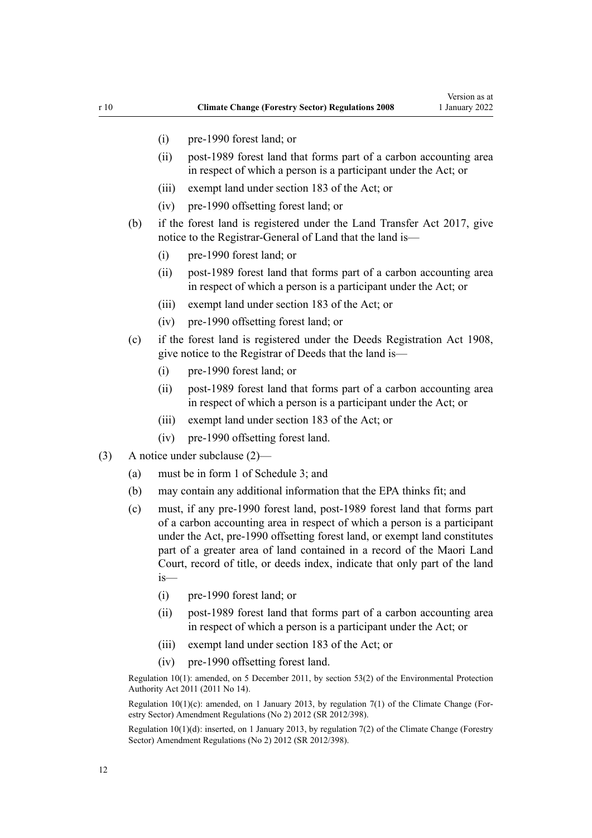- (i) pre-1990 forest land; or
- (ii) post-1989 forest land that forms part of a carbon accounting area in respect of which a person is a participant under the Act; or
- (iii) exempt land under [section 183](http://legislation.govt.nz/pdflink.aspx?id=DLM1662770) of the Act; or
- (iv) pre-1990 offsetting forest land; or
- (b) if the forest land is registered under the [Land Transfer Act 2017](http://legislation.govt.nz/pdflink.aspx?id=DLM6731002), give notice to the Registrar-General of Land that the land is—
	- (i) pre-1990 forest land; or
	- (ii) post-1989 forest land that forms part of a carbon accounting area in respect of which a person is a participant under the Act; or
	- (iii) exempt land under [section 183](http://legislation.govt.nz/pdflink.aspx?id=DLM1662770) of the Act; or
	- (iv) pre-1990 offsetting forest land; or
- (c) if the forest land is registered under the [Deeds Registration Act 1908](http://legislation.govt.nz/pdflink.aspx?id=DLM141134), give notice to the Registrar of Deeds that the land is—
	- (i) pre-1990 forest land; or
	- (ii) post-1989 forest land that forms part of a carbon accounting area in respect of which a person is a participant under the Act; or
	- (iii) exempt land under [section 183](http://legislation.govt.nz/pdflink.aspx?id=DLM1662770) of the Act; or
	- (iv) pre-1990 offsetting forest land.
- (3) A notice under subclause (2)—
	- (a) must be in form 1 of [Schedule 3](#page-61-0); and
	- (b) may contain any additional information that the EPA thinks fit; and
	- (c) must, if any pre-1990 forest land, post-1989 forest land that forms part of a carbon accounting area in respect of which a person is a participant under the Act, pre-1990 offsetting forest land, or exempt land constitutes part of a greater area of land contained in a record of the Maori Land Court, record of title, or deeds index, indicate that only part of the land is—
		- (i) pre-1990 forest land; or
		- (ii) post-1989 forest land that forms part of a carbon accounting area in respect of which a person is a participant under the Act; or
		- (iii) exempt land under [section 183](http://legislation.govt.nz/pdflink.aspx?id=DLM1662770) of the Act; or
		- (iv) pre-1990 offsetting forest land.

Regulation 10(1): amended, on 5 December 2011, by [section 53\(2\)](http://legislation.govt.nz/pdflink.aspx?id=DLM3366997) of the Environmental Protection Authority Act 2011 (2011 No 14).

Regulation 10(1)(c): amended, on 1 January 2013, by [regulation 7\(1\)](http://legislation.govt.nz/pdflink.aspx?id=DLM4918713) of the Climate Change (Forestry Sector) Amendment Regulations (No 2) 2012 (SR 2012/398).

Regulation 10(1)(d): inserted, on 1 January 2013, by [regulation 7\(2\)](http://legislation.govt.nz/pdflink.aspx?id=DLM4918713) of the Climate Change (Forestry Sector) Amendment Regulations (No 2) 2012 (SR 2012/398).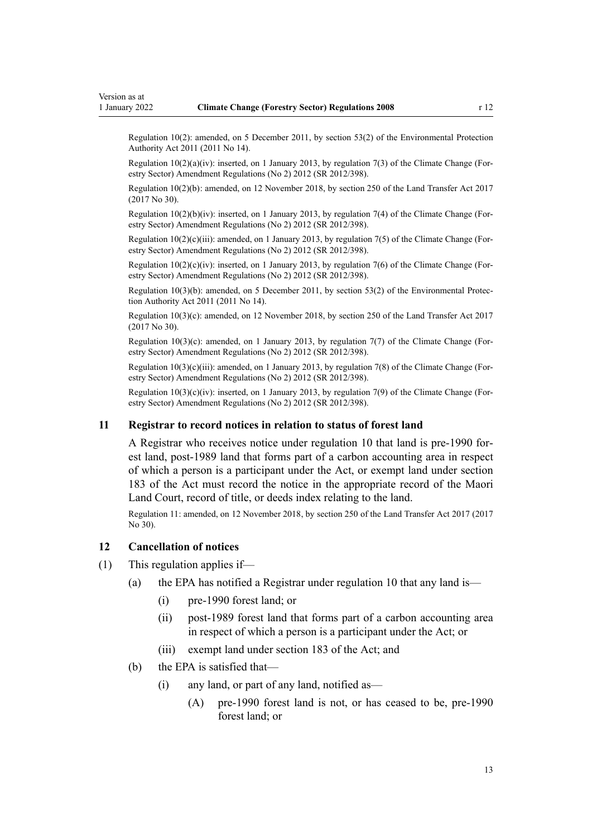<span id="page-12-0"></span>Regulation 10(2): amended, on 5 December 2011, by [section 53\(2\)](http://legislation.govt.nz/pdflink.aspx?id=DLM3366997) of the Environmental Protection Authority Act 2011 (2011 No 14).

Regulation  $10(2)(a)(iv)$ : inserted, on 1 January 2013, by [regulation 7\(3\)](http://legislation.govt.nz/pdflink.aspx?id=DLM4918713) of the Climate Change (Forestry Sector) Amendment Regulations (No 2) 2012 (SR 2012/398).

Regulation 10(2)(b): amended, on 12 November 2018, by [section 250](http://legislation.govt.nz/pdflink.aspx?id=DLM6731493) of the Land Transfer Act 2017 (2017 No 30).

Regulation  $10(2)(b)(iv)$ : inserted, on 1 January 2013, by [regulation 7\(4\)](http://legislation.govt.nz/pdflink.aspx?id=DLM4918713) of the Climate Change (Forestry Sector) Amendment Regulations (No 2) 2012 (SR 2012/398).

Regulation  $10(2)(c)(iii)$ : amended, on 1 January 2013, by [regulation 7\(5\)](http://legislation.govt.nz/pdflink.aspx?id=DLM4918713) of the Climate Change (Forestry Sector) Amendment Regulations (No 2) 2012 (SR 2012/398).

Regulation  $10(2)(c)(iv)$ : inserted, on 1 January 2013, by [regulation 7\(6\)](http://legislation.govt.nz/pdflink.aspx?id=DLM4918713) of the Climate Change (Forestry Sector) Amendment Regulations (No 2) 2012 (SR 2012/398).

Regulation 10(3)(b): amended, on 5 December 2011, by [section 53\(2\)](http://legislation.govt.nz/pdflink.aspx?id=DLM3366997) of the Environmental Protec‐ tion Authority Act 2011 (2011 No 14).

Regulation 10(3)(c): amended, on 12 November 2018, by [section 250](http://legislation.govt.nz/pdflink.aspx?id=DLM6731493) of the Land Transfer Act 2017 (2017 No 30).

Regulation 10(3)(c): amended, on 1 January 2013, by [regulation 7\(7\)](http://legislation.govt.nz/pdflink.aspx?id=DLM4918713) of the Climate Change (For‐ estry Sector) Amendment Regulations (No 2) 2012 (SR 2012/398).

Regulation 10(3)(c)(iii): amended, on 1 January 2013, by [regulation 7\(8\)](http://legislation.govt.nz/pdflink.aspx?id=DLM4918713) of the Climate Change (Forestry Sector) Amendment Regulations (No 2) 2012 (SR 2012/398).

Regulation  $10(3)(c)(iv)$ : inserted, on 1 January 2013, by [regulation 7\(9\)](http://legislation.govt.nz/pdflink.aspx?id=DLM4918713) of the Climate Change (Forestry Sector) Amendment Regulations (No 2) 2012 (SR 2012/398).

#### **11 Registrar to record notices in relation to status of forest land**

A Registrar who receives notice under [regulation 10](#page-10-0) that land is pre-1990 for‐ est land, post-1989 land that forms part of a carbon accounting area in respect of which a person is a participant under the Act, or exempt land under [section](http://legislation.govt.nz/pdflink.aspx?id=DLM1662770) [183](http://legislation.govt.nz/pdflink.aspx?id=DLM1662770) of the Act must record the notice in the appropriate record of the Maori Land Court, record of title, or deeds index relating to the land.

Regulation 11: amended, on 12 November 2018, by [section 250](http://legislation.govt.nz/pdflink.aspx?id=DLM6731493) of the Land Transfer Act 2017 (2017 No 30).

### **12 Cancellation of notices**

- (1) This regulation applies if—
	- (a) the EPA has notified a Registrar under [regulation 10](#page-10-0) that any land is—
		- (i) pre-1990 forest land; or
		- (ii) post-1989 forest land that forms part of a carbon accounting area in respect of which a person is a participant under the Act; or
		- (iii) exempt land under [section 183](http://legislation.govt.nz/pdflink.aspx?id=DLM1662770) of the Act; and
	- (b) the EPA is satisfied that—
		- (i) any land, or part of any land, notified as—
			- (A) pre-1990 forest land is not, or has ceased to be, pre-1990 forest land; or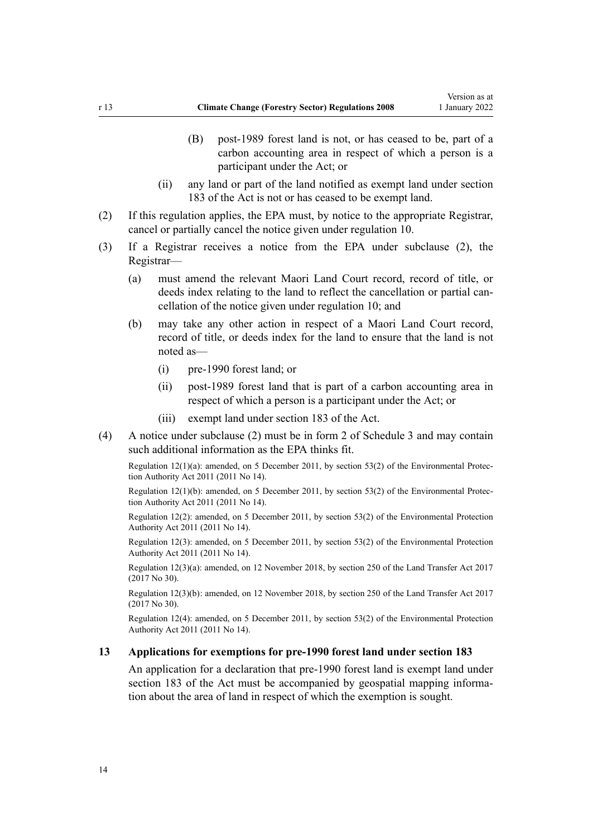- <span id="page-13-0"></span>(B) post-1989 forest land is not, or has ceased to be, part of a carbon accounting area in respect of which a person is a participant under the Act; or
- (ii) any land or part of the land notified as exempt land under [section](http://legislation.govt.nz/pdflink.aspx?id=DLM1662770) [183](http://legislation.govt.nz/pdflink.aspx?id=DLM1662770) of the Act is not or has ceased to be exempt land.
- (2) If this regulation applies, the EPA must, by notice to the appropriate Registrar, cancel or partially cancel the notice given under [regulation 10.](#page-10-0)
- (3) If a Registrar receives a notice from the EPA under subclause (2), the Registrar—
	- (a) must amend the relevant Maori Land Court record, record of title, or deeds index relating to the land to reflect the cancellation or partial cancellation of the notice given under [regulation 10;](#page-10-0) and
	- (b) may take any other action in respect of a Maori Land Court record, record of title, or deeds index for the land to ensure that the land is not noted as—
		- (i) pre-1990 forest land; or
		- (ii) post-1989 forest land that is part of a carbon accounting area in respect of which a person is a participant under the Act; or
		- (iii) exempt land under [section 183](http://legislation.govt.nz/pdflink.aspx?id=DLM1662770) of the Act.
- (4) A notice under subclause (2) must be in form 2 of [Schedule 3](#page-61-0) and may contain such additional information as the EPA thinks fit.

Regulation 12(1)(a): amended, on 5 December 2011, by [section 53\(2\)](http://legislation.govt.nz/pdflink.aspx?id=DLM3366997) of the Environmental Protection Authority Act 2011 (2011 No 14).

Regulation 12(1)(b): amended, on 5 December 2011, by [section 53\(2\)](http://legislation.govt.nz/pdflink.aspx?id=DLM3366997) of the Environmental Protection Authority Act 2011 (2011 No 14).

Regulation 12(2): amended, on 5 December 2011, by [section 53\(2\)](http://legislation.govt.nz/pdflink.aspx?id=DLM3366997) of the Environmental Protection Authority Act 2011 (2011 No 14).

Regulation 12(3): amended, on 5 December 2011, by [section 53\(2\)](http://legislation.govt.nz/pdflink.aspx?id=DLM3366997) of the Environmental Protection Authority Act 2011 (2011 No 14).

Regulation 12(3)(a): amended, on 12 November 2018, by [section 250](http://legislation.govt.nz/pdflink.aspx?id=DLM6731493) of the Land Transfer Act 2017 (2017 No 30).

Regulation 12(3)(b): amended, on 12 November 2018, by [section 250](http://legislation.govt.nz/pdflink.aspx?id=DLM6731493) of the Land Transfer Act 2017 (2017 No 30).

Regulation 12(4): amended, on 5 December 2011, by [section 53\(2\)](http://legislation.govt.nz/pdflink.aspx?id=DLM3366997) of the Environmental Protection Authority Act 2011 (2011 No 14).

## **13 Applications for exemptions for pre-1990 forest land under section 183**

An application for a declaration that pre-1990 forest land is exempt land under [section 183](http://legislation.govt.nz/pdflink.aspx?id=DLM1662770) of the Act must be accompanied by geospatial mapping information about the area of land in respect of which the exemption is sought.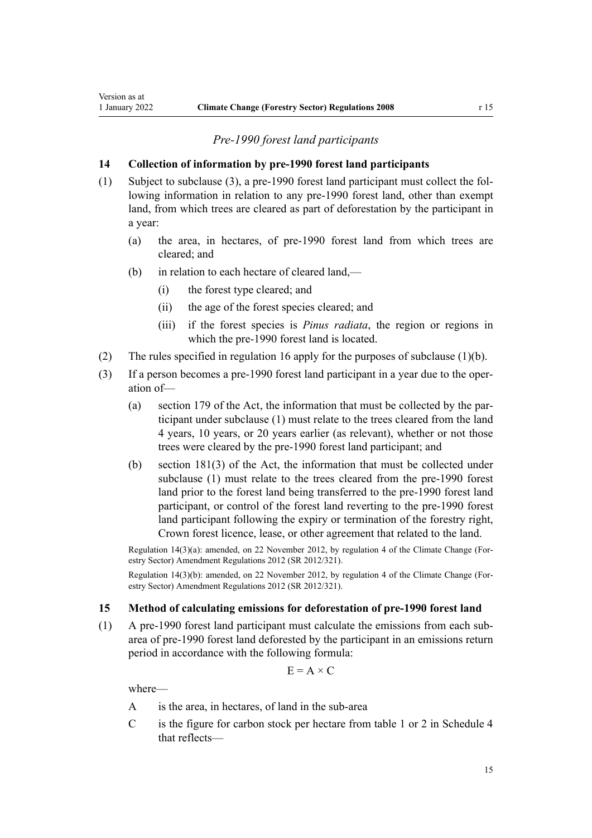# *Pre-1990 forest land participants*

# <span id="page-14-0"></span>**14 Collection of information by pre-1990 forest land participants**

- (1) Subject to subclause (3), a pre-1990 forest land participant must collect the fol‐ lowing information in relation to any pre-1990 forest land, other than exempt land, from which trees are cleared as part of deforestation by the participant in a year:
	- (a) the area, in hectares, of pre-1990 forest land from which trees are cleared; and
	- (b) in relation to each hectare of cleared land,—
		- (i) the forest type cleared; and
		- (ii) the age of the forest species cleared; and
		- (iii) if the forest species is *Pinus radiata*, the region or regions in which the pre-1990 forest land is located.
- (2) The rules specified in [regulation 16](#page-17-0) apply for the purposes of subclause (1)(b).
- (3) If a person becomes a pre-1990 forest land participant in a year due to the oper‐ ation of—
	- (a) [section 179](http://legislation.govt.nz/pdflink.aspx?id=DLM1662763) of the Act, the information that must be collected by the par‐ ticipant under subclause (1) must relate to the trees cleared from the land 4 years, 10 years, or 20 years earlier (as relevant), whether or not those trees were cleared by the pre-1990 forest land participant; and
	- (b) [section 181\(3\)](http://legislation.govt.nz/pdflink.aspx?id=DLM1662767) of the Act, the information that must be collected under subclause (1) must relate to the trees cleared from the pre-1990 forest land prior to the forest land being transferred to the pre-1990 forest land participant, or control of the forest land reverting to the pre-1990 forest land participant following the expiry or termination of the forestry right, Crown forest licence, lease, or other agreement that related to the land.

Regulation 14(3)(a): amended, on 22 November 2012, by [regulation 4](http://legislation.govt.nz/pdflink.aspx?id=DLM4807907) of the Climate Change (For‐ estry Sector) Amendment Regulations 2012 (SR 2012/321).

Regulation 14(3)(b): amended, on 22 November 2012, by [regulation 4](http://legislation.govt.nz/pdflink.aspx?id=DLM4807907) of the Climate Change (Forestry Sector) Amendment Regulations 2012 (SR 2012/321).

# **15 Method of calculating emissions for deforestation of pre-1990 forest land**

(1) A pre-1990 forest land participant must calculate the emissions from each subarea of pre-1990 forest land deforested by the participant in an emissions return period in accordance with the following formula:

$$
E = A \times C
$$

where—

- A is the area, in hectares, of land in the sub-area
- C is the figure for carbon stock per hectare from table 1 or 2 in [Schedule 4](#page-64-0) that reflects—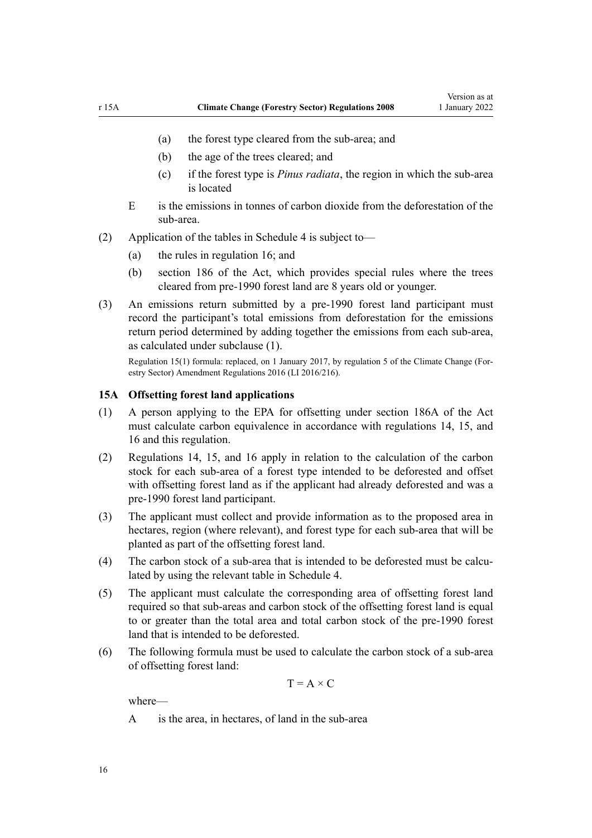- <span id="page-15-0"></span>(a) the forest type cleared from the sub-area; and
- (b) the age of the trees cleared; and
- (c) if the forest type is *Pinus radiata*, the region in which the sub-area is located
- E is the emissions in tonnes of carbon dioxide from the deforestation of the sub-area.
- (2) Application of the tables in [Schedule 4](#page-64-0) is subject to—
	- (a) the rules in [regulation 16](#page-17-0); and
	- (b) [section 186](http://legislation.govt.nz/pdflink.aspx?id=DLM1662778) of the Act, which provides special rules where the trees cleared from pre-1990 forest land are 8 years old or younger.
- (3) An emissions return submitted by a pre-1990 forest land participant must record the participant's total emissions from deforestation for the emissions return period determined by adding together the emissions from each sub-area, as calculated under subclause (1).

Regulation 15(1) formula: replaced, on 1 January 2017, by [regulation 5](http://legislation.govt.nz/pdflink.aspx?id=DLM6964834) of the Climate Change (For‐ estry Sector) Amendment Regulations 2016 (LI 2016/216).

#### **15A Offsetting forest land applications**

- (1) A person applying to the EPA for offsetting under [section 186A](http://legislation.govt.nz/pdflink.aspx?id=DLM4973184) of the Act must calculate carbon equivalence in accordance with [regulations 14](#page-14-0), [15,](#page-14-0) and [16](#page-17-0) and this regulation.
- (2) [Regulations 14](#page-14-0), [15,](#page-14-0) and [16](#page-17-0) apply in relation to the calculation of the carbon stock for each sub-area of a forest type intended to be deforested and offset with offsetting forest land as if the applicant had already deforested and was a pre-1990 forest land participant.
- (3) The applicant must collect and provide information as to the proposed area in hectares, region (where relevant), and forest type for each sub-area that will be planted as part of the offsetting forest land.
- (4) The carbon stock of a sub-area that is intended to be deforested must be calculated by using the relevant table in [Schedule 4](#page-64-0).
- (5) The applicant must calculate the corresponding area of offsetting forest land required so that sub-areas and carbon stock of the offsetting forest land is equal to or greater than the total area and total carbon stock of the pre-1990 forest land that is intended to be deforested.
- (6) The following formula must be used to calculate the carbon stock of a sub-area of offsetting forest land:

$$
T = A \times C
$$

where—

A is the area, in hectares, of land in the sub-area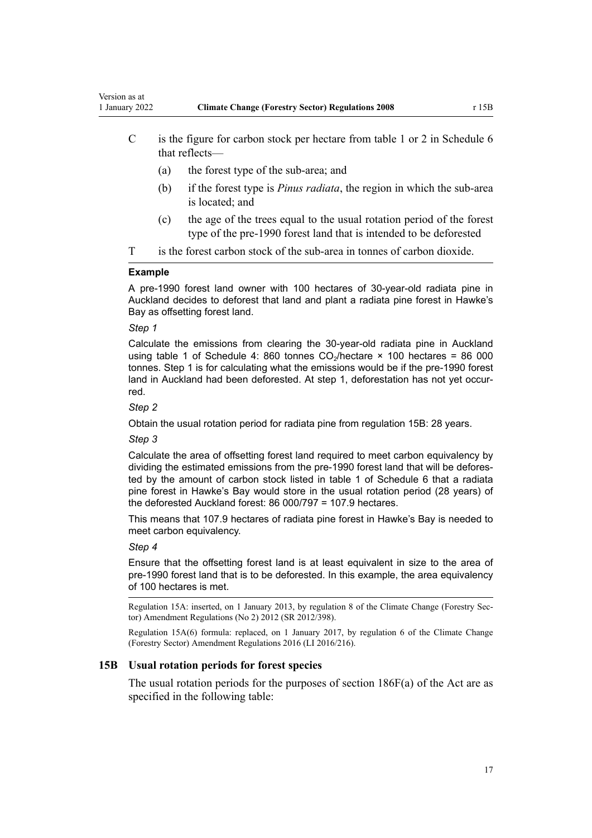- <span id="page-16-0"></span>C is the figure for carbon stock per hectare from table 1 or 2 in Schedule 6 that reflects—
	- (a) the forest type of the sub-area; and
	- (b) if the forest type is *Pinus radiata*, the region in which the sub-area is located; and
	- (c) the age of the trees equal to the usual rotation period of the forest type of the pre-1990 forest land that is intended to be deforested
- T is the forest carbon stock of the sub-area in tonnes of carbon dioxide.

#### **Example**

A pre-1990 forest land owner with 100 hectares of 30-year-old radiata pine in Auckland decides to deforest that land and plant a radiata pine forest in Hawke's Bay as offsetting forest land.

### *Step 1*

Calculate the emissions from clearing the 30-year-old radiata pine in Auckland using table 1 of Schedule 4: 860 tonnes  $CO_2$ /hectare × 100 hectares = 86 000 tonnes. Step 1 is for calculating what the emissions would be if the pre-1990 forest land in Auckland had been deforested. At step 1, deforestation has not yet occurred.

### *Step 2*

Obtain the usual rotation period for radiata pine from regulation 15B: 28 years.

#### *Step 3*

Calculate the area of offsetting forest land required to meet carbon equivalency by dividing the estimated emissions from the pre-1990 forest land that will be deforested by the amount of carbon stock listed in table 1 of Schedule 6 that a radiata pine forest in Hawke's Bay would store in the usual rotation period (28 years) of the deforested Auckland forest: 86 000/797 = 107.9 hectares.

This means that 107.9 hectares of radiata pine forest in Hawke's Bay is needed to meet carbon equivalency.

#### *Step 4*

Ensure that the offsetting forest land is at least equivalent in size to the area of pre-1990 forest land that is to be deforested. In this example, the area equivalency of 100 hectares is met.

Regulation 15A: inserted, on 1 January 2013, by [regulation 8](http://legislation.govt.nz/pdflink.aspx?id=DLM4918714) of the Climate Change (Forestry Sec‐ tor) Amendment Regulations (No 2) 2012 (SR 2012/398).

Regulation 15A(6) formula: replaced, on 1 January 2017, by [regulation 6](http://legislation.govt.nz/pdflink.aspx?id=DLM6964836) of the Climate Change (Forestry Sector) Amendment Regulations 2016 (LI 2016/216).

### **15B Usual rotation periods for forest species**

The usual rotation periods for the purposes of section  $186F(a)$  of the Act are as specified in the following table: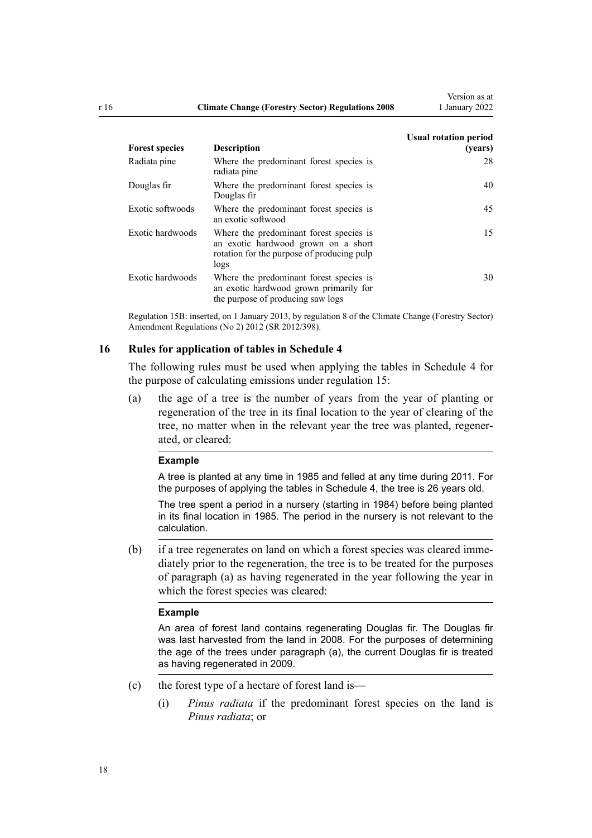<span id="page-17-0"></span>

| <b>Forest species</b> | <b>Description</b>                                                                                                                   | <b>Usual rotation period</b><br>(years) |
|-----------------------|--------------------------------------------------------------------------------------------------------------------------------------|-----------------------------------------|
| Radiata pine          | Where the predominant forest species is<br>radiata pine                                                                              | 28                                      |
| Douglas fir           | Where the predominant forest species is<br>Douglas fir                                                                               | 40                                      |
| Exotic softwoods      | Where the predominant forest species is<br>an exotic softwood                                                                        | 45                                      |
| Exotic hardwoods      | Where the predominant forest species is<br>an exotic hardwood grown on a short<br>rotation for the purpose of producing pulp<br>logs | 15                                      |
| Exotic hardwoods      | Where the predominant forest species is<br>an exotic hardwood grown primarily for<br>the purpose of producing saw logs               | 30                                      |

Regulation 15B: inserted, on 1 January 2013, by [regulation 8](http://legislation.govt.nz/pdflink.aspx?id=DLM4918714) of the Climate Change (Forestry Sector) Amendment Regulations (No 2) 2012 (SR 2012/398).

### **16 Rules for application of tables in Schedule 4**

The following rules must be used when applying the tables in [Schedule 4](#page-64-0) for the purpose of calculating emissions under [regulation 15](#page-14-0):

(a) the age of a tree is the number of years from the year of planting or regeneration of the tree in its final location to the year of clearing of the tree, no matter when in the relevant year the tree was planted, regener‐ ated, or cleared:

#### **Example**

A tree is planted at any time in 1985 and felled at any time during 2011. For the purposes of applying the tables in Schedule 4, the tree is 26 years old.

The tree spent a period in a nursery (starting in 1984) before being planted in its final location in 1985. The period in the nursery is not relevant to the calculation.

(b) if a tree regenerates on land on which a forest species was cleared imme‐ diately prior to the regeneration, the tree is to be treated for the purposes of paragraph (a) as having regenerated in the year following the year in which the forest species was cleared:

### **Example**

An area of forest land contains regenerating Douglas fir. The Douglas fir was last harvested from the land in 2008. For the purposes of determining the age of the trees under paragraph (a), the current Douglas fir is treated as having regenerated in 2009.

- (c) the forest type of a hectare of forest land is—
	- (i) *Pinus radiata* if the predominant forest species on the land is *Pinus radiata*; or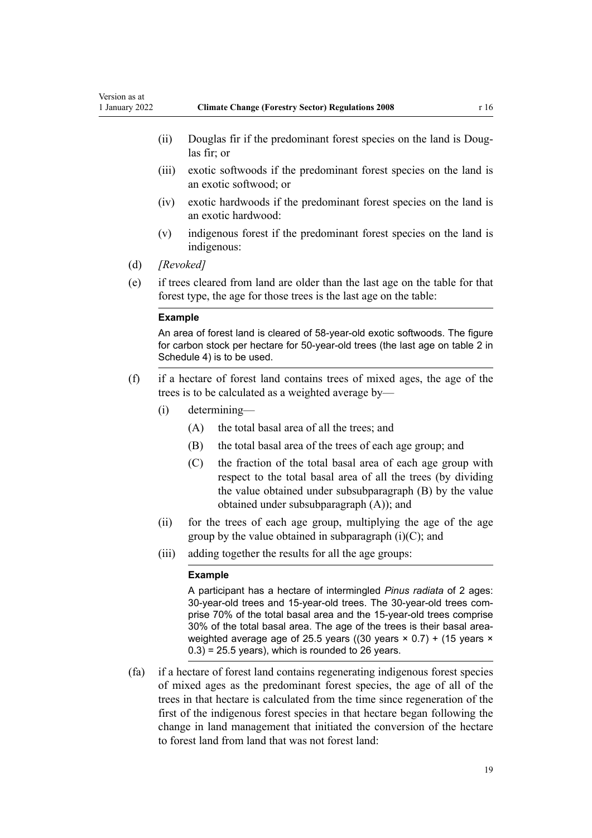- (ii) Douglas fir if the predominant forest species on the land is Douglas fir; or
- (iii) exotic softwoods if the predominant forest species on the land is an exotic softwood; or
- (iv) exotic hardwoods if the predominant forest species on the land is an exotic hardwood:
- (v) indigenous forest if the predominant forest species on the land is indigenous:
- (d) *[Revoked]*
- (e) if trees cleared from land are older than the last age on the table for that forest type, the age for those trees is the last age on the table:

#### **Example**

An area of forest land is cleared of 58-year-old exotic softwoods. The figure for carbon stock per hectare for 50-year-old trees (the last age on table 2 in Schedule 4) is to be used.

- (f) if a hectare of forest land contains trees of mixed ages, the age of the trees is to be calculated as a weighted average by—
	- (i) determining—
		- (A) the total basal area of all the trees; and
		- (B) the total basal area of the trees of each age group; and
		- (C) the fraction of the total basal area of each age group with respect to the total basal area of all the trees (by dividing the value obtained under subsubparagraph (B) by the value obtained under subsubparagraph (A)); and
	- (ii) for the trees of each age group, multiplying the age of the age group by the value obtained in subparagraph  $(i)(C)$ ; and
	- (iii) adding together the results for all the age groups:

#### **Example**

A participant has a hectare of intermingled *Pinus radiata* of 2 ages: 30-year-old trees and 15-year-old trees. The 30-year-old trees comprise 70% of the total basal area and the 15-year-old trees comprise 30% of the total basal area. The age of the trees is their basal areaweighted average age of 25.5 years ((30 years  $\times$  0.7) + (15 years  $\times$  $(0.3)$  = 25.5 years), which is rounded to 26 years.

(fa) if a hectare of forest land contains regenerating indigenous forest species of mixed ages as the predominant forest species, the age of all of the trees in that hectare is calculated from the time since regeneration of the first of the indigenous forest species in that hectare began following the change in land management that initiated the conversion of the hectare to forest land from land that was not forest land: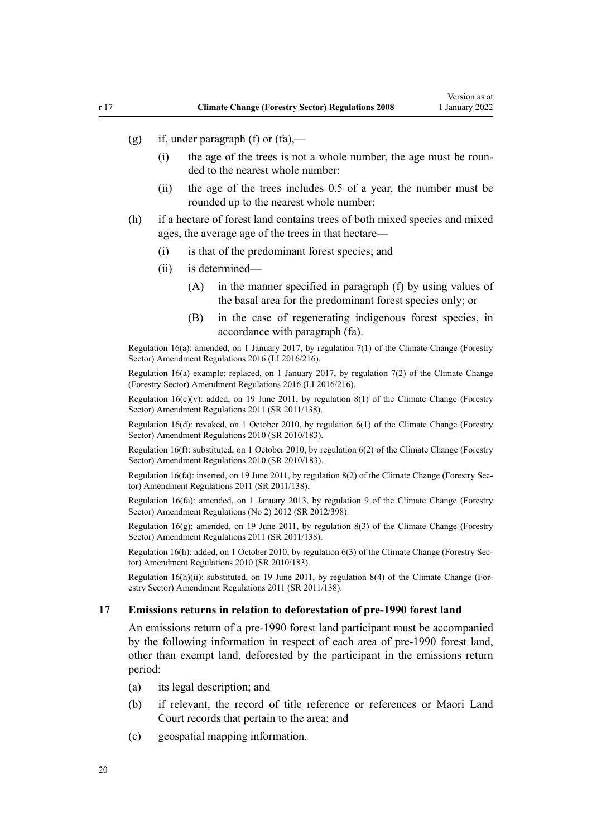- <span id="page-19-0"></span>(g) if, under paragraph (f) or  $(fa)$ .
	- (i) the age of the trees is not a whole number, the age must be rounded to the nearest whole number:
	- (ii) the age of the trees includes 0.5 of a year, the number must be rounded up to the nearest whole number:
- (h) if a hectare of forest land contains trees of both mixed species and mixed ages, the average age of the trees in that hectare—
	- (i) is that of the predominant forest species; and
	- (ii) is determined—
		- (A) in the manner specified in paragraph (f) by using values of the basal area for the predominant forest species only; or
		- (B) in the case of regenerating indigenous forest species, in accordance with paragraph (fa).

Regulation 16(a): amended, on 1 January 2017, by [regulation 7\(1\)](http://legislation.govt.nz/pdflink.aspx?id=DLM6964838) of the Climate Change (Forestry Sector) Amendment Regulations 2016 (LI 2016/216).

Regulation 16(a) example: replaced, on 1 January 2017, by regulation  $7(2)$  of the Climate Change (Forestry Sector) Amendment Regulations 2016 (LI 2016/216).

Regulation  $16(c)(v)$ : added, on 19 June 2011, by [regulation 8\(1\)](http://legislation.govt.nz/pdflink.aspx?id=DLM3733406) of the Climate Change (Forestry Sector) Amendment Regulations 2011 (SR 2011/138).

Regulation 16(d): revoked, on 1 October 2010, by [regulation 6\(1\)](http://legislation.govt.nz/pdflink.aspx?id=DLM3048754) of the Climate Change (Forestry Sector) Amendment Regulations 2010 (SR 2010/183).

Regulation 16(f): substituted, on 1 October 2010, by [regulation 6\(2\)](http://legislation.govt.nz/pdflink.aspx?id=DLM3048754) of the Climate Change (Forestry Sector) Amendment Regulations 2010 (SR 2010/183).

Regulation 16(fa): inserted, on 19 June 2011, by [regulation 8\(2\)](http://legislation.govt.nz/pdflink.aspx?id=DLM3733406) of the Climate Change (Forestry Sec‐ tor) Amendment Regulations 2011 (SR 2011/138).

Regulation 16(fa): amended, on 1 January 2013, by [regulation 9](http://legislation.govt.nz/pdflink.aspx?id=DLM4918719) of the Climate Change (Forestry Sector) Amendment Regulations (No 2) 2012 (SR 2012/398).

Regulation 16(g): amended, on 19 June 2011, by [regulation 8\(3\)](http://legislation.govt.nz/pdflink.aspx?id=DLM3733406) of the Climate Change (Forestry Sector) Amendment Regulations 2011 (SR 2011/138).

Regulation 16(h): added, on 1 October 2010, by [regulation 6\(3\)](http://legislation.govt.nz/pdflink.aspx?id=DLM3048754) of the Climate Change (Forestry Sector) Amendment Regulations 2010 (SR 2010/183).

Regulation 16(h)(ii): substituted, on 19 June 2011, by [regulation 8\(4\)](http://legislation.govt.nz/pdflink.aspx?id=DLM3733406) of the Climate Change (Forestry Sector) Amendment Regulations 2011 (SR 2011/138).

### **17 Emissions returns in relation to deforestation of pre-1990 forest land**

An emissions return of a pre-1990 forest land participant must be accompanied by the following information in respect of each area of pre-1990 forest land, other than exempt land, deforested by the participant in the emissions return period:

- (a) its legal description; and
- (b) if relevant, the record of title reference or references or Maori Land Court records that pertain to the area; and
- (c) geospatial mapping information.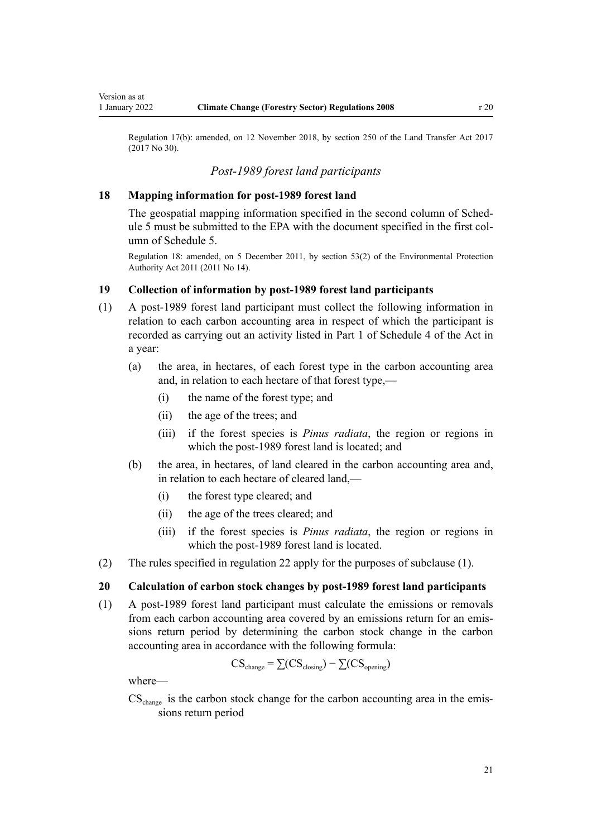<span id="page-20-0"></span>Version as at

Regulation 17(b): amended, on 12 November 2018, by [section 250](http://legislation.govt.nz/pdflink.aspx?id=DLM6731493) of the Land Transfer Act 2017 (2017 No 30).

# *Post-1989 forest land participants*

# **18 Mapping information for post-1989 forest land**

The geospatial mapping information specified in the second column of Sched[ule 5](#page-68-0) must be submitted to the EPA with the document specified in the first column of Schedule 5.

Regulation 18: amended, on 5 December 2011, by [section 53\(2\)](http://legislation.govt.nz/pdflink.aspx?id=DLM3366997) of the Environmental Protection Authority Act 2011 (2011 No 14).

## **19 Collection of information by post-1989 forest land participants**

- (1) A post-1989 forest land participant must collect the following information in relation to each carbon accounting area in respect of which the participant is recorded as carrying out an activity listed in [Part 1](http://legislation.govt.nz/pdflink.aspx?id=DLM1662865) of Schedule 4 of the Act in a year:
	- (a) the area, in hectares, of each forest type in the carbon accounting area and, in relation to each hectare of that forest type,—
		- (i) the name of the forest type; and
		- (ii) the age of the trees; and
		- (iii) if the forest species is *Pinus radiata*, the region or regions in which the post-1989 forest land is located; and
	- (b) the area, in hectares, of land cleared in the carbon accounting area and, in relation to each hectare of cleared land,—
		- (i) the forest type cleared; and
		- (ii) the age of the trees cleared; and
		- (iii) if the forest species is *Pinus radiata*, the region or regions in which the post-1989 forest land is located.
- (2) The rules specified in [regulation 22](#page-24-0) apply for the purposes of subclause (1).

# **20 Calculation of carbon stock changes by post-1989 forest land participants**

(1) A post-1989 forest land participant must calculate the emissions or removals from each carbon accounting area covered by an emissions return for an emissions return period by determining the carbon stock change in the carbon accounting area in accordance with the following formula:

$$
CS_{change} = \sum (CS_{closing}) - \sum (CS_{opening})
$$

where—

 $CS<sub>change</sub>$  is the carbon stock change for the carbon accounting area in the emissions return period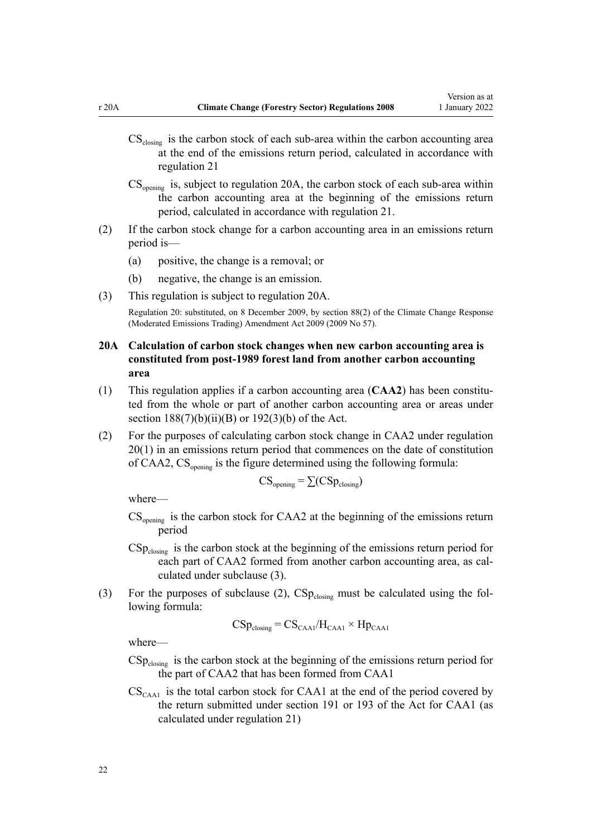- <span id="page-21-0"></span> $CS<sub>closure</sub>$  is the carbon stock of each sub-area within the carbon accounting area at the end of the emissions return period, calculated in accordance with [regulation 21](#page-22-0)
- $CS_{\text{opening}}$  is, subject to regulation 20A, the carbon stock of each sub-area within the carbon accounting area at the beginning of the emissions return period, calculated in accordance with [regulation 21.](#page-22-0)
- (2) If the carbon stock change for a carbon accounting area in an emissions return period is—
	- (a) positive, the change is a removal; or
	- (b) negative, the change is an emission.
- (3) This regulation is subject to regulation 20A.

Regulation 20: substituted, on 8 December 2009, by [section 88\(2\)](http://legislation.govt.nz/pdflink.aspx?id=DLM2595617) of the Climate Change Response (Moderated Emissions Trading) Amendment Act 2009 (2009 No 57).

- **20A Calculation of carbon stock changes when new carbon accounting area is constituted from post-1989 forest land from another carbon accounting area**
- (1) This regulation applies if a carbon accounting area (**CAA2**) has been constitu‐ ted from the whole or part of another carbon accounting area or areas under section  $188(7)(b)(ii)(B)$  or  $192(3)(b)$  of the Act.
- (2) For the purposes of calculating carbon stock change in CAA2 under [regulation](#page-20-0) [20\(1\)](#page-20-0) in an emissions return period that commences on the date of constitution of CAA2,  $CS_{\text{onening}}$  is the figure determined using the following formula:

$$
CS_{\text{opening}} = \sum (CSp_{\text{closing}})
$$

where—

- $CS_{\text{opening}}$  is the carbon stock for CAA2 at the beginning of the emissions return period
- $CSp_{\text{closure}}$  is the carbon stock at the beginning of the emissions return period for each part of CAA2 formed from another carbon accounting area, as calculated under subclause (3).
- (3) For the purposes of subclause (2),  $CSp_{\text{closure}}$  must be calculated using the following formula:

 $CSp_{\text{closure}} = CS_{\text{CAA1}}/H_{\text{CAA1}} \times Hp_{\text{CAA1}}$ 

where—

- $CSp_{\text{closure}}$  is the carbon stock at the beginning of the emissions return period for the part of CAA2 that has been formed from CAA1
- $CS_{\text{CAA1}}$  is the total carbon stock for CAA1 at the end of the period covered by the return submitted under [section 191](http://legislation.govt.nz/pdflink.aspx?id=DLM1662790) or [193](http://legislation.govt.nz/pdflink.aspx?id=DLM1662795) of the Act for CAA1 (as calculated under [regulation 21\)](#page-22-0)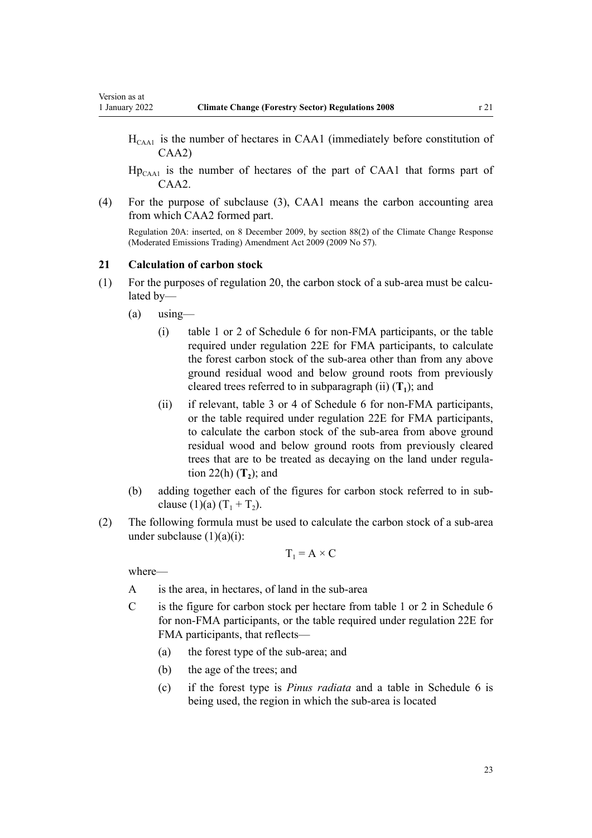- <span id="page-22-0"></span> $H<sub>CAAI</sub>$  is the number of hectares in CAA1 (immediately before constitution of CAA2)
- $Hp_{CAA1}$  is the number of hectares of the part of CAA1 that forms part of CAA<sub>2</sub>.
- (4) For the purpose of subclause (3), CAA1 means the carbon accounting area from which CAA2 formed part.

Regulation 20A: inserted, on 8 December 2009, by [section 88\(2\)](http://legislation.govt.nz/pdflink.aspx?id=DLM2595617) of the Climate Change Response (Moderated Emissions Trading) Amendment Act 2009 (2009 No 57).

#### **21 Calculation of carbon stock**

- $(1)$  For the purposes of [regulation 20](#page-20-0), the carbon stock of a sub-area must be calculated by—
	- $(a)$  using—
		- (i) table 1 or 2 of [Schedule 6](#page-70-0) for non-FMA participants, or the table required under [regulation 22E](#page-33-0) for FMA participants, to calculate the forest carbon stock of the sub-area other than from any above ground residual wood and below ground roots from previously cleared trees referred to in subparagraph (ii) (**T<sup>1</sup>** ); and
		- (ii) if relevant, table 3 or 4 of [Schedule 6](#page-70-0) for non-FMA participants, or the table required under [regulation 22E](#page-33-0) for FMA participants, to calculate the carbon stock of the sub-area from above ground residual wood and below ground roots from previously cleared trees that are to be treated as decaying on the land under [regula‐](#page-24-0) [tion 22\(h\)](#page-24-0) (**T<sup>2</sup>** ); and
	- (b) adding together each of the figures for carbon stock referred to in sub‐ clause (1)(a)  $(T_1 + T_2)$ .
- (2) The following formula must be used to calculate the carbon stock of a sub-area under subclause  $(1)(a)(i)$ :

$$
T_1 = A \times C
$$

where—

- A is the area, in hectares, of land in the sub-area
- C is the figure for carbon stock per hectare from table 1 or 2 in [Schedule 6](#page-70-0) for non-FMA participants, or the table required under [regulation 22E](#page-33-0) for FMA participants, that reflects—
	- (a) the forest type of the sub-area; and
	- (b) the age of the trees; and
	- (c) if the forest type is *Pinus radiata* and a table in [Schedule 6](#page-70-0) is being used, the region in which the sub-area is located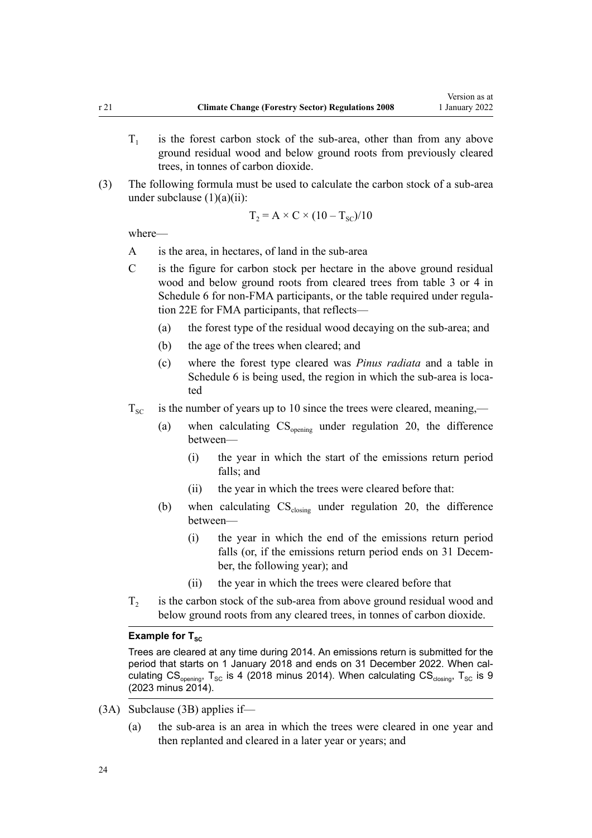- $T<sub>1</sub>$ is the forest carbon stock of the sub-area, other than from any above ground residual wood and below ground roots from previously cleared trees, in tonnes of carbon dioxide.
- (3) The following formula must be used to calculate the carbon stock of a sub-area under subclause  $(1)(a)(ii)$ :

$$
T_2 = A \times C \times (10 - T_{sc})/10
$$

where—

- A is the area, in hectares, of land in the sub-area
- C is the figure for carbon stock per hectare in the above ground residual wood and below ground roots from cleared trees from table 3 or 4 in [Schedule 6](#page-70-0) for non-FMA participants, or the table required under regula[tion 22E](#page-33-0) for FMA participants, that reflects—
	- (a) the forest type of the residual wood decaying on the sub-area; and
	- (b) the age of the trees when cleared; and
	- (c) where the forest type cleared was *Pinus radiata* and a table in [Schedule 6](#page-70-0) is being used, the region in which the sub-area is located
- $T_{SC}$  is the number of years up to 10 since the trees were cleared, meaning,—
	- (a) when calculating  $CS_{\text{opening}}$  under [regulation 20](#page-20-0), the difference between—
		- (i) the year in which the start of the emissions return period falls; and
		- (ii) the year in which the trees were cleared before that:
	- (b) when calculating  $CS_{\text{closing}}$  under [regulation 20](#page-20-0), the difference between—
		- (i) the year in which the end of the emissions return period falls (or, if the emissions return period ends on 31 December, the following year); and
		- (ii) the year in which the trees were cleared before that
- $T<sub>2</sub>$ is the carbon stock of the sub-area from above ground residual wood and below ground roots from any cleared trees, in tonnes of carbon dioxide.

### **Example for T<sub>SC</sub>**

Trees are cleared at any time during 2014. An emissions return is submitted for the period that starts on 1 January 2018 and ends on 31 December 2022. When calculating  $CS_{opening}$ , T<sub>SC</sub> is 4 (2018 minus 2014). When calculating  $CS_{closing}$ , T<sub>SC</sub> is 9 (2023 minus 2014).

- (3A) Subclause (3B) applies if—
	- (a) the sub-area is an area in which the trees were cleared in one year and then replanted and cleared in a later year or years; and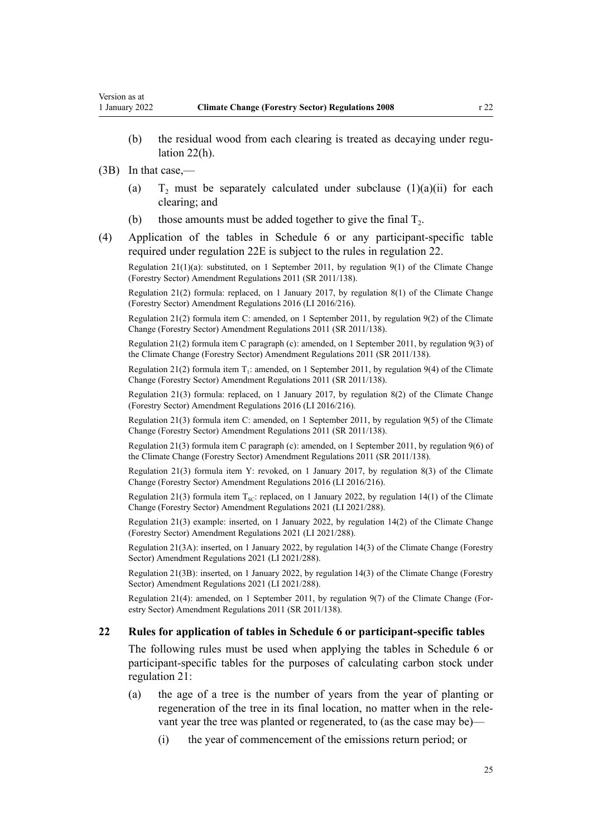<span id="page-24-0"></span>(b) the residual wood from each clearing is treated as decaying under regulation 22(h).

(3B) In that case,—

- $(a)$  $T_2$  must be separately calculated under subclause  $(1)(a)(ii)$  for each clearing; and
- (b) those amounts must be added together to give the final  $T_2$ .
- (4) Application of the tables in [Schedule 6](#page-70-0) or any participant-specific table required under [regulation 22E](#page-33-0) is subject to the rules in regulation 22.

Regulation 21(1)(a): substituted, on 1 September 2011, by [regulation 9\(1\)](http://legislation.govt.nz/pdflink.aspx?id=DLM3733308) of the Climate Change (Forestry Sector) Amendment Regulations 2011 (SR 2011/138).

Regulation 21(2) formula: replaced, on 1 January 2017, by [regulation 8\(1\)](http://legislation.govt.nz/pdflink.aspx?id=DLM6964839) of the Climate Change (Forestry Sector) Amendment Regulations 2016 (LI 2016/216).

Regulation 21(2) formula item C: amended, on 1 September 2011, by [regulation 9\(2\)](http://legislation.govt.nz/pdflink.aspx?id=DLM3733308) of the Climate Change (Forestry Sector) Amendment Regulations 2011 (SR 2011/138).

Regulation 21(2) formula item C paragraph (c): amended, on 1 September 2011, by [regulation 9\(3\)](http://legislation.govt.nz/pdflink.aspx?id=DLM3733308) of the Climate Change (Forestry Sector) Amendment Regulations 2011 (SR 2011/138).

Regulation 21(2) formula item  $T_1$ : amended, on 1 September 2011, by [regulation 9\(4\)](http://legislation.govt.nz/pdflink.aspx?id=DLM3733308) of the Climate Change (Forestry Sector) Amendment Regulations 2011 (SR 2011/138).

Regulation 21(3) formula: replaced, on 1 January 2017, by [regulation 8\(2\)](http://legislation.govt.nz/pdflink.aspx?id=DLM6964839) of the Climate Change (Forestry Sector) Amendment Regulations 2016 (LI 2016/216).

Regulation 21(3) formula item C: amended, on 1 September 2011, by [regulation 9\(5\)](http://legislation.govt.nz/pdflink.aspx?id=DLM3733308) of the Climate Change (Forestry Sector) Amendment Regulations 2011 (SR 2011/138).

Regulation 21(3) formula item C paragraph (c): amended, on 1 September 2011, by [regulation 9\(6\)](http://legislation.govt.nz/pdflink.aspx?id=DLM3733308) of the Climate Change (Forestry Sector) Amendment Regulations 2011 (SR 2011/138).

Regulation 21(3) formula item Y: revoked, on 1 January 2017, by [regulation 8\(3\)](http://legislation.govt.nz/pdflink.aspx?id=DLM6964839) of the Climate Change (Forestry Sector) Amendment Regulations 2016 (LI 2016/216).

Regulation 21(3) formula item  $T_{\text{sc}}$ : replaced, on 1 January 2022, by [regulation 14\(1\)](http://legislation.govt.nz/pdflink.aspx?id=LMS539375) of the Climate Change (Forestry Sector) Amendment Regulations 2021 (LI 2021/288).

Regulation 21(3) example: inserted, on 1 January 2022, by [regulation 14\(2\)](http://legislation.govt.nz/pdflink.aspx?id=LMS539375) of the Climate Change (Forestry Sector) Amendment Regulations 2021 (LI 2021/288).

Regulation 21(3A): inserted, on 1 January 2022, by [regulation 14\(3\)](http://legislation.govt.nz/pdflink.aspx?id=LMS539375) of the Climate Change (Forestry Sector) Amendment Regulations 2021 (LI 2021/288).

Regulation 21(3B): inserted, on 1 January 2022, by [regulation 14\(3\)](http://legislation.govt.nz/pdflink.aspx?id=LMS539375) of the Climate Change (Forestry Sector) Amendment Regulations 2021 (LI 2021/288).

Regulation 21(4): amended, on 1 September 2011, by [regulation 9\(7\)](http://legislation.govt.nz/pdflink.aspx?id=DLM3733308) of the Climate Change (For‐ estry Sector) Amendment Regulations 2011 (SR 2011/138).

### **22 Rules for application of tables in Schedule 6 or participant-specific tables**

The following rules must be used when applying the tables in [Schedule 6](#page-70-0) or participant-specific tables for the purposes of calculating carbon stock under [regulation 21](#page-22-0):

- (a) the age of a tree is the number of years from the year of planting or regeneration of the tree in its final location, no matter when in the relevant year the tree was planted or regenerated, to (as the case may be)—
	- (i) the year of commencement of the emissions return period; or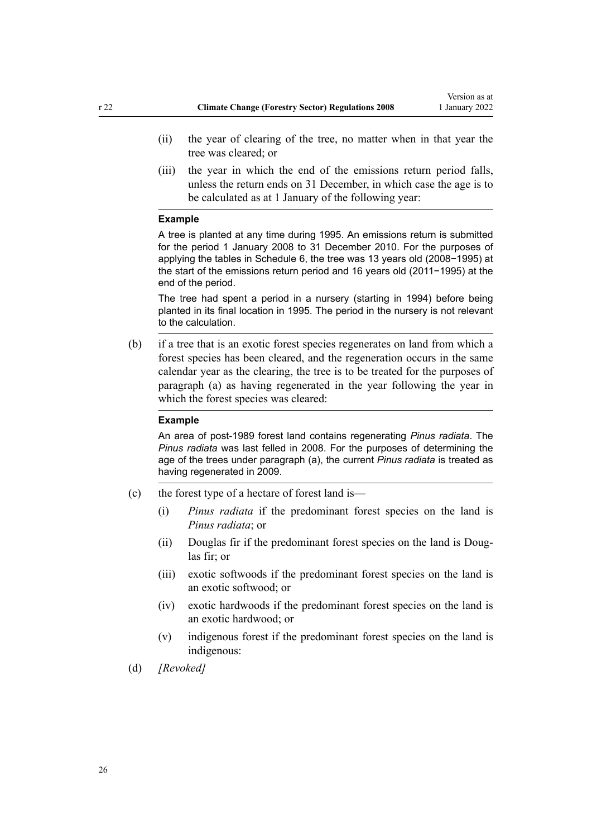- (ii) the year of clearing of the tree, no matter when in that year the tree was cleared; or
- (iii) the year in which the end of the emissions return period falls, unless the return ends on 31 December, in which case the age is to be calculated as at 1 January of the following year:

#### **Example**

A tree is planted at any time during 1995. An emissions return is submitted for the period 1 January 2008 to 31 December 2010. For the purposes of applying the tables in Schedule 6, the tree was 13 years old (2008−1995) at the start of the emissions return period and 16 years old (2011−1995) at the end of the period.

The tree had spent a period in a nursery (starting in 1994) before being planted in its final location in 1995. The period in the nursery is not relevant to the calculation.

(b) if a tree that is an exotic forest species regenerates on land from which a forest species has been cleared, and the regeneration occurs in the same calendar year as the clearing, the tree is to be treated for the purposes of paragraph (a) as having regenerated in the year following the year in which the forest species was cleared:

#### **Example**

An area of post-1989 forest land contains regenerating *Pinus radiata*. The *Pinus radiata* was last felled in 2008. For the purposes of determining the age of the trees under paragraph (a), the current *Pinus radiata* is treated as having regenerated in 2009.

- (c) the forest type of a hectare of forest land is—
	- (i) *Pinus radiata* if the predominant forest species on the land is *Pinus radiata*; or
	- (ii) Douglas fir if the predominant forest species on the land is Douglas fir; or
	- (iii) exotic softwoods if the predominant forest species on the land is an exotic softwood; or
	- (iv) exotic hardwoods if the predominant forest species on the land is an exotic hardwood; or
	- (v) indigenous forest if the predominant forest species on the land is indigenous:
- (d) *[Revoked]*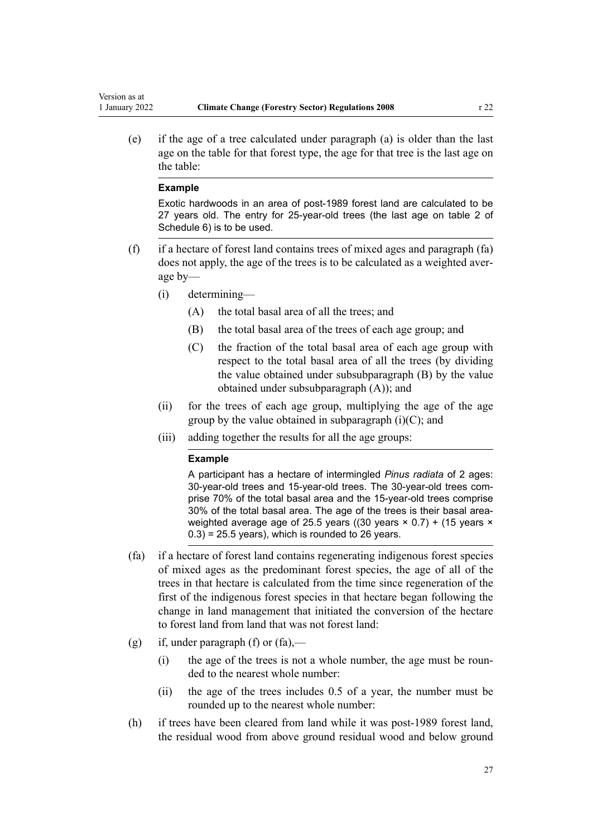(e) if the age of a tree calculated under paragraph (a) is older than the last age on the table for that forest type, the age for that tree is the last age on the table:

#### **Example**

Exotic hardwoods in an area of post-1989 forest land are calculated to be 27 years old. The entry for 25-year-old trees (the last age on table 2 of Schedule 6) is to be used.

- (f) if a hectare of forest land contains trees of mixed ages and paragraph (fa) does not apply, the age of the trees is to be calculated as a weighted aver‐ age by—
	- (i) determining—
		- (A) the total basal area of all the trees; and
		- (B) the total basal area of the trees of each age group; and
		- (C) the fraction of the total basal area of each age group with respect to the total basal area of all the trees (by dividing the value obtained under subsubparagraph (B) by the value obtained under subsubparagraph (A)); and
	- (ii) for the trees of each age group, multiplying the age of the age group by the value obtained in subparagraph  $(i)(C)$ ; and
	- (iii) adding together the results for all the age groups:

### **Example**

A participant has a hectare of intermingled *Pinus radiata* of 2 ages: 30-year-old trees and 15-year-old trees. The 30-year-old trees comprise 70% of the total basal area and the 15-year-old trees comprise 30% of the total basal area. The age of the trees is their basal areaweighted average age of 25.5 years ((30 years × 0.7) + (15 years ×  $(0.3) = 25.5$  years), which is rounded to 26 years.

- (fa) if a hectare of forest land contains regenerating indigenous forest species of mixed ages as the predominant forest species, the age of all of the trees in that hectare is calculated from the time since regeneration of the first of the indigenous forest species in that hectare began following the change in land management that initiated the conversion of the hectare to forest land from land that was not forest land:
- (g) if, under paragraph (f) or  $(fa)$ ,—
	- (i) the age of the trees is not a whole number, the age must be rounded to the nearest whole number:
	- (ii) the age of the trees includes 0.5 of a year, the number must be rounded up to the nearest whole number:
- (h) if trees have been cleared from land while it was post-1989 forest land, the residual wood from above ground residual wood and below ground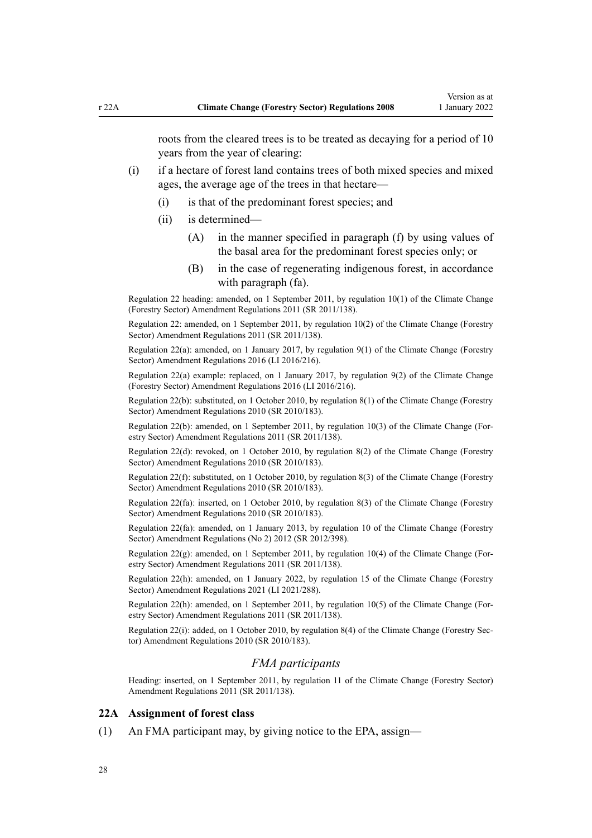<span id="page-27-0"></span>roots from the cleared trees is to be treated as decaying for a period of 10 years from the year of clearing:

- (i) if a hectare of forest land contains trees of both mixed species and mixed ages, the average age of the trees in that hectare—
	- (i) is that of the predominant forest species; and
	- (ii) is determined—
		- (A) in the manner specified in paragraph (f) by using values of the basal area for the predominant forest species only; or
		- (B) in the case of regenerating indigenous forest, in accordance with paragraph (fa).

Regulation 22 heading: amended, on 1 September 2011, by [regulation 10\(1\)](http://legislation.govt.nz/pdflink.aspx?id=DLM3733409) of the Climate Change (Forestry Sector) Amendment Regulations 2011 (SR 2011/138).

Regulation 22: amended, on 1 September 2011, by [regulation 10\(2\)](http://legislation.govt.nz/pdflink.aspx?id=DLM3733409) of the Climate Change (Forestry Sector) Amendment Regulations 2011 (SR 2011/138).

Regulation 22(a): amended, on 1 January 2017, by [regulation 9\(1\)](http://legislation.govt.nz/pdflink.aspx?id=DLM6964842) of the Climate Change (Forestry Sector) Amendment Regulations 2016 (LI 2016/216).

Regulation 22(a) example: replaced, on 1 January 2017, by [regulation 9\(2\)](http://legislation.govt.nz/pdflink.aspx?id=DLM6964842) of the Climate Change (Forestry Sector) Amendment Regulations 2016 (LI 2016/216).

Regulation 22(b): substituted, on 1 October 2010, by [regulation 8\(1\)](http://legislation.govt.nz/pdflink.aspx?id=DLM3048756) of the Climate Change (Forestry Sector) Amendment Regulations 2010 (SR 2010/183).

Regulation 22(b): amended, on 1 September 2011, by [regulation 10\(3\)](http://legislation.govt.nz/pdflink.aspx?id=DLM3733409) of the Climate Change (For‐ estry Sector) Amendment Regulations 2011 (SR 2011/138).

Regulation 22(d): revoked, on 1 October 2010, by [regulation 8\(2\)](http://legislation.govt.nz/pdflink.aspx?id=DLM3048756) of the Climate Change (Forestry Sector) Amendment Regulations 2010 (SR 2010/183).

Regulation 22(f): substituted, on 1 October 2010, by [regulation 8\(3\)](http://legislation.govt.nz/pdflink.aspx?id=DLM3048756) of the Climate Change (Forestry Sector) Amendment Regulations 2010 (SR 2010/183).

Regulation 22(fa): inserted, on 1 October 2010, by [regulation 8\(3\)](http://legislation.govt.nz/pdflink.aspx?id=DLM3048756) of the Climate Change (Forestry Sector) Amendment Regulations 2010 (SR 2010/183).

Regulation 22(fa): amended, on 1 January 2013, by [regulation 10](http://legislation.govt.nz/pdflink.aspx?id=DLM4918720) of the Climate Change (Forestry Sector) Amendment Regulations (No 2) 2012 (SR 2012/398).

Regulation 22(g): amended, on 1 September 2011, by [regulation 10\(4\)](http://legislation.govt.nz/pdflink.aspx?id=DLM3733409) of the Climate Change (Forestry Sector) Amendment Regulations 2011 (SR 2011/138).

Regulation 22(h): amended, on 1 January 2022, by [regulation 15](http://legislation.govt.nz/pdflink.aspx?id=LMS539376) of the Climate Change (Forestry Sector) Amendment Regulations 2021 (LI 2021/288).

Regulation 22(h): amended, on 1 September 2011, by [regulation 10\(5\)](http://legislation.govt.nz/pdflink.aspx?id=DLM3733409) of the Climate Change (Forestry Sector) Amendment Regulations 2011 (SR 2011/138).

Regulation 22(i): added, on 1 October 2010, by [regulation 8\(4\)](http://legislation.govt.nz/pdflink.aspx?id=DLM3048756) of the Climate Change (Forestry Sec‐ tor) Amendment Regulations 2010 (SR 2010/183).

#### *FMA participants*

Heading: inserted, on 1 September 2011, by [regulation 11](http://legislation.govt.nz/pdflink.aspx?id=DLM3733410) of the Climate Change (Forestry Sector) Amendment Regulations 2011 (SR 2011/138).

### **22A Assignment of forest class**

(1) An FMA participant may, by giving notice to the EPA, assign—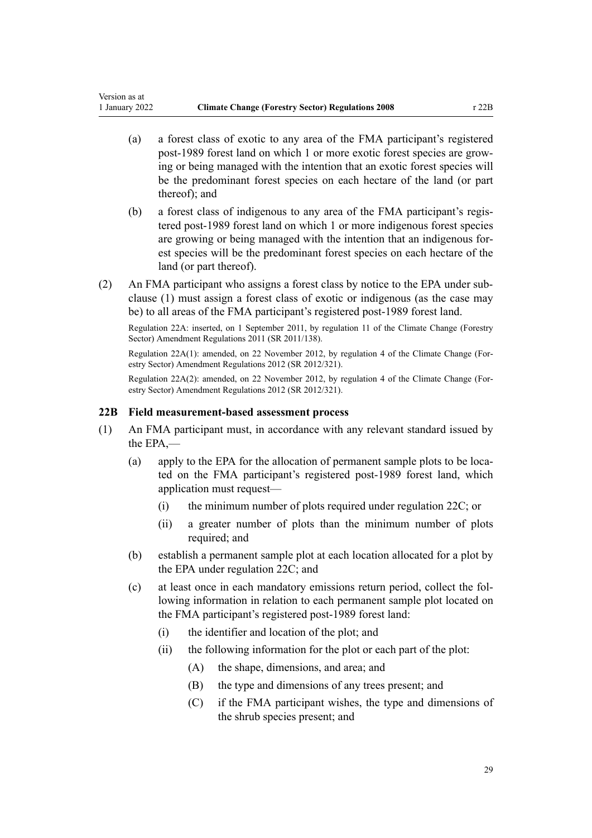<span id="page-28-0"></span>Version as at

- (a) a forest class of exotic to any area of the FMA participant's registered post-1989 forest land on which 1 or more exotic forest species are grow‐ ing or being managed with the intention that an exotic forest species will be the predominant forest species on each hectare of the land (or part thereof); and
- (b) a forest class of indigenous to any area of the FMA participant's regis‐ tered post-1989 forest land on which 1 or more indigenous forest species are growing or being managed with the intention that an indigenous for‐ est species will be the predominant forest species on each hectare of the land (or part thereof).
- (2) An FMA participant who assigns a forest class by notice to the EPA under sub‐ clause (1) must assign a forest class of exotic or indigenous (as the case may be) to all areas of the FMA participant's registered post-1989 forest land.

Regulation 22A: inserted, on 1 September 2011, by [regulation 11](http://legislation.govt.nz/pdflink.aspx?id=DLM3733410) of the Climate Change (Forestry Sector) Amendment Regulations 2011 (SR 2011/138).

Regulation 22A(1): amended, on 22 November 2012, by [regulation 4](http://legislation.govt.nz/pdflink.aspx?id=DLM4807907) of the Climate Change (For‐ estry Sector) Amendment Regulations 2012 (SR 2012/321).

Regulation 22A(2): amended, on 22 November 2012, by [regulation 4](http://legislation.govt.nz/pdflink.aspx?id=DLM4807907) of the Climate Change (For‐ estry Sector) Amendment Regulations 2012 (SR 2012/321).

# **22B Field measurement-based assessment process**

- (1) An FMA participant must, in accordance with any relevant standard issued by the EPA,—
	- (a) apply to the EPA for the allocation of permanent sample plots to be located on the FMA participant's registered post-1989 forest land, which application must request—
		- (i) the minimum number of plots required under [regulation 22C](#page-30-0); or
		- (ii) a greater number of plots than the minimum number of plots required; and
	- (b) establish a permanent sample plot at each location allocated for a plot by the EPA under [regulation 22C](#page-30-0); and
	- (c) at least once in each mandatory emissions return period, collect the fol‐ lowing information in relation to each permanent sample plot located on the FMA participant's registered post-1989 forest land:
		- (i) the identifier and location of the plot; and
		- (ii) the following information for the plot or each part of the plot:
			- (A) the shape, dimensions, and area; and
			- (B) the type and dimensions of any trees present; and
			- (C) if the FMA participant wishes, the type and dimensions of the shrub species present; and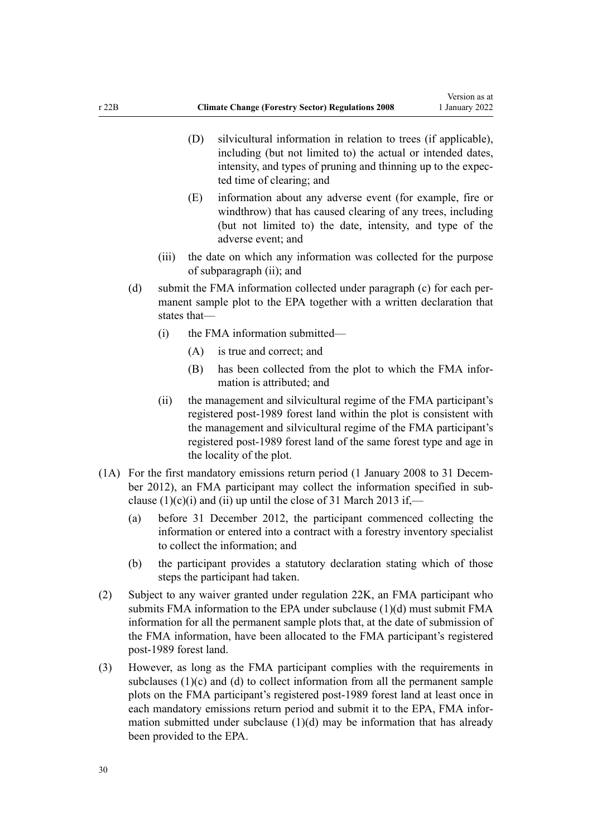- (D) silvicultural information in relation to trees (if applicable), including (but not limited to) the actual or intended dates, intensity, and types of pruning and thinning up to the expected time of clearing; and
- (E) information about any adverse event (for example, fire or windthrow) that has caused clearing of any trees, including (but not limited to) the date, intensity, and type of the adverse event; and
- (iii) the date on which any information was collected for the purpose of subparagraph (ii); and
- (d) submit the FMA information collected under paragraph (c) for each permanent sample plot to the EPA together with a written declaration that states that—
	- (i) the FMA information submitted—
		- (A) is true and correct; and
		- (B) has been collected from the plot to which the FMA infor‐ mation is attributed; and
	- (ii) the management and silvicultural regime of the FMA participant's registered post-1989 forest land within the plot is consistent with the management and silvicultural regime of the FMA participant's registered post-1989 forest land of the same forest type and age in the locality of the plot.
- (1A) For the first mandatory emissions return period (1 January 2008 to 31 Decem‐ ber 2012), an FMA participant may collect the information specified in subclause  $(1)(c)(i)$  and  $(ii)$  up until the close of 31 March 2013 if,-
	- (a) before 31 December 2012, the participant commenced collecting the information or entered into a contract with a forestry inventory specialist to collect the information; and
	- (b) the participant provides a statutory declaration stating which of those steps the participant had taken.
- (2) Subject to any waiver granted under [regulation 22K,](#page-44-0) an FMA participant who submits FMA information to the EPA under subclause (1)(d) must submit FMA information for all the permanent sample plots that, at the date of submission of the FMA information, have been allocated to the FMA participant's registered post-1989 forest land.
- (3) However, as long as the FMA participant complies with the requirements in subclauses  $(1)(c)$  and  $(d)$  to collect information from all the permanent sample plots on the FMA participant's registered post-1989 forest land at least once in each mandatory emissions return period and submit it to the EPA, FMA information submitted under subclause (1)(d) may be information that has already been provided to the EPA.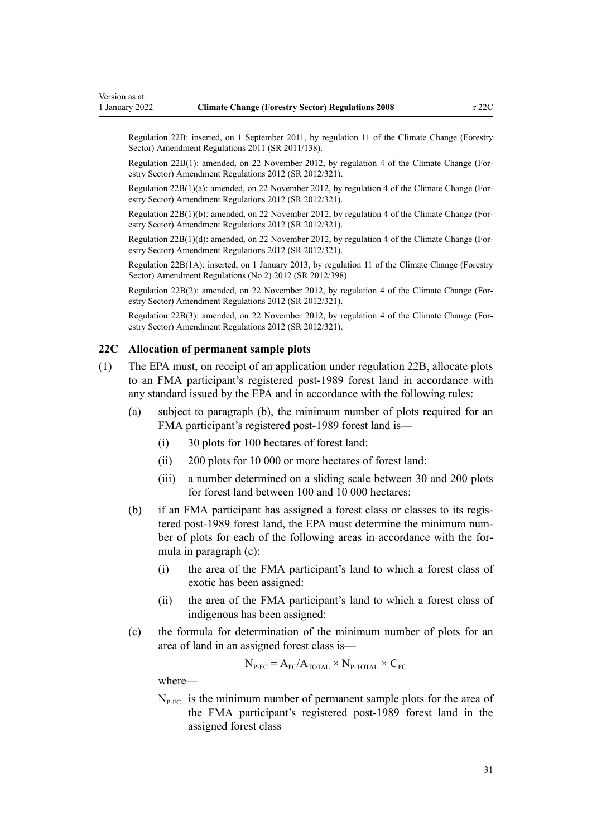<span id="page-30-0"></span>Regulation 22B: inserted, on 1 September 2011, by [regulation 11](http://legislation.govt.nz/pdflink.aspx?id=DLM3733410) of the Climate Change (Forestry Sector) Amendment Regulations 2011 (SR 2011/138).

Regulation 22B(1): amended, on 22 November 2012, by [regulation 4](http://legislation.govt.nz/pdflink.aspx?id=DLM4807907) of the Climate Change (For‐ estry Sector) Amendment Regulations 2012 (SR 2012/321).

Regulation 22B(1)(a): amended, on 22 November 2012, by [regulation 4](http://legislation.govt.nz/pdflink.aspx?id=DLM4807907) of the Climate Change (For‐ estry Sector) Amendment Regulations 2012 (SR 2012/321).

Regulation 22B(1)(b): amended, on 22 November 2012, by [regulation 4](http://legislation.govt.nz/pdflink.aspx?id=DLM4807907) of the Climate Change (Forestry Sector) Amendment Regulations 2012 (SR 2012/321).

Regulation 22B(1)(d): amended, on 22 November 2012, by [regulation 4](http://legislation.govt.nz/pdflink.aspx?id=DLM4807907) of the Climate Change (Forestry Sector) Amendment Regulations 2012 (SR 2012/321).

Regulation 22B(1A): inserted, on 1 January 2013, by [regulation 11](http://legislation.govt.nz/pdflink.aspx?id=DLM4918721) of the Climate Change (Forestry Sector) Amendment Regulations (No 2) 2012 (SR 2012/398).

Regulation 22B(2): amended, on 22 November 2012, by [regulation 4](http://legislation.govt.nz/pdflink.aspx?id=DLM4807907) of the Climate Change (Forestry Sector) Amendment Regulations 2012 (SR 2012/321).

Regulation 22B(3): amended, on 22 November 2012, by [regulation 4](http://legislation.govt.nz/pdflink.aspx?id=DLM4807907) of the Climate Change (For‐ estry Sector) Amendment Regulations 2012 (SR 2012/321).

### **22C Allocation of permanent sample plots**

- (1) The EPA must, on receipt of an application under [regulation 22B](#page-28-0), allocate plots to an FMA participant's registered post-1989 forest land in accordance with any standard issued by the EPA and in accordance with the following rules:
	- (a) subject to paragraph (b), the minimum number of plots required for an FMA participant's registered post-1989 forest land is—
		- (i) 30 plots for 100 hectares of forest land:
		- (ii) 200 plots for 10 000 or more hectares of forest land:
		- (iii) a number determined on a sliding scale between 30 and 200 plots for forest land between 100 and 10 000 hectares:
	- (b) if an FMA participant has assigned a forest class or classes to its regis‐ tered post-1989 forest land, the EPA must determine the minimum num‐ ber of plots for each of the following areas in accordance with the formula in paragraph (c):
		- (i) the area of the FMA participant's land to which a forest class of exotic has been assigned:
		- (ii) the area of the FMA participant's land to which a forest class of indigenous has been assigned:
	- (c) the formula for determination of the minimum number of plots for an area of land in an assigned forest class is—

$$
N_{P\text{-FC}} = A_{FC} / A_{TOTAL} \times N_{P\text{-TOTAL}} \times C_{FC}
$$

where—

 $N_{P-FC}$  is the minimum number of permanent sample plots for the area of the FMA participant's registered post-1989 forest land in the assigned forest class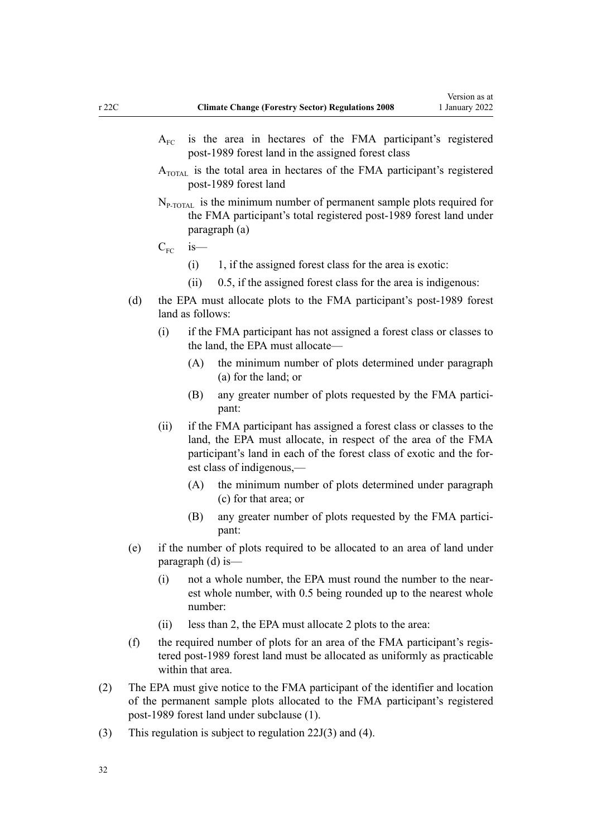- $A_{\text{FC}}$  is the area in hectares of the FMA participant's registered post-1989 forest land in the assigned forest class
- $A_{\text{total}}$  is the total area in hectares of the FMA participant's registered post-1989 forest land
- $N_{P\text{-TOTAL}}$  is the minimum number of permanent sample plots required for the FMA participant's total registered post-1989 forest land under paragraph (a)

 $C_{\text{FC}}$  is—

- $(i)$  1, if the assigned forest class for the area is exotic:
- (ii) 0.5, if the assigned forest class for the area is indigenous:
- (d) the EPA must allocate plots to the FMA participant's post-1989 forest land as follows:
	- (i) if the FMA participant has not assigned a forest class or classes to the land, the EPA must allocate—
		- (A) the minimum number of plots determined under paragraph (a) for the land; or
		- (B) any greater number of plots requested by the FMA participant:
	- (ii) if the FMA participant has assigned a forest class or classes to the land, the EPA must allocate, in respect of the area of the FMA participant's land in each of the forest class of exotic and the forest class of indigenous,—
		- (A) the minimum number of plots determined under paragraph (c) for that area; or
		- (B) any greater number of plots requested by the FMA participant:
- (e) if the number of plots required to be allocated to an area of land under paragraph (d) is—
	- (i) not a whole number, the EPA must round the number to the near‐ est whole number, with 0.5 being rounded up to the nearest whole number:
	- (ii) less than 2, the EPA must allocate 2 plots to the area:
- (f) the required number of plots for an area of the FMA participant's regis‐ tered post-1989 forest land must be allocated as uniformly as practicable within that area.
- (2) The EPA must give notice to the FMA participant of the identifier and location of the permanent sample plots allocated to the FMA participant's registered post-1989 forest land under subclause (1).
- (3) This regulation is subject to [regulation 22J\(3\) and \(4\)](#page-41-0).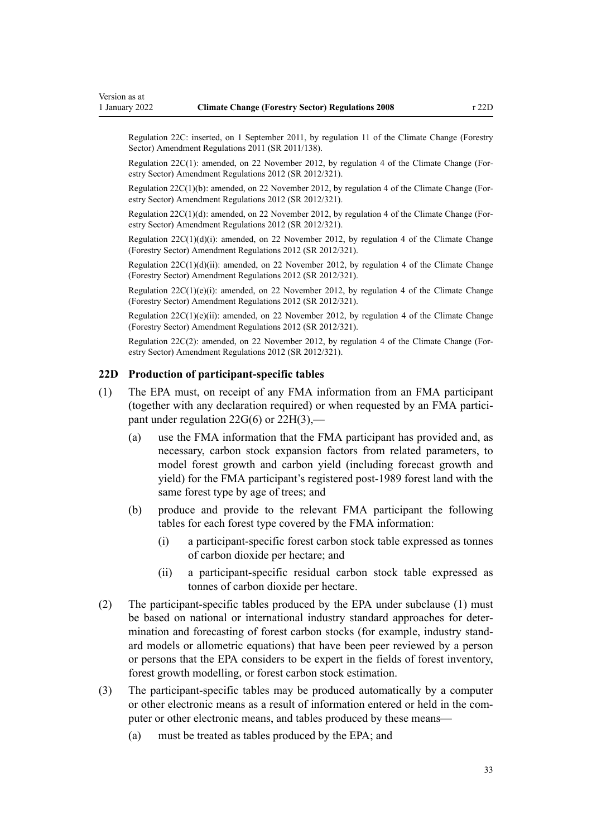<span id="page-32-0"></span>Regulation 22C: inserted, on 1 September 2011, by [regulation 11](http://legislation.govt.nz/pdflink.aspx?id=DLM3733410) of the Climate Change (Forestry Sector) Amendment Regulations 2011 (SR 2011/138).

Regulation 22C(1): amended, on 22 November 2012, by [regulation 4](http://legislation.govt.nz/pdflink.aspx?id=DLM4807907) of the Climate Change (For‐ estry Sector) Amendment Regulations 2012 (SR 2012/321).

Regulation 22C(1)(b): amended, on 22 November 2012, by [regulation 4](http://legislation.govt.nz/pdflink.aspx?id=DLM4807907) of the Climate Change (Forestry Sector) Amendment Regulations 2012 (SR 2012/321).

Regulation  $22C(1)(d)$ : amended, on 22 November 2012, by [regulation 4](http://legislation.govt.nz/pdflink.aspx?id=DLM4807907) of the Climate Change (Forestry Sector) Amendment Regulations 2012 (SR 2012/321).

Regulation  $22C(1)(d)(i)$ : amended, on 22 November 2012, by [regulation 4](http://legislation.govt.nz/pdflink.aspx?id=DLM4807907) of the Climate Change (Forestry Sector) Amendment Regulations 2012 (SR 2012/321).

Regulation  $22C(1)(d)(ii)$ : amended, on 22 November 2012, by [regulation 4](http://legislation.govt.nz/pdflink.aspx?id=DLM4807907) of the Climate Change (Forestry Sector) Amendment Regulations 2012 (SR 2012/321).

Regulation  $22C(1)(e)(i)$ : amended, on 22 November 2012, by [regulation 4](http://legislation.govt.nz/pdflink.aspx?id=DLM4807907) of the Climate Change (Forestry Sector) Amendment Regulations 2012 (SR 2012/321).

Regulation  $22C(1)(e)(ii)$ : amended, on 22 November 2012, by [regulation 4](http://legislation.govt.nz/pdflink.aspx?id=DLM4807907) of the Climate Change (Forestry Sector) Amendment Regulations 2012 (SR 2012/321).

Regulation 22C(2): amended, on 22 November 2012, by [regulation 4](http://legislation.govt.nz/pdflink.aspx?id=DLM4807907) of the Climate Change (Forestry Sector) Amendment Regulations 2012 (SR 2012/321).

## **22D Production of participant-specific tables**

- (1) The EPA must, on receipt of any FMA information from an FMA participant (together with any declaration required) or when requested by an FMA partici‐ pant under [regulation 22G\(6\)](#page-36-0) or [22H\(3\)](#page-38-0),—
	- (a) use the FMA information that the FMA participant has provided and, as necessary, carbon stock expansion factors from related parameters, to model forest growth and carbon yield (including forecast growth and yield) for the FMA participant's registered post-1989 forest land with the same forest type by age of trees; and
	- (b) produce and provide to the relevant FMA participant the following tables for each forest type covered by the FMA information:
		- (i) a participant-specific forest carbon stock table expressed as tonnes of carbon dioxide per hectare; and
		- (ii) a participant-specific residual carbon stock table expressed as tonnes of carbon dioxide per hectare.
- (2) The participant-specific tables produced by the EPA under subclause (1) must be based on national or international industry standard approaches for determination and forecasting of forest carbon stocks (for example, industry stand‐ ard models or allometric equations) that have been peer reviewed by a person or persons that the EPA considers to be expert in the fields of forest inventory, forest growth modelling, or forest carbon stock estimation.
- (3) The participant-specific tables may be produced automatically by a computer or other electronic means as a result of information entered or held in the computer or other electronic means, and tables produced by these means—
	- (a) must be treated as tables produced by the EPA; and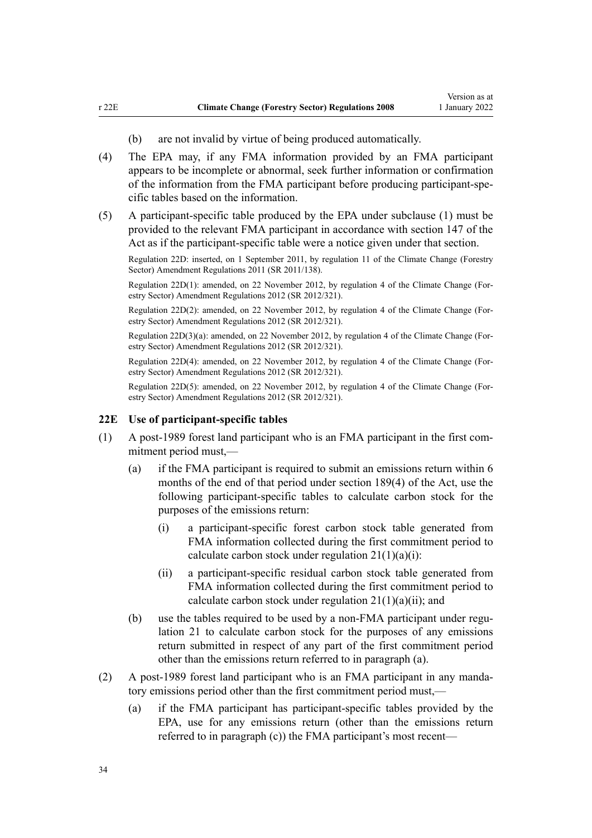- (b) are not invalid by virtue of being produced automatically.
- <span id="page-33-0"></span>(4) The EPA may, if any FMA information provided by an FMA participant appears to be incomplete or abnormal, seek further information or confirmation of the information from the FMA participant before producing participant-spe‐ cific tables based on the information.
- (5) A participant-specific table produced by the EPA under subclause (1) must be provided to the relevant FMA participant in accordance with [section 147](http://legislation.govt.nz/pdflink.aspx?id=DLM1662720) of the Act as if the participant-specific table were a notice given under that section.

Regulation 22D: inserted, on 1 September 2011, by [regulation 11](http://legislation.govt.nz/pdflink.aspx?id=DLM3733410) of the Climate Change (Forestry Sector) Amendment Regulations 2011 (SR 2011/138).

Regulation 22D(1): amended, on 22 November 2012, by [regulation 4](http://legislation.govt.nz/pdflink.aspx?id=DLM4807907) of the Climate Change (For‐ estry Sector) Amendment Regulations 2012 (SR 2012/321).

Regulation 22D(2): amended, on 22 November 2012, by [regulation 4](http://legislation.govt.nz/pdflink.aspx?id=DLM4807907) of the Climate Change (For‐ estry Sector) Amendment Regulations 2012 (SR 2012/321).

Regulation 22D(3)(a): amended, on 22 November 2012, by [regulation 4](http://legislation.govt.nz/pdflink.aspx?id=DLM4807907) of the Climate Change (For‐ estry Sector) Amendment Regulations 2012 (SR 2012/321).

Regulation 22D(4): amended, on 22 November 2012, by [regulation 4](http://legislation.govt.nz/pdflink.aspx?id=DLM4807907) of the Climate Change (For‐ estry Sector) Amendment Regulations 2012 (SR 2012/321).

Regulation 22D(5): amended, on 22 November 2012, by [regulation 4](http://legislation.govt.nz/pdflink.aspx?id=DLM4807907) of the Climate Change (For‐ estry Sector) Amendment Regulations 2012 (SR 2012/321).

# **22E Use of participant-specific tables**

- (1) A post-1989 forest land participant who is an FMA participant in the first com‐ mitment period must,—
	- (a) if the FMA participant is required to submit an emissions return within 6 months of the end of that period under [section 189\(4\)](http://legislation.govt.nz/pdflink.aspx?id=DLM1662782) of the Act, use the following participant-specific tables to calculate carbon stock for the purposes of the emissions return:
		- (i) a participant-specific forest carbon stock table generated from FMA information collected during the first commitment period to calculate carbon stock under regulation  $21(1)(a)(i)$ :
		- (ii) a participant-specific residual carbon stock table generated from FMA information collected during the first commitment period to calculate carbon stock under regulation  $21(1)(a)(ii)$ ; and
	- (b) use the tables required to be used by a non-FMA participant under regu[lation 21](#page-22-0) to calculate carbon stock for the purposes of any emissions return submitted in respect of any part of the first commitment period other than the emissions return referred to in paragraph (a).
- (2) A post-1989 forest land participant who is an FMA participant in any manda‐ tory emissions period other than the first commitment period must,—
	- (a) if the FMA participant has participant-specific tables provided by the EPA, use for any emissions return (other than the emissions return referred to in paragraph (c)) the FMA participant's most recent—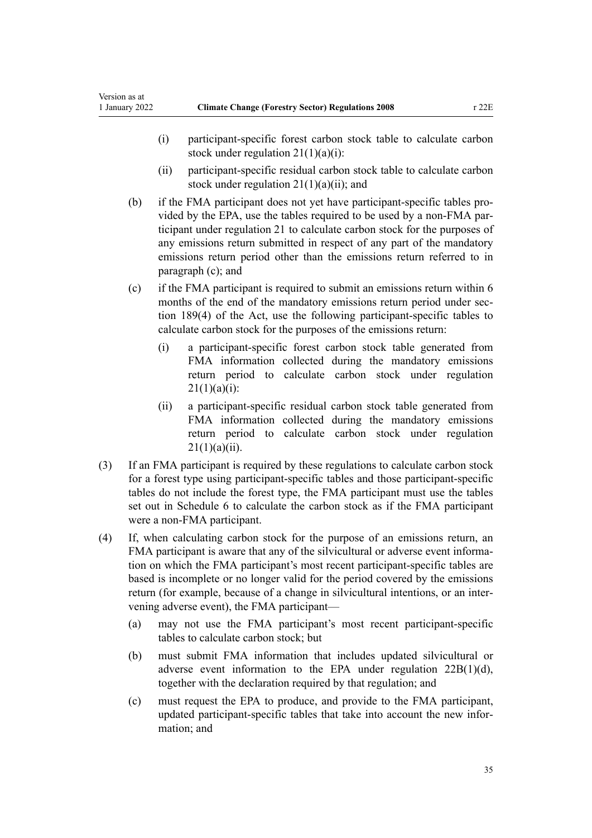Version as at

- (i) participant-specific forest carbon stock table to calculate carbon stock under regulation  $21(1)(a)(i)$ :
- (ii) participant-specific residual carbon stock table to calculate carbon stock under regulation  $21(1)(a)(ii)$ ; and
- (b) if the FMA participant does not yet have participant-specific tables pro‐ vided by the EPA, use the tables required to be used by a non-FMA par‐ ticipant under [regulation 21](#page-22-0) to calculate carbon stock for the purposes of any emissions return submitted in respect of any part of the mandatory emissions return period other than the emissions return referred to in paragraph (c); and
- (c) if the FMA participant is required to submit an emissions return within 6 months of the end of the mandatory emissions return period under sec[tion 189\(4\)](http://legislation.govt.nz/pdflink.aspx?id=DLM1662782) of the Act, use the following participant-specific tables to calculate carbon stock for the purposes of the emissions return:
	- (i) a participant-specific forest carbon stock table generated from FMA information collected during the mandatory emissions return period to calculate carbon stock under [regulation](#page-22-0)  $21(1)(a)(i)$ :
	- (ii) a participant-specific residual carbon stock table generated from FMA information collected during the mandatory emissions return period to calculate carbon stock under [regulation](#page-22-0)  $21(1)(a)(ii)$ .
- (3) If an FMA participant is required by these regulations to calculate carbon stock for a forest type using participant-specific tables and those participant-specific tables do not include the forest type, the FMA participant must use the tables set out in [Schedule 6](#page-70-0) to calculate the carbon stock as if the FMA participant were a non-FMA participant.
- (4) If, when calculating carbon stock for the purpose of an emissions return, an FMA participant is aware that any of the silvicultural or adverse event information on which the FMA participant's most recent participant-specific tables are based is incomplete or no longer valid for the period covered by the emissions return (for example, because of a change in silvicultural intentions, or an inter‐ vening adverse event), the FMA participant—
	- (a) may not use the FMA participant's most recent participant-specific tables to calculate carbon stock; but
	- (b) must submit FMA information that includes updated silvicultural or adverse event information to the EPA under [regulation 22B\(1\)\(d\)](#page-28-0), together with the declaration required by that regulation; and
	- (c) must request the EPA to produce, and provide to the FMA participant, updated participant-specific tables that take into account the new infor‐ mation; and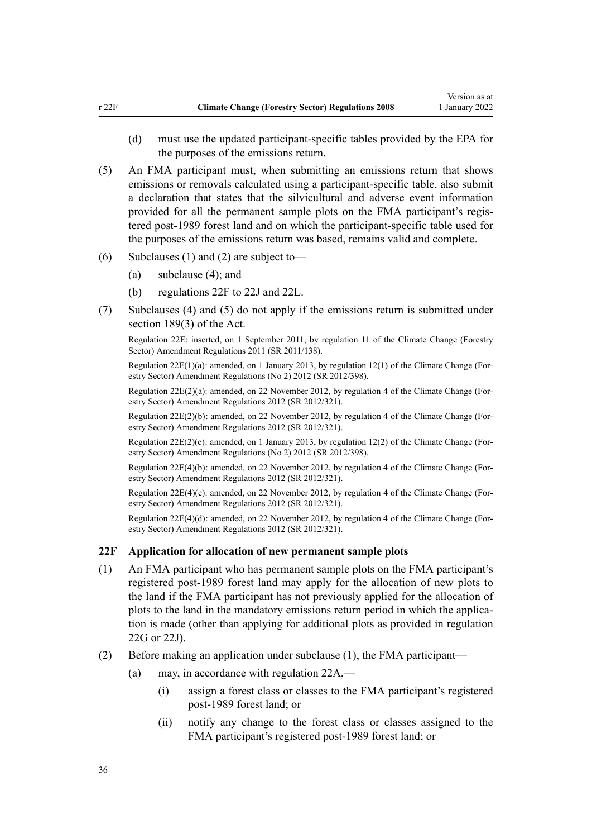- <span id="page-35-0"></span>(d) must use the updated participant-specific tables provided by the EPA for the purposes of the emissions return.
- (5) An FMA participant must, when submitting an emissions return that shows emissions or removals calculated using a participant-specific table, also submit a declaration that states that the silvicultural and adverse event information provided for all the permanent sample plots on the FMA participant's registered post-1989 forest land and on which the participant-specific table used for the purposes of the emissions return was based, remains valid and complete.
- (6) Subclauses (1) and (2) are subject to-
	- (a) subclause (4); and
	- (b) regulations 22F to 22J and [22L.](#page-45-0)
- (7) Subclauses (4) and (5) do not apply if the emissions return is submitted under [section 189\(3\)](http://legislation.govt.nz/pdflink.aspx?id=DLM1662782) of the Act.

Regulation 22E: inserted, on 1 September 2011, by [regulation 11](http://legislation.govt.nz/pdflink.aspx?id=DLM3733410) of the Climate Change (Forestry Sector) Amendment Regulations 2011 (SR 2011/138).

Regulation  $22E(1)(a)$ : amended, on 1 January 2013, by [regulation 12\(1\)](http://legislation.govt.nz/pdflink.aspx?id=DLM4918722) of the Climate Change (Forestry Sector) Amendment Regulations (No 2) 2012 (SR 2012/398).

Regulation  $22E(2)(a)$ : amended, on 22 November 2012, by [regulation 4](http://legislation.govt.nz/pdflink.aspx?id=DLM4807907) of the Climate Change (Forestry Sector) Amendment Regulations 2012 (SR 2012/321).

Regulation 22E(2)(b): amended, on 22 November 2012, by [regulation 4](http://legislation.govt.nz/pdflink.aspx?id=DLM4807907) of the Climate Change (For‐ estry Sector) Amendment Regulations 2012 (SR 2012/321).

Regulation 22E(2)(c): amended, on 1 January 2013, by [regulation 12\(2\)](http://legislation.govt.nz/pdflink.aspx?id=DLM4918722) of the Climate Change (Forestry Sector) Amendment Regulations (No 2) 2012 (SR 2012/398).

Regulation 22E(4)(b): amended, on 22 November 2012, by [regulation 4](http://legislation.govt.nz/pdflink.aspx?id=DLM4807907) of the Climate Change (Forestry Sector) Amendment Regulations 2012 (SR 2012/321).

Regulation 22E(4)(c): amended, on 22 November 2012, by [regulation 4](http://legislation.govt.nz/pdflink.aspx?id=DLM4807907) of the Climate Change (Forestry Sector) Amendment Regulations 2012 (SR 2012/321).

Regulation 22E(4)(d): amended, on 22 November 2012, by [regulation 4](http://legislation.govt.nz/pdflink.aspx?id=DLM4807907) of the Climate Change (For‐ estry Sector) Amendment Regulations 2012 (SR 2012/321).

# **22F Application for allocation of new permanent sample plots**

- (1) An FMA participant who has permanent sample plots on the FMA participant's registered post-1989 forest land may apply for the allocation of new plots to the land if the FMA participant has not previously applied for the allocation of plots to the land in the mandatory emissions return period in which the application is made (other than applying for additional plots as provided in [regulation](#page-36-0) [22G](#page-36-0) or [22J](#page-41-0)).
- (2) Before making an application under subclause (1), the FMA participant—
	- (a) may, in accordance with [regulation 22A](#page-27-0),—
		- (i) assign a forest class or classes to the FMA participant's registered post-1989 forest land; or
		- (ii) notify any change to the forest class or classes assigned to the FMA participant's registered post-1989 forest land; or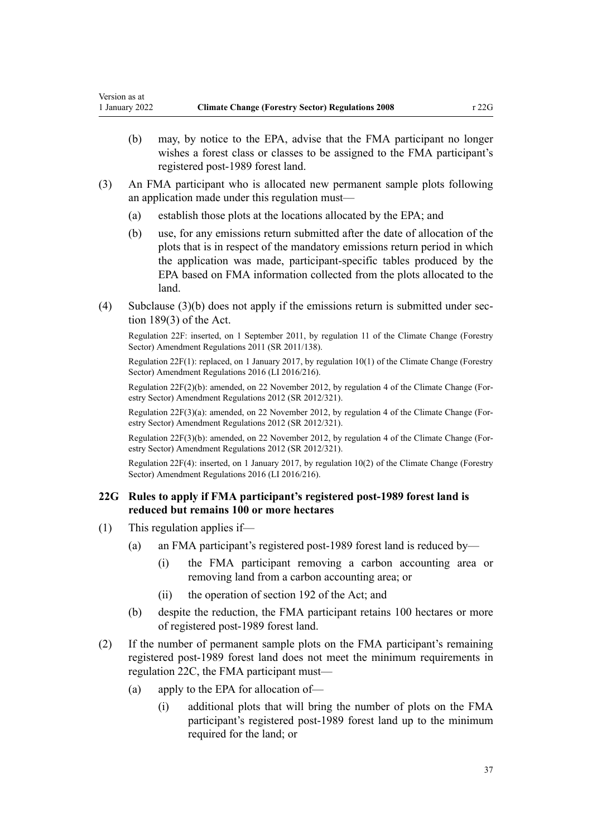- <span id="page-36-0"></span>(b) may, by notice to the EPA, advise that the FMA participant no longer wishes a forest class or classes to be assigned to the FMA participant's registered post-1989 forest land.
- (3) An FMA participant who is allocated new permanent sample plots following an application made under this regulation must—
	- (a) establish those plots at the locations allocated by the EPA; and
	- (b) use, for any emissions return submitted after the date of allocation of the plots that is in respect of the mandatory emissions return period in which the application was made, participant-specific tables produced by the EPA based on FMA information collected from the plots allocated to the land.
- (4) Subclause  $(3)(b)$  does not apply if the emissions return is submitted under sec[tion 189\(3\)](http://legislation.govt.nz/pdflink.aspx?id=DLM1662782) of the Act.

Regulation 22F: inserted, on 1 September 2011, by [regulation 11](http://legislation.govt.nz/pdflink.aspx?id=DLM3733410) of the Climate Change (Forestry Sector) Amendment Regulations 2011 (SR 2011/138).

Regulation 22F(1): replaced, on 1 January 2017, by [regulation 10\(1\)](http://legislation.govt.nz/pdflink.aspx?id=DLM6964843) of the Climate Change (Forestry Sector) Amendment Regulations 2016 (LI 2016/216).

Regulation 22F(2)(b): amended, on 22 November 2012, by [regulation 4](http://legislation.govt.nz/pdflink.aspx?id=DLM4807907) of the Climate Change (For‐ estry Sector) Amendment Regulations 2012 (SR 2012/321).

Regulation 22F(3)(a): amended, on 22 November 2012, by [regulation 4](http://legislation.govt.nz/pdflink.aspx?id=DLM4807907) of the Climate Change (For‐ estry Sector) Amendment Regulations 2012 (SR 2012/321).

Regulation 22F(3)(b): amended, on 22 November 2012, by [regulation 4](http://legislation.govt.nz/pdflink.aspx?id=DLM4807907) of the Climate Change (For‐ estry Sector) Amendment Regulations 2012 (SR 2012/321).

Regulation 22F(4): inserted, on 1 January 2017, by [regulation 10\(2\)](http://legislation.govt.nz/pdflink.aspx?id=DLM6964843) of the Climate Change (Forestry Sector) Amendment Regulations 2016 (LI 2016/216).

# **22G Rules to apply if FMA participant's registered post-1989 forest land is reduced but remains 100 or more hectares**

- (1) This regulation applies if—
	- (a) an FMA participant's registered post-1989 forest land is reduced by—
		- (i) the FMA participant removing a carbon accounting area or removing land from a carbon accounting area; or
		- (ii) the operation of [section 192](http://legislation.govt.nz/pdflink.aspx?id=DLM1662791) of the Act; and
	- (b) despite the reduction, the FMA participant retains 100 hectares or more of registered post-1989 forest land.
- (2) If the number of permanent sample plots on the FMA participant's remaining registered post-1989 forest land does not meet the minimum requirements in [regulation 22C,](#page-30-0) the FMA participant must—
	- (a) apply to the EPA for allocation of—
		- (i) additional plots that will bring the number of plots on the FMA participant's registered post-1989 forest land up to the minimum required for the land; or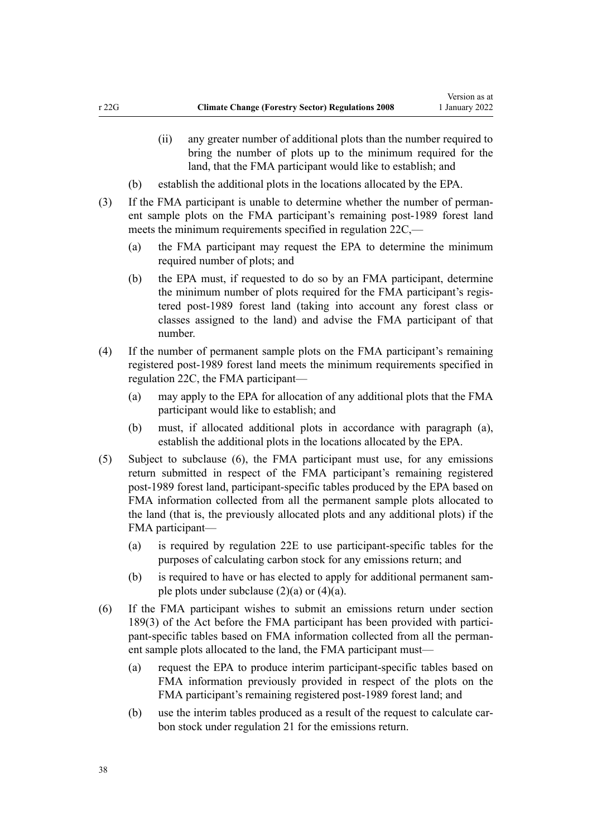- (ii) any greater number of additional plots than the number required to bring the number of plots up to the minimum required for the land, that the FMA participant would like to establish; and
- (b) establish the additional plots in the locations allocated by the EPA.
- (3) If the FMA participant is unable to determine whether the number of permanent sample plots on the FMA participant's remaining post-1989 forest land meets the minimum requirements specified in [regulation 22C](#page-30-0),—
	- (a) the FMA participant may request the EPA to determine the minimum required number of plots; and
	- (b) the EPA must, if requested to do so by an FMA participant, determine the minimum number of plots required for the FMA participant's regis‐ tered post-1989 forest land (taking into account any forest class or classes assigned to the land) and advise the FMA participant of that number.
- (4) If the number of permanent sample plots on the FMA participant's remaining registered post-1989 forest land meets the minimum requirements specified in [regulation 22C,](#page-30-0) the FMA participant—
	- (a) may apply to the EPA for allocation of any additional plots that the FMA participant would like to establish; and
	- (b) must, if allocated additional plots in accordance with paragraph (a), establish the additional plots in the locations allocated by the EPA.
- (5) Subject to subclause (6), the FMA participant must use, for any emissions return submitted in respect of the FMA participant's remaining registered post-1989 forest land, participant-specific tables produced by the EPA based on FMA information collected from all the permanent sample plots allocated to the land (that is, the previously allocated plots and any additional plots) if the FMA participant—
	- (a) is required by [regulation 22E](#page-33-0) to use participant-specific tables for the purposes of calculating carbon stock for any emissions return; and
	- (b) is required to have or has elected to apply for additional permanent sample plots under subclause  $(2)(a)$  or  $(4)(a)$ .
- (6) If the FMA participant wishes to submit an emissions return under [section](http://legislation.govt.nz/pdflink.aspx?id=DLM1662782) [189\(3\)](http://legislation.govt.nz/pdflink.aspx?id=DLM1662782) of the Act before the FMA participant has been provided with participant-specific tables based on FMA information collected from all the permanent sample plots allocated to the land, the FMA participant must—
	- (a) request the EPA to produce interim participant-specific tables based on FMA information previously provided in respect of the plots on the FMA participant's remaining registered post-1989 forest land; and
	- (b) use the interim tables produced as a result of the request to calculate carbon stock under [regulation 21](#page-22-0) for the emissions return.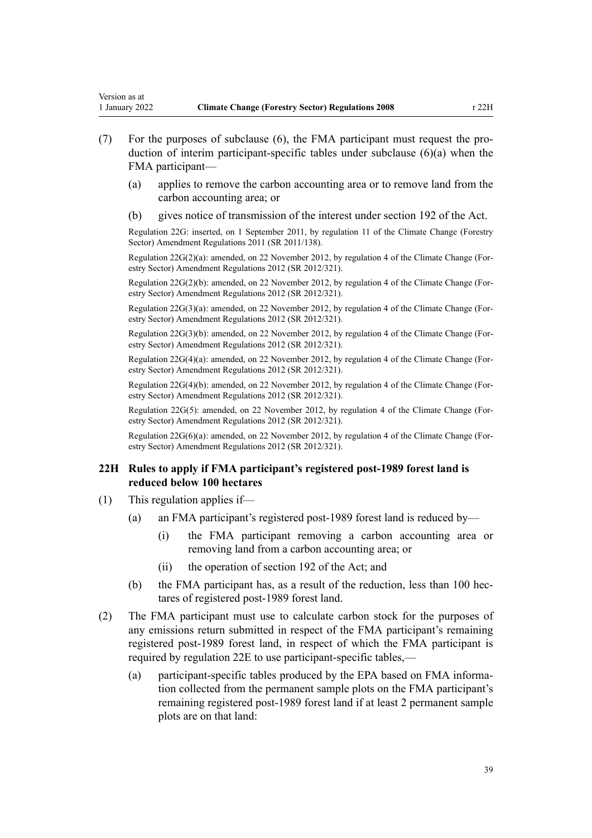- <span id="page-38-0"></span>duction of interim participant-specific tables under subclause (6)(a) when the FMA participant—
	- (a) applies to remove the carbon accounting area or to remove land from the carbon accounting area; or
	- (b) gives notice of transmission of the interest under [section 192](http://legislation.govt.nz/pdflink.aspx?id=DLM1662791) of the Act.

Regulation 22G: inserted, on 1 September 2011, by [regulation 11](http://legislation.govt.nz/pdflink.aspx?id=DLM3733410) of the Climate Change (Forestry Sector) Amendment Regulations 2011 (SR 2011/138).

Regulation  $22G(2)(a)$ : amended, on 22 November 2012, by [regulation 4](http://legislation.govt.nz/pdflink.aspx?id=DLM4807907) of the Climate Change (Forestry Sector) Amendment Regulations 2012 (SR 2012/321).

Regulation  $22G(2)(b)$ : amended, on 22 November 2012, by [regulation 4](http://legislation.govt.nz/pdflink.aspx?id=DLM4807907) of the Climate Change (Forestry Sector) Amendment Regulations 2012 (SR 2012/321).

Regulation 22G(3)(a): amended, on 22 November 2012, by [regulation 4](http://legislation.govt.nz/pdflink.aspx?id=DLM4807907) of the Climate Change (Forestry Sector) Amendment Regulations 2012 (SR 2012/321).

Regulation 22G(3)(b): amended, on 22 November 2012, by [regulation 4](http://legislation.govt.nz/pdflink.aspx?id=DLM4807907) of the Climate Change (Forestry Sector) Amendment Regulations 2012 (SR 2012/321).

Regulation 22G(4)(a): amended, on 22 November 2012, by [regulation 4](http://legislation.govt.nz/pdflink.aspx?id=DLM4807907) of the Climate Change (Forestry Sector) Amendment Regulations 2012 (SR 2012/321).

Regulation 22G(4)(b): amended, on 22 November 2012, by [regulation 4](http://legislation.govt.nz/pdflink.aspx?id=DLM4807907) of the Climate Change (For‐ estry Sector) Amendment Regulations 2012 (SR 2012/321).

Regulation 22G(5): amended, on 22 November 2012, by [regulation 4](http://legislation.govt.nz/pdflink.aspx?id=DLM4807907) of the Climate Change (Forestry Sector) Amendment Regulations 2012 (SR 2012/321).

Regulation  $22G(6)(a)$ : amended, on 22 November 2012, by [regulation 4](http://legislation.govt.nz/pdflink.aspx?id=DLM4807907) of the Climate Change (Forestry Sector) Amendment Regulations 2012 (SR 2012/321).

### **22H Rules to apply if FMA participant's registered post-1989 forest land is reduced below 100 hectares**

- (1) This regulation applies if—
	- (a) an FMA participant's registered post-1989 forest land is reduced by—
		- (i) the FMA participant removing a carbon accounting area or removing land from a carbon accounting area; or
		- (ii) the operation of [section 192](http://legislation.govt.nz/pdflink.aspx?id=DLM1662791) of the Act; and
	- (b) the FMA participant has, as a result of the reduction, less than 100 hec‐ tares of registered post-1989 forest land.
- (2) The FMA participant must use to calculate carbon stock for the purposes of any emissions return submitted in respect of the FMA participant's remaining registered post-1989 forest land, in respect of which the FMA participant is required by [regulation 22E](#page-33-0) to use participant-specific tables,—
	- (a) participant-specific tables produced by the EPA based on FMA information collected from the permanent sample plots on the FMA participant's remaining registered post-1989 forest land if at least 2 permanent sample plots are on that land: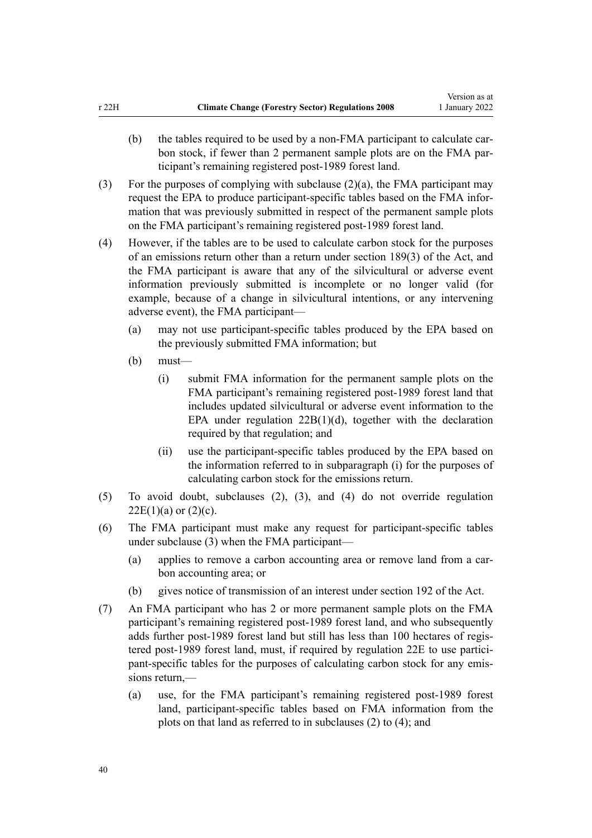- (b) the tables required to be used by a non-FMA participant to calculate carbon stock, if fewer than 2 permanent sample plots are on the FMA participant's remaining registered post-1989 forest land.
- (3) For the purposes of complying with subclause (2)(a), the FMA participant may request the EPA to produce participant-specific tables based on the FMA infor‐ mation that was previously submitted in respect of the permanent sample plots on the FMA participant's remaining registered post-1989 forest land.
- (4) However, if the tables are to be used to calculate carbon stock for the purposes of an emissions return other than a return under [section 189\(3\)](http://legislation.govt.nz/pdflink.aspx?id=DLM1662782) of the Act, and the FMA participant is aware that any of the silvicultural or adverse event information previously submitted is incomplete or no longer valid (for example, because of a change in silvicultural intentions, or any intervening adverse event), the FMA participant—
	- (a) may not use participant-specific tables produced by the EPA based on the previously submitted FMA information; but
	- (b) must—
		- (i) submit FMA information for the permanent sample plots on the FMA participant's remaining registered post-1989 forest land that includes updated silvicultural or adverse event information to the EPA under regulation  $22B(1)(d)$ , together with the declaration required by that regulation; and
		- (ii) use the participant-specific tables produced by the EPA based on the information referred to in subparagraph (i) for the purposes of calculating carbon stock for the emissions return.
- (5) To avoid doubt, subclauses (2), (3), and (4) do not override [regulation](#page-33-0)  $22E(1)(a)$  or  $(2)(c)$ .
- (6) The FMA participant must make any request for participant-specific tables under subclause (3) when the FMA participant—
	- (a) applies to remove a carbon accounting area or remove land from a car‐ bon accounting area; or
	- (b) gives notice of transmission of an interest under [section 192](http://legislation.govt.nz/pdflink.aspx?id=DLM1662791) of the Act.
- (7) An FMA participant who has 2 or more permanent sample plots on the FMA participant's remaining registered post-1989 forest land, and who subsequently adds further post-1989 forest land but still has less than 100 hectares of regis‐ tered post-1989 forest land, must, if required by [regulation 22E](#page-33-0) to use participant-specific tables for the purposes of calculating carbon stock for any emissions return,—
	- (a) use, for the FMA participant's remaining registered post-1989 forest land, participant-specific tables based on FMA information from the plots on that land as referred to in subclauses (2) to (4); and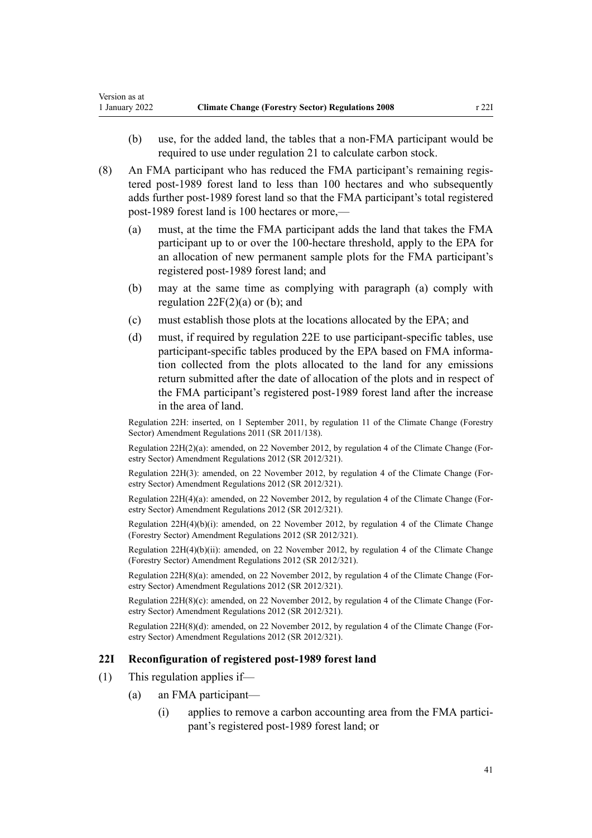- (b) use, for the added land, the tables that a non-FMA participant would be required to use under [regulation 21](#page-22-0) to calculate carbon stock.
- (8) An FMA participant who has reduced the FMA participant's remaining regis‐ tered post-1989 forest land to less than 100 hectares and who subsequently adds further post-1989 forest land so that the FMA participant's total registered post-1989 forest land is 100 hectares or more,—
	- (a) must, at the time the FMA participant adds the land that takes the FMA participant up to or over the 100-hectare threshold, apply to the EPA for an allocation of new permanent sample plots for the FMA participant's registered post-1989 forest land; and
	- (b) may at the same time as complying with paragraph (a) comply with regulation  $22F(2)(a)$  or (b); and
	- (c) must establish those plots at the locations allocated by the EPA; and
	- (d) must, if required by [regulation 22E](#page-33-0) to use participant-specific tables, use participant-specific tables produced by the EPA based on FMA information collected from the plots allocated to the land for any emissions return submitted after the date of allocation of the plots and in respect of the FMA participant's registered post-1989 forest land after the increase in the area of land.

Regulation 22H: inserted, on 1 September 2011, by [regulation 11](http://legislation.govt.nz/pdflink.aspx?id=DLM3733410) of the Climate Change (Forestry Sector) Amendment Regulations 2011 (SR 2011/138).

Regulation 22H(2)(a): amended, on 22 November 2012, by [regulation 4](http://legislation.govt.nz/pdflink.aspx?id=DLM4807907) of the Climate Change (Forestry Sector) Amendment Regulations 2012 (SR 2012/321).

Regulation 22H(3): amended, on 22 November 2012, by [regulation 4](http://legislation.govt.nz/pdflink.aspx?id=DLM4807907) of the Climate Change (For‐ estry Sector) Amendment Regulations 2012 (SR 2012/321).

Regulation 22H(4)(a): amended, on 22 November 2012, by [regulation 4](http://legislation.govt.nz/pdflink.aspx?id=DLM4807907) of the Climate Change (For‐ estry Sector) Amendment Regulations 2012 (SR 2012/321).

Regulation 22H(4)(b)(i): amended, on 22 November 2012, by [regulation 4](http://legislation.govt.nz/pdflink.aspx?id=DLM4807907) of the Climate Change (Forestry Sector) Amendment Regulations 2012 (SR 2012/321).

Regulation 22H(4)(b)(ii): amended, on 22 November 2012, by [regulation 4](http://legislation.govt.nz/pdflink.aspx?id=DLM4807907) of the Climate Change (Forestry Sector) Amendment Regulations 2012 (SR 2012/321).

Regulation 22H(8)(a): amended, on 22 November 2012, by [regulation 4](http://legislation.govt.nz/pdflink.aspx?id=DLM4807907) of the Climate Change (Forestry Sector) Amendment Regulations 2012 (SR 2012/321).

Regulation 22H(8)(c): amended, on 22 November 2012, by [regulation 4](http://legislation.govt.nz/pdflink.aspx?id=DLM4807907) of the Climate Change (For‐ estry Sector) Amendment Regulations 2012 (SR 2012/321).

Regulation 22H(8)(d): amended, on 22 November 2012, by [regulation 4](http://legislation.govt.nz/pdflink.aspx?id=DLM4807907) of the Climate Change (For‐ estry Sector) Amendment Regulations 2012 (SR 2012/321).

#### **22I Reconfiguration of registered post-1989 forest land**

- (1) This regulation applies if—
	- (a) an FMA participant—
		- (i) applies to remove a carbon accounting area from the FMA partici‐ pant's registered post-1989 forest land; or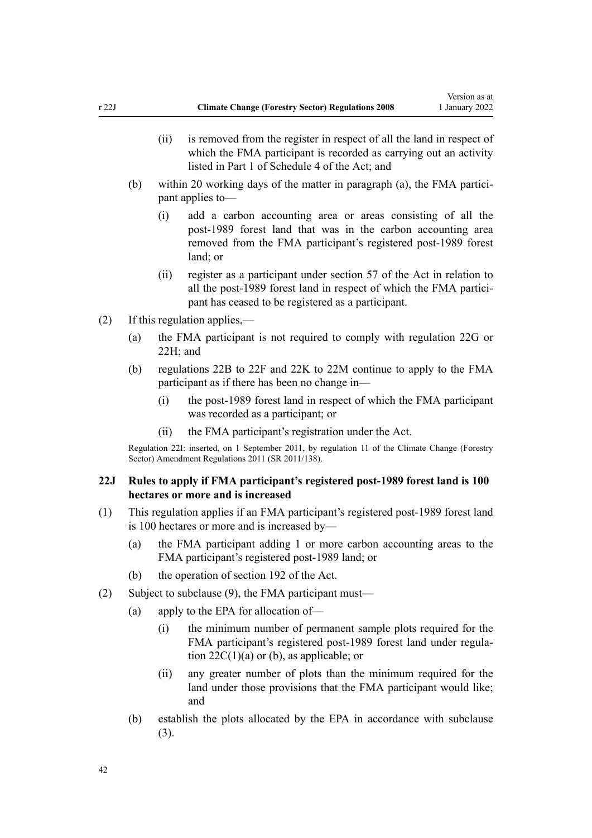- <span id="page-41-0"></span>(ii) is removed from the register in respect of all the land in respect of which the FMA participant is recorded as carrying out an activity listed in [Part 1](http://legislation.govt.nz/pdflink.aspx?id=DLM1662865) of Schedule 4 of the Act; and
- (b) within 20 working days of the matter in paragraph (a), the FMA participant applies to—
	- (i) add a carbon accounting area or areas consisting of all the post-1989 forest land that was in the carbon accounting area removed from the FMA participant's registered post-1989 forest land; or
	- (ii) register as a participant under [section 57](http://legislation.govt.nz/pdflink.aspx?id=DLM1662487) of the Act in relation to all the post-1989 forest land in respect of which the FMA participant has ceased to be registered as a participant.
- (2) If this regulation applies,—
	- (a) the FMA participant is not required to comply with [regulation 22G](#page-36-0) or [22H](#page-38-0); and
	- (b) [regulations 22B to 22F](#page-28-0) and [22K to 22M](#page-44-0) continue to apply to the FMA participant as if there has been no change in—
		- (i) the post-1989 forest land in respect of which the FMA participant was recorded as a participant; or
		- (ii) the FMA participant's registration under the Act.

Regulation 22I: inserted, on 1 September 2011, by [regulation 11](http://legislation.govt.nz/pdflink.aspx?id=DLM3733410) of the Climate Change (Forestry Sector) Amendment Regulations 2011 (SR 2011/138).

### **22J Rules to apply if FMA participant's registered post-1989 forest land is 100 hectares or more and is increased**

- (1) This regulation applies if an FMA participant's registered post-1989 forest land is 100 hectares or more and is increased by—
	- (a) the FMA participant adding 1 or more carbon accounting areas to the FMA participant's registered post-1989 land; or
	- (b) the operation of [section 192](http://legislation.govt.nz/pdflink.aspx?id=DLM1662791) of the Act.
- (2) Subject to subclause (9), the FMA participant must—
	- (a) apply to the EPA for allocation of—
		- (i) the minimum number of permanent sample plots required for the FMA participant's registered post-1989 forest land under regulation  $22C(1)(a)$  or (b), as applicable; or
		- (ii) any greater number of plots than the minimum required for the land under those provisions that the FMA participant would like; and
	- (b) establish the plots allocated by the EPA in accordance with subclause (3).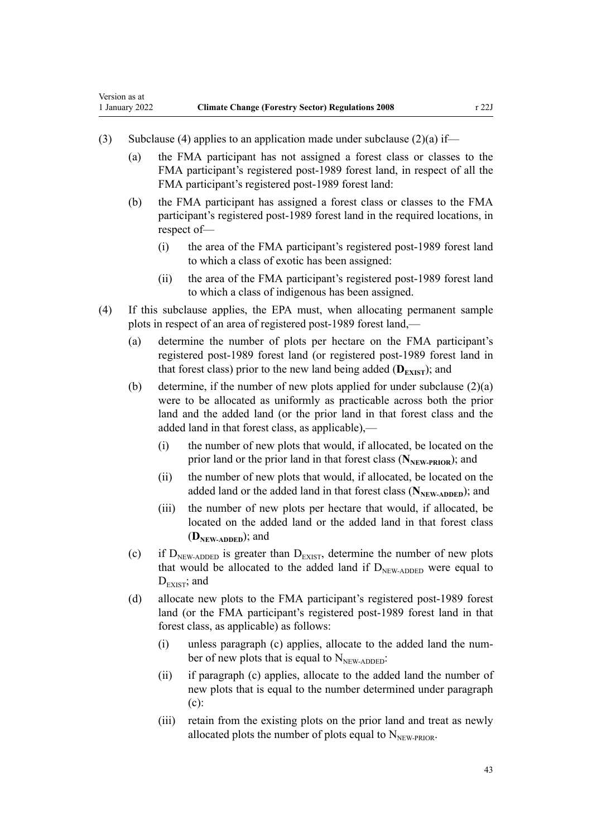- (3) Subclause (4) applies to an application made under subclause (2)(a) if—
	- (a) the FMA participant has not assigned a forest class or classes to the FMA participant's registered post-1989 forest land, in respect of all the FMA participant's registered post-1989 forest land:
	- (b) the FMA participant has assigned a forest class or classes to the FMA participant's registered post-1989 forest land in the required locations, in respect of—
		- (i) the area of the FMA participant's registered post-1989 forest land to which a class of exotic has been assigned:
		- (ii) the area of the FMA participant's registered post-1989 forest land to which a class of indigenous has been assigned.
- (4) If this subclause applies, the EPA must, when allocating permanent sample plots in respect of an area of registered post-1989 forest land,—
	- (a) determine the number of plots per hectare on the FMA participant's registered post-1989 forest land (or registered post-1989 forest land in that forest class) prior to the new land being added  $(D_{\text{EXIST}})$ ; and
	- (b) determine, if the number of new plots applied for under subclause  $(2)(a)$ were to be allocated as uniformly as practicable across both the prior land and the added land (or the prior land in that forest class and the added land in that forest class, as applicable),—
		- (i) the number of new plots that would, if allocated, be located on the prior land or the prior land in that forest class (N<sub>NEW-PRIOR</sub>); and
		- (ii) the number of new plots that would, if allocated, be located on the added land or the added land in that forest class (N<sub>NEW-ADDED</sub>); and
		- (iii) the number of new plots per hectare that would, if allocated, be located on the added land or the added land in that forest class (**DNEW-ADDED**); and
	- (c) if  $D_{NEW\text{-ADDED}}$  is greater than  $D_{E XIST}$ , determine the number of new plots that would be allocated to the added land if  $D_{NFW-ADDED}$  were equal to  $D_{\text{EXIST}}$ ; and
	- (d) allocate new plots to the FMA participant's registered post-1989 forest land (or the FMA participant's registered post-1989 forest land in that forest class, as applicable) as follows:
		- (i) unless paragraph (c) applies, allocate to the added land the num‐ ber of new plots that is equal to  $N_{NEW\text{-ADDED}}$ :
		- (ii) if paragraph (c) applies, allocate to the added land the number of new plots that is equal to the number determined under paragraph (c):
		- (iii) retain from the existing plots on the prior land and treat as newly allocated plots the number of plots equal to  $N_{\text{NEW-PROR}}$ .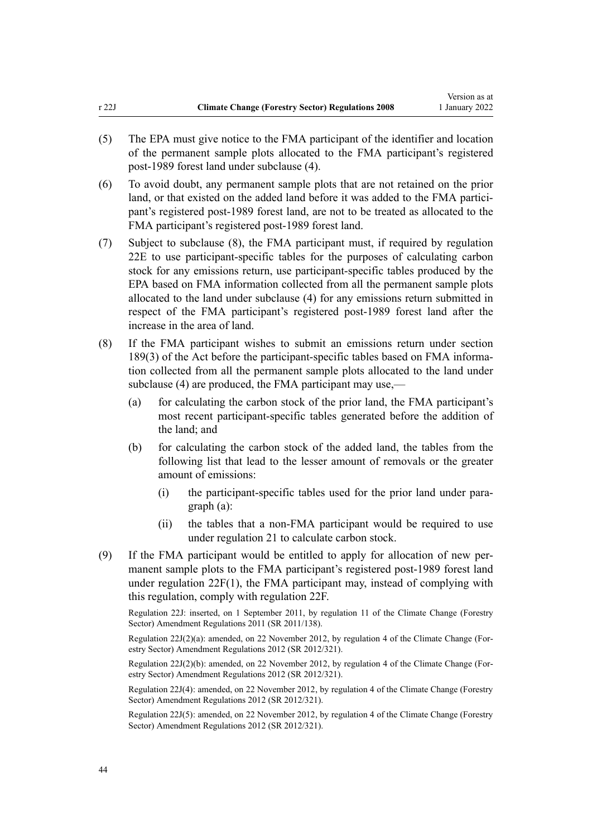- (5) The EPA must give notice to the FMA participant of the identifier and location of the permanent sample plots allocated to the FMA participant's registered post-1989 forest land under subclause (4).
- (6) To avoid doubt, any permanent sample plots that are not retained on the prior land, or that existed on the added land before it was added to the FMA participant's registered post-1989 forest land, are not to be treated as allocated to the FMA participant's registered post-1989 forest land.
- (7) Subject to subclause (8), the FMA participant must, if required by [regulation](#page-33-0) [22E](#page-33-0) to use participant-specific tables for the purposes of calculating carbon stock for any emissions return, use participant-specific tables produced by the EPA based on FMA information collected from all the permanent sample plots allocated to the land under subclause (4) for any emissions return submitted in respect of the FMA participant's registered post-1989 forest land after the increase in the area of land.
- (8) If the FMA participant wishes to submit an emissions return under [section](http://legislation.govt.nz/pdflink.aspx?id=DLM1662782) [189\(3\)](http://legislation.govt.nz/pdflink.aspx?id=DLM1662782) of the Act before the participant-specific tables based on FMA informa‐ tion collected from all the permanent sample plots allocated to the land under subclause (4) are produced, the FMA participant may use,—
	- (a) for calculating the carbon stock of the prior land, the FMA participant's most recent participant-specific tables generated before the addition of the land; and
	- (b) for calculating the carbon stock of the added land, the tables from the following list that lead to the lesser amount of removals or the greater amount of emissions:
		- (i) the participant-specific tables used for the prior land under para‐ graph (a):
		- (ii) the tables that a non-FMA participant would be required to use under [regulation 21](#page-22-0) to calculate carbon stock.
- (9) If the FMA participant would be entitled to apply for allocation of new per‐ manent sample plots to the FMA participant's registered post-1989 forest land under [regulation 22F\(1\),](#page-35-0) the FMA participant may, instead of complying with this regulation, comply with regulation 22F.

Regulation 22J: inserted, on 1 September 2011, by [regulation 11](http://legislation.govt.nz/pdflink.aspx?id=DLM3733410) of the Climate Change (Forestry Sector) Amendment Regulations 2011 (SR 2011/138).

Regulation  $22J(2)(a)$ : amended, on 22 November 2012, by [regulation 4](http://legislation.govt.nz/pdflink.aspx?id=DLM4807907) of the Climate Change (Forestry Sector) Amendment Regulations 2012 (SR 2012/321).

Regulation 22J(2)(b): amended, on 22 November 2012, by [regulation 4](http://legislation.govt.nz/pdflink.aspx?id=DLM4807907) of the Climate Change (For‐ estry Sector) Amendment Regulations 2012 (SR 2012/321).

Regulation 22J(4): amended, on 22 November 2012, by [regulation 4](http://legislation.govt.nz/pdflink.aspx?id=DLM4807907) of the Climate Change (Forestry Sector) Amendment Regulations 2012 (SR 2012/321).

Regulation 22J(5): amended, on 22 November 2012, by [regulation 4](http://legislation.govt.nz/pdflink.aspx?id=DLM4807907) of the Climate Change (Forestry Sector) Amendment Regulations 2012 (SR 2012/321).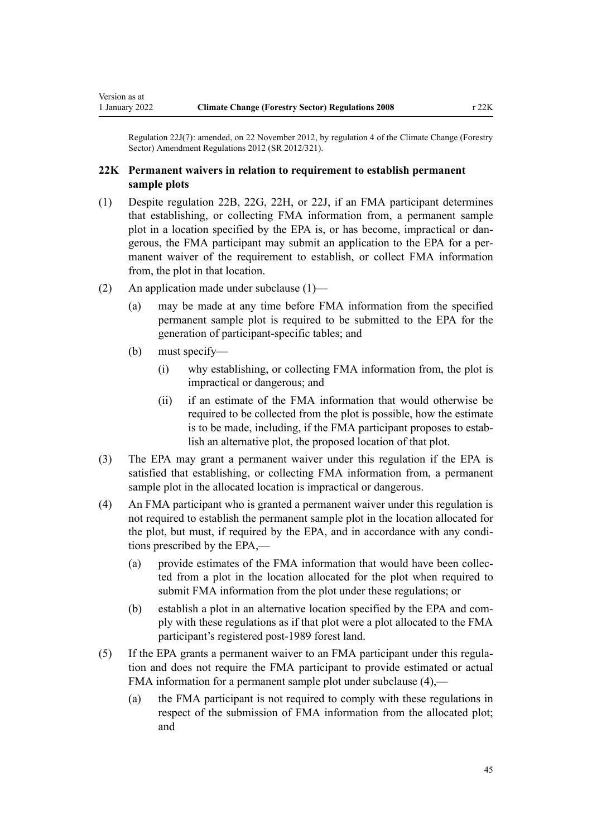<span id="page-44-0"></span>Regulation 22J(7): amended, on 22 November 2012, by [regulation 4](http://legislation.govt.nz/pdflink.aspx?id=DLM4807907) of the Climate Change (Forestry Sector) Amendment Regulations 2012 (SR 2012/321).

### **22K Permanent waivers in relation to requirement to establish permanent sample plots**

- (1) Despite [regulation 22B,](#page-28-0) [22G,](#page-36-0) [22H,](#page-38-0) or [22J](#page-41-0), if an FMA participant determines that establishing, or collecting FMA information from, a permanent sample plot in a location specified by the EPA is, or has become, impractical or dangerous, the FMA participant may submit an application to the EPA for a per‐ manent waiver of the requirement to establish, or collect FMA information from, the plot in that location.
- (2) An application made under subclause (1)—
	- (a) may be made at any time before FMA information from the specified permanent sample plot is required to be submitted to the EPA for the generation of participant-specific tables; and
	- (b) must specify—
		- (i) why establishing, or collecting FMA information from, the plot is impractical or dangerous; and
		- (ii) if an estimate of the FMA information that would otherwise be required to be collected from the plot is possible, how the estimate is to be made, including, if the FMA participant proposes to establish an alternative plot, the proposed location of that plot.
- (3) The EPA may grant a permanent waiver under this regulation if the EPA is satisfied that establishing, or collecting FMA information from, a permanent sample plot in the allocated location is impractical or dangerous.
- (4) An FMA participant who is granted a permanent waiver under this regulation is not required to establish the permanent sample plot in the location allocated for the plot, but must, if required by the EPA, and in accordance with any conditions prescribed by the EPA,—
	- (a) provide estimates of the FMA information that would have been collec‐ ted from a plot in the location allocated for the plot when required to submit FMA information from the plot under these regulations; or
	- (b) establish a plot in an alternative location specified by the EPA and com‐ ply with these regulations as if that plot were a plot allocated to the FMA participant's registered post-1989 forest land.
- (5) If the EPA grants a permanent waiver to an FMA participant under this regula‐ tion and does not require the FMA participant to provide estimated or actual FMA information for a permanent sample plot under subclause (4),—
	- (a) the FMA participant is not required to comply with these regulations in respect of the submission of FMA information from the allocated plot; and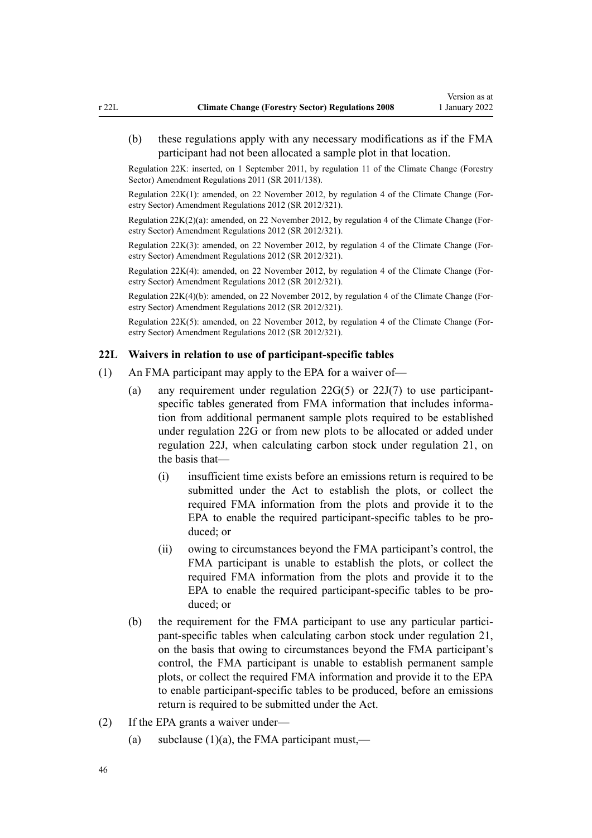(b) these regulations apply with any necessary modifications as if the FMA participant had not been allocated a sample plot in that location.

Regulation 22K: inserted, on 1 September 2011, by [regulation 11](http://legislation.govt.nz/pdflink.aspx?id=DLM3733410) of the Climate Change (Forestry Sector) Amendment Regulations 2011 (SR 2011/138).

Regulation 22K(1): amended, on 22 November 2012, by [regulation 4](http://legislation.govt.nz/pdflink.aspx?id=DLM4807907) of the Climate Change (For‐ estry Sector) Amendment Regulations 2012 (SR 2012/321).

Regulation 22K(2)(a): amended, on 22 November 2012, by [regulation 4](http://legislation.govt.nz/pdflink.aspx?id=DLM4807907) of the Climate Change (For‐ estry Sector) Amendment Regulations 2012 (SR 2012/321).

Regulation 22K(3): amended, on 22 November 2012, by [regulation 4](http://legislation.govt.nz/pdflink.aspx?id=DLM4807907) of the Climate Change (For‐ estry Sector) Amendment Regulations 2012 (SR 2012/321).

Regulation 22K(4): amended, on 22 November 2012, by [regulation 4](http://legislation.govt.nz/pdflink.aspx?id=DLM4807907) of the Climate Change (For‐ estry Sector) Amendment Regulations 2012 (SR 2012/321).

Regulation 22K(4)(b): amended, on 22 November 2012, by [regulation 4](http://legislation.govt.nz/pdflink.aspx?id=DLM4807907) of the Climate Change (Forestry Sector) Amendment Regulations 2012 (SR 2012/321).

Regulation 22K(5): amended, on 22 November 2012, by [regulation 4](http://legislation.govt.nz/pdflink.aspx?id=DLM4807907) of the Climate Change (Forestry Sector) Amendment Regulations 2012 (SR 2012/321).

#### **22L Waivers in relation to use of participant-specific tables**

- (1) An FMA participant may apply to the EPA for a waiver of—
	- (a) any requirement under [regulation 22G\(5\)](#page-36-0) or [22J\(7\)](#page-41-0) to use participantspecific tables generated from FMA information that includes information from additional permanent sample plots required to be established under regulation 22G or from new plots to be allocated or added under regulation 22J, when calculating carbon stock under [regulation 21](#page-22-0), on the basis that—
		- (i) insufficient time exists before an emissions return is required to be submitted under the Act to establish the plots, or collect the required FMA information from the plots and provide it to the EPA to enable the required participant-specific tables to be pro‐ duced; or
		- (ii) owing to circumstances beyond the FMA participant's control, the FMA participant is unable to establish the plots, or collect the required FMA information from the plots and provide it to the EPA to enable the required participant-specific tables to be produced; or
	- (b) the requirement for the FMA participant to use any particular participant-specific tables when calculating carbon stock under [regulation 21](#page-22-0), on the basis that owing to circumstances beyond the FMA participant's control, the FMA participant is unable to establish permanent sample plots, or collect the required FMA information and provide it to the EPA to enable participant-specific tables to be produced, before an emissions return is required to be submitted under the Act.
- (2) If the EPA grants a waiver under—
	- (a) subclause  $(1)(a)$ , the FMA participant must,—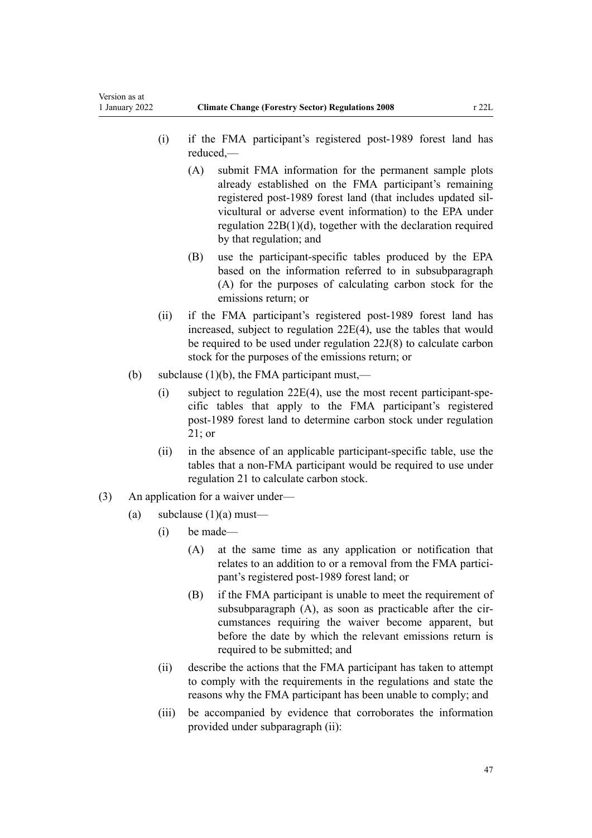- (i) if the FMA participant's registered post-1989 forest land has reduced,—
	- (A) submit FMA information for the permanent sample plots already established on the FMA participant's remaining registered post-1989 forest land (that includes updated sil‐ vicultural or adverse event information) to the EPA under [regulation 22B\(1\)\(d\)](#page-28-0), together with the declaration required by that regulation; and
	- (B) use the participant-specific tables produced by the EPA based on the information referred to in subsubparagraph (A) for the purposes of calculating carbon stock for the emissions return; or
- (ii) if the FMA participant's registered post-1989 forest land has increased, subject to [regulation 22E\(4\)](#page-33-0), use the tables that would be required to be used under [regulation 22J\(8\)](#page-41-0) to calculate carbon stock for the purposes of the emissions return; or
- (b) subclause  $(1)(b)$ , the FMA participant must,—
	- $(i)$  subject to regulation 22 $E(4)$ , use the most recent participant-specific tables that apply to the FMA participant's registered post-1989 forest land to determine carbon stock under [regulation](#page-22-0) [21;](#page-22-0) or
	- (ii) in the absence of an applicable participant-specific table, use the tables that a non-FMA participant would be required to use under [regulation 21](#page-22-0) to calculate carbon stock.
- (3) An application for a waiver under—
	- (a) subclause  $(1)(a)$  must—
		- (i) be made—
			- (A) at the same time as any application or notification that relates to an addition to or a removal from the FMA participant's registered post-1989 forest land; or
			- (B) if the FMA participant is unable to meet the requirement of subsubparagraph  $(A)$ , as soon as practicable after the circumstances requiring the waiver become apparent, but before the date by which the relevant emissions return is required to be submitted; and
		- (ii) describe the actions that the FMA participant has taken to attempt to comply with the requirements in the regulations and state the reasons why the FMA participant has been unable to comply; and
		- (iii) be accompanied by evidence that corroborates the information provided under subparagraph (ii):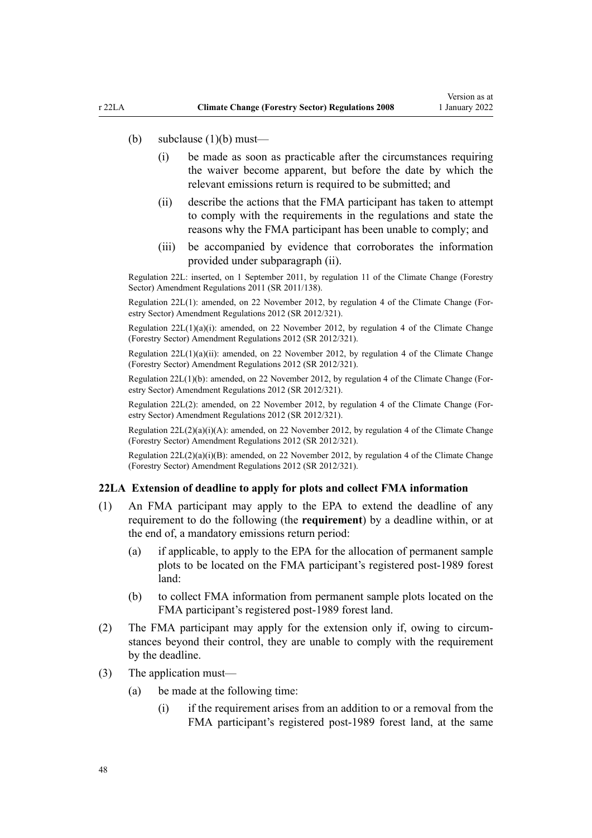#### (b) subclause (1)(b) must—

- (i) be made as soon as practicable after the circumstances requiring the waiver become apparent, but before the date by which the relevant emissions return is required to be submitted; and
- (ii) describe the actions that the FMA participant has taken to attempt to comply with the requirements in the regulations and state the reasons why the FMA participant has been unable to comply; and
- (iii) be accompanied by evidence that corroborates the information provided under subparagraph (ii).

Regulation 22L: inserted, on 1 September 2011, by [regulation 11](http://legislation.govt.nz/pdflink.aspx?id=DLM3733410) of the Climate Change (Forestry Sector) Amendment Regulations 2011 (SR 2011/138).

Regulation 22L(1): amended, on 22 November 2012, by [regulation 4](http://legislation.govt.nz/pdflink.aspx?id=DLM4807907) of the Climate Change (Forestry Sector) Amendment Regulations 2012 (SR 2012/321).

Regulation  $22L(1)(a)(i)$ : amended, on 22 November 2012, by [regulation 4](http://legislation.govt.nz/pdflink.aspx?id=DLM4807907) of the Climate Change (Forestry Sector) Amendment Regulations 2012 (SR 2012/321).

Regulation 22L(1)(a)(ii): amended, on 22 November 2012, by [regulation 4](http://legislation.govt.nz/pdflink.aspx?id=DLM4807907) of the Climate Change (Forestry Sector) Amendment Regulations 2012 (SR 2012/321).

Regulation 22L(1)(b): amended, on 22 November 2012, by [regulation 4](http://legislation.govt.nz/pdflink.aspx?id=DLM4807907) of the Climate Change (For‐ estry Sector) Amendment Regulations 2012 (SR 2012/321).

Regulation 22L(2): amended, on 22 November 2012, by [regulation 4](http://legislation.govt.nz/pdflink.aspx?id=DLM4807907) of the Climate Change (For‐ estry Sector) Amendment Regulations 2012 (SR 2012/321).

Regulation  $22L(2)(a)(i)(A)$ : amended, on 22 November 2012, by [regulation 4](http://legislation.govt.nz/pdflink.aspx?id=DLM4807907) of the Climate Change (Forestry Sector) Amendment Regulations 2012 (SR 2012/321).

Regulation 22L(2)(a)(i)(B): amended, on 22 November 2012, by [regulation 4](http://legislation.govt.nz/pdflink.aspx?id=DLM4807907) of the Climate Change (Forestry Sector) Amendment Regulations 2012 (SR 2012/321).

#### **22LA Extension of deadline to apply for plots and collect FMA information**

- (1) An FMA participant may apply to the EPA to extend the deadline of any requirement to do the following (the **requirement**) by a deadline within, or at the end of, a mandatory emissions return period:
	- (a) if applicable, to apply to the EPA for the allocation of permanent sample plots to be located on the FMA participant's registered post-1989 forest land:
	- (b) to collect FMA information from permanent sample plots located on the FMA participant's registered post-1989 forest land.
- (2) The FMA participant may apply for the extension only if, owing to circumstances beyond their control, they are unable to comply with the requirement by the deadline.
- (3) The application must—
	- (a) be made at the following time:
		- (i) if the requirement arises from an addition to or a removal from the FMA participant's registered post-1989 forest land, at the same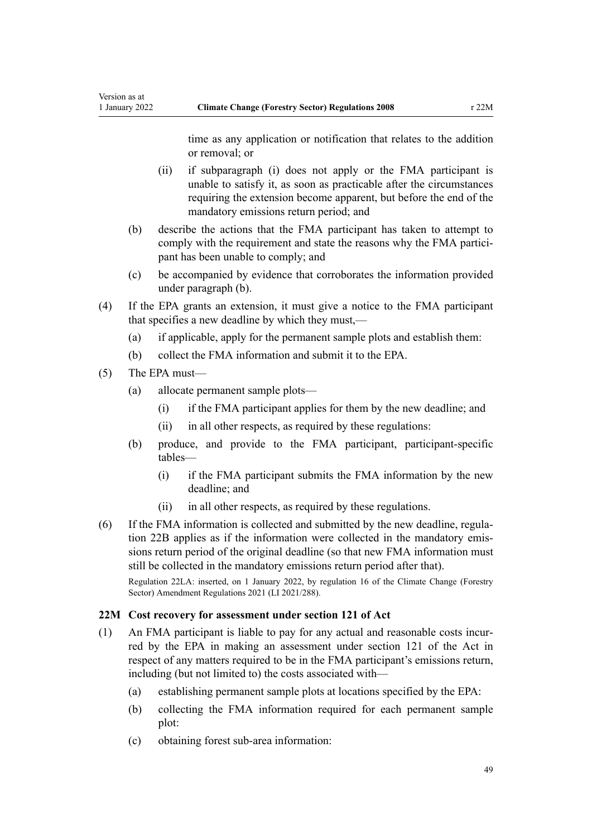time as any application or notification that relates to the addition or removal; or

- (ii) if subparagraph (i) does not apply or the FMA participant is unable to satisfy it, as soon as practicable after the circumstances requiring the extension become apparent, but before the end of the mandatory emissions return period; and
- (b) describe the actions that the FMA participant has taken to attempt to comply with the requirement and state the reasons why the FMA participant has been unable to comply; and
- (c) be accompanied by evidence that corroborates the information provided under paragraph (b).
- (4) If the EPA grants an extension, it must give a notice to the FMA participant that specifies a new deadline by which they must,—
	- (a) if applicable, apply for the permanent sample plots and establish them:
	- (b) collect the FMA information and submit it to the EPA.
- (5) The EPA must—
	- (a) allocate permanent sample plots—
		- (i) if the FMA participant applies for them by the new deadline; and
		- (ii) in all other respects, as required by these regulations:
	- (b) produce, and provide to the FMA participant, participant-specific tables—
		- (i) if the FMA participant submits the FMA information by the new deadline; and
		- (ii) in all other respects, as required by these regulations.
- (6) If the FMA information is collected and submitted by the new deadline, [regula‐](#page-28-0) [tion 22B](#page-28-0) applies as if the information were collected in the mandatory emis‐ sions return period of the original deadline (so that new FMA information must still be collected in the mandatory emissions return period after that).

Regulation 22LA: inserted, on 1 January 2022, by [regulation 16](http://legislation.govt.nz/pdflink.aspx?id=LMS539396) of the Climate Change (Forestry Sector) Amendment Regulations 2021 (LI 2021/288).

### **22M Cost recovery for assessment under section 121 of Act**

- (1) An FMA participant is liable to pay for any actual and reasonable costs incur‐ red by the EPA in making an assessment under [section 121](http://legislation.govt.nz/pdflink.aspx?id=DLM1662689) of the Act in respect of any matters required to be in the FMA participant's emissions return, including (but not limited to) the costs associated with—
	- (a) establishing permanent sample plots at locations specified by the EPA:
	- (b) collecting the FMA information required for each permanent sample plot:
	- (c) obtaining forest sub-area information: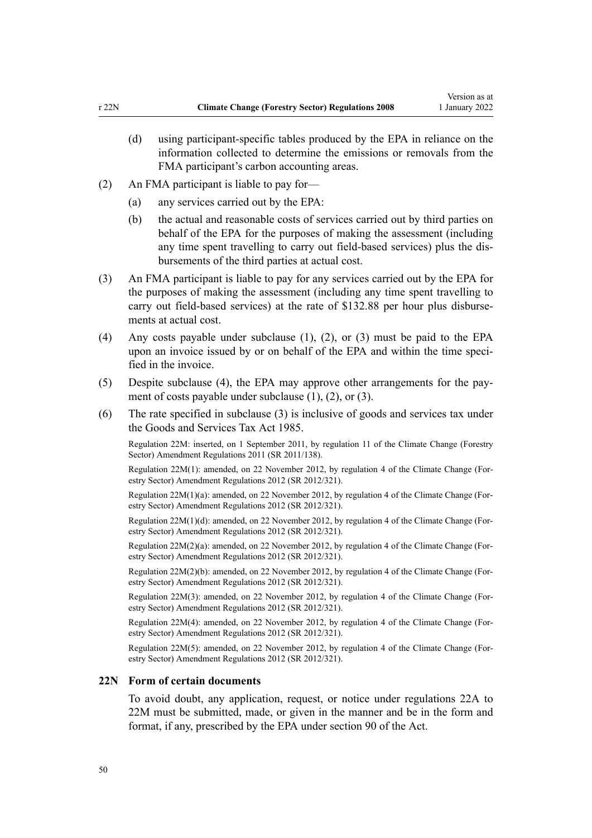- (d) using participant-specific tables produced by the EPA in reliance on the information collected to determine the emissions or removals from the FMA participant's carbon accounting areas.
- (2) An FMA participant is liable to pay for—
	- (a) any services carried out by the EPA:
	- (b) the actual and reasonable costs of services carried out by third parties on behalf of the EPA for the purposes of making the assessment (including any time spent travelling to carry out field-based services) plus the dis‐ bursements of the third parties at actual cost.
- (3) An FMA participant is liable to pay for any services carried out by the EPA for the purposes of making the assessment (including any time spent travelling to carry out field-based services) at the rate of \$132.88 per hour plus disbursements at actual cost.
- (4) Any costs payable under subclause (1), (2), or (3) must be paid to the EPA upon an invoice issued by or on behalf of the EPA and within the time specified in the invoice.
- (5) Despite subclause (4), the EPA may approve other arrangements for the pay‐ ment of costs payable under subclause (1), (2), or (3).
- (6) The rate specified in subclause (3) is inclusive of goods and services tax under the [Goods and Services Tax Act 1985.](http://legislation.govt.nz/pdflink.aspx?id=DLM81034)

Regulation 22M: inserted, on 1 September 2011, by [regulation 11](http://legislation.govt.nz/pdflink.aspx?id=DLM3733410) of the Climate Change (Forestry Sector) Amendment Regulations 2011 (SR 2011/138).

Regulation 22M(1): amended, on 22 November 2012, by [regulation 4](http://legislation.govt.nz/pdflink.aspx?id=DLM4807907) of the Climate Change (For‐ estry Sector) Amendment Regulations 2012 (SR 2012/321).

Regulation 22M(1)(a): amended, on 22 November 2012, by [regulation 4](http://legislation.govt.nz/pdflink.aspx?id=DLM4807907) of the Climate Change (For‐ estry Sector) Amendment Regulations 2012 (SR 2012/321).

Regulation 22M(1)(d): amended, on 22 November 2012, by [regulation 4](http://legislation.govt.nz/pdflink.aspx?id=DLM4807907) of the Climate Change (For‐ estry Sector) Amendment Regulations 2012 (SR 2012/321).

Regulation 22M(2)(a): amended, on 22 November 2012, by [regulation 4](http://legislation.govt.nz/pdflink.aspx?id=DLM4807907) of the Climate Change (For‐ estry Sector) Amendment Regulations 2012 (SR 2012/321).

Regulation 22M(2)(b): amended, on 22 November 2012, by [regulation 4](http://legislation.govt.nz/pdflink.aspx?id=DLM4807907) of the Climate Change (For‐ estry Sector) Amendment Regulations 2012 (SR 2012/321).

Regulation 22M(3): amended, on 22 November 2012, by [regulation 4](http://legislation.govt.nz/pdflink.aspx?id=DLM4807907) of the Climate Change (For‐ estry Sector) Amendment Regulations 2012 (SR 2012/321).

Regulation 22M(4): amended, on 22 November 2012, by [regulation 4](http://legislation.govt.nz/pdflink.aspx?id=DLM4807907) of the Climate Change (For‐ estry Sector) Amendment Regulations 2012 (SR 2012/321).

Regulation 22M(5): amended, on 22 November 2012, by [regulation 4](http://legislation.govt.nz/pdflink.aspx?id=DLM4807907) of the Climate Change (For‐ estry Sector) Amendment Regulations 2012 (SR 2012/321).

### **22N Form of certain documents**

To avoid doubt, any application, request, or notice under [regulations 22A to](#page-27-0) [22M](#page-27-0) must be submitted, made, or given in the manner and be in the form and format, if any, prescribed by the EPA under [section 90](http://legislation.govt.nz/pdflink.aspx?id=DLM1662655) of the Act.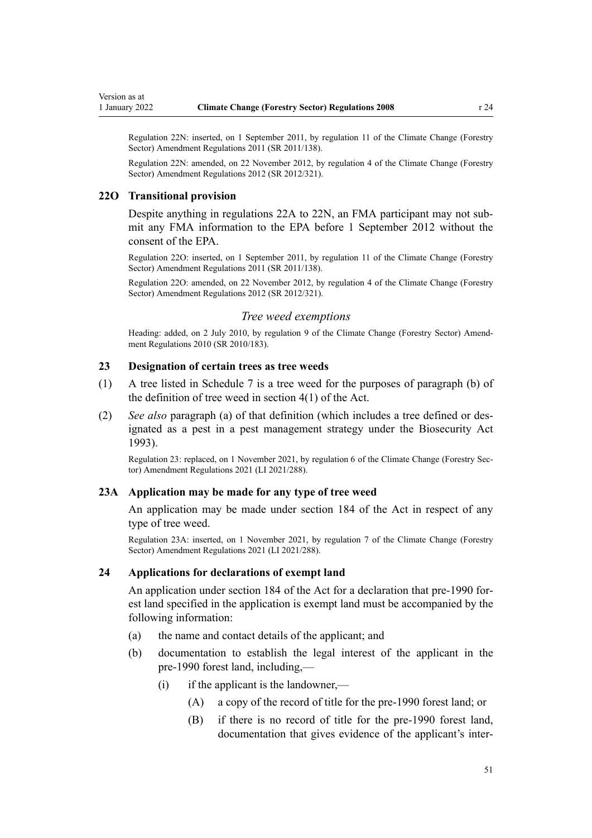Regulation 22N: inserted, on 1 September 2011, by [regulation 11](http://legislation.govt.nz/pdflink.aspx?id=DLM3733410) of the Climate Change (Forestry Sector) Amendment Regulations 2011 (SR 2011/138).

Regulation 22N: amended, on 22 November 2012, by [regulation 4](http://legislation.govt.nz/pdflink.aspx?id=DLM4807907) of the Climate Change (Forestry Sector) Amendment Regulations 2012 (SR 2012/321).

#### **22O Transitional provision**

Despite anything in [regulations 22A to 22N,](#page-27-0) an FMA participant may not submit any FMA information to the EPA before 1 September 2012 without the consent of the EPA.

Regulation 22O: inserted, on 1 September 2011, by [regulation 11](http://legislation.govt.nz/pdflink.aspx?id=DLM3733410) of the Climate Change (Forestry Sector) Amendment Regulations 2011 (SR 2011/138).

Regulation 22O: amended, on 22 November 2012, by [regulation 4](http://legislation.govt.nz/pdflink.aspx?id=DLM4807907) of the Climate Change (Forestry Sector) Amendment Regulations 2012 (SR 2012/321).

#### *Tree weed exemptions*

Heading: added, on 2 July 2010, by [regulation 9](http://legislation.govt.nz/pdflink.aspx?id=DLM3048703) of the Climate Change (Forestry Sector) Amendment Regulations 2010 (SR 2010/183).

### **23 Designation of certain trees as tree weeds**

- (1) A tree listed in [Schedule 7](#page-77-0) is a tree weed for the purposes of paragraph (b) of the definition of tree weed in [section 4\(1\)](http://legislation.govt.nz/pdflink.aspx?id=DLM158592) of the Act.
- (2) *See also* paragraph (a) of that definition (which includes a tree defined or des‐ ignated as a pest in a pest management strategy under the [Biosecurity Act](http://legislation.govt.nz/pdflink.aspx?id=DLM314622) [1993](http://legislation.govt.nz/pdflink.aspx?id=DLM314622)).

Regulation 23: replaced, on 1 November 2021, by [regulation 6](http://legislation.govt.nz/pdflink.aspx?id=LMS539363) of the Climate Change (Forestry Sec‐ tor) Amendment Regulations 2021 (LI 2021/288).

#### **23A Application may be made for any type of tree weed**

An application may be made under [section 184](http://legislation.govt.nz/pdflink.aspx?id=DLM1662775) of the Act in respect of any type of tree weed.

Regulation 23A: inserted, on 1 November 2021, by [regulation 7](http://legislation.govt.nz/pdflink.aspx?id=LMS539365) of the Climate Change (Forestry Sector) Amendment Regulations 2021 (LI 2021/288).

#### **24 Applications for declarations of exempt land**

An application under [section 184](http://legislation.govt.nz/pdflink.aspx?id=DLM1662775) of the Act for a declaration that pre-1990 for‐ est land specified in the application is exempt land must be accompanied by the following information:

- (a) the name and contact details of the applicant; and
- (b) documentation to establish the legal interest of the applicant in the pre-1990 forest land, including,—
	- $(i)$  if the applicant is the landowner,—
		- (A) a copy of the record of title for the pre-1990 forest land; or
		- (B) if there is no record of title for the pre-1990 forest land, documentation that gives evidence of the applicant's inter‐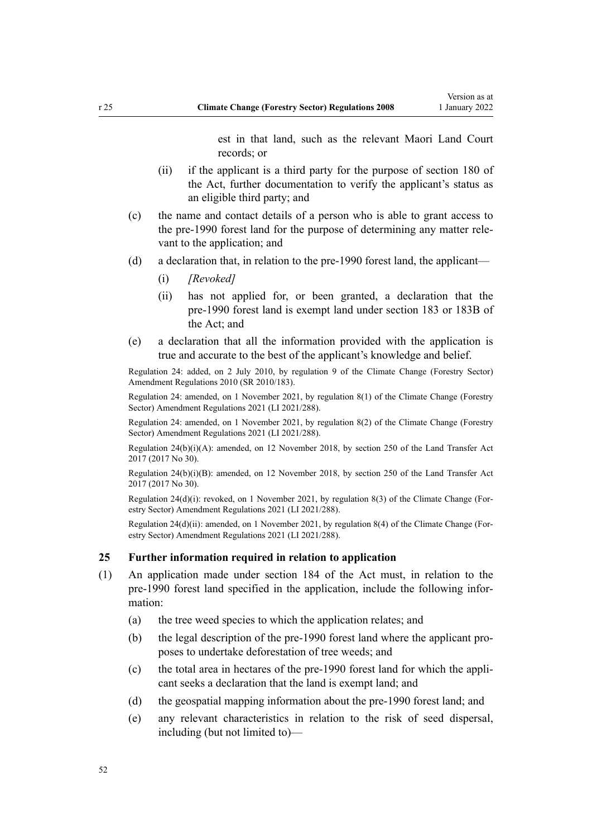est in that land, such as the relevant Maori Land Court records; or

- <span id="page-51-0"></span>(ii) if the applicant is a third party for the purpose of [section 180](http://legislation.govt.nz/pdflink.aspx?id=DLM1662766) of the Act, further documentation to verify the applicant's status as an eligible third party; and
- (c) the name and contact details of a person who is able to grant access to the pre-1990 forest land for the purpose of determining any matter rele‐ vant to the application; and
- (d) a declaration that, in relation to the pre-1990 forest land, the applicant—
	- (i) *[Revoked]*
	- (ii) has not applied for, or been granted, a declaration that the pre-1990 forest land is exempt land under [section 183](http://legislation.govt.nz/pdflink.aspx?id=DLM1662770) or [183B](http://legislation.govt.nz/pdflink.aspx?id=LMS370842) of the Act; and
- (e) a declaration that all the information provided with the application is true and accurate to the best of the applicant's knowledge and belief.

Regulation 24: added, on 2 July 2010, by [regulation 9](http://legislation.govt.nz/pdflink.aspx?id=DLM3048703) of the Climate Change (Forestry Sector) Amendment Regulations 2010 (SR 2010/183).

Regulation 24: amended, on 1 November 2021, by [regulation 8\(1\)](http://legislation.govt.nz/pdflink.aspx?id=LMS539366) of the Climate Change (Forestry Sector) Amendment Regulations 2021 (LI 2021/288).

Regulation 24: amended, on 1 November 2021, by [regulation 8\(2\)](http://legislation.govt.nz/pdflink.aspx?id=LMS539366) of the Climate Change (Forestry Sector) Amendment Regulations 2021 (LI 2021/288).

Regulation 24(b)(i)(A): amended, on 12 November 2018, by [section 250](http://legislation.govt.nz/pdflink.aspx?id=DLM6731493) of the Land Transfer Act 2017 (2017 No 30).

Regulation 24(b)(i)(B): amended, on 12 November 2018, by [section 250](http://legislation.govt.nz/pdflink.aspx?id=DLM6731493) of the Land Transfer Act 2017 (2017 No 30).

Regulation 24(d)(i): revoked, on 1 November 2021, by [regulation 8\(3\)](http://legislation.govt.nz/pdflink.aspx?id=LMS539366) of the Climate Change (Forestry Sector) Amendment Regulations 2021 (LI 2021/288).

Regulation 24(d)(ii): amended, on 1 November 2021, by [regulation 8\(4\)](http://legislation.govt.nz/pdflink.aspx?id=LMS539366) of the Climate Change (For‐ estry Sector) Amendment Regulations 2021 (LI 2021/288).

#### **25 Further information required in relation to application**

- (1) An application made under [section 184](http://legislation.govt.nz/pdflink.aspx?id=DLM1662775) of the Act must, in relation to the pre-1990 forest land specified in the application, include the following information:
	- (a) the tree weed species to which the application relates; and
	- (b) the legal description of the pre-1990 forest land where the applicant pro‐ poses to undertake deforestation of tree weeds; and
	- (c) the total area in hectares of the pre-1990 forest land for which the appli‐ cant seeks a declaration that the land is exempt land; and
	- (d) the geospatial mapping information about the pre-1990 forest land; and
	- (e) any relevant characteristics in relation to the risk of seed dispersal, including (but not limited to)—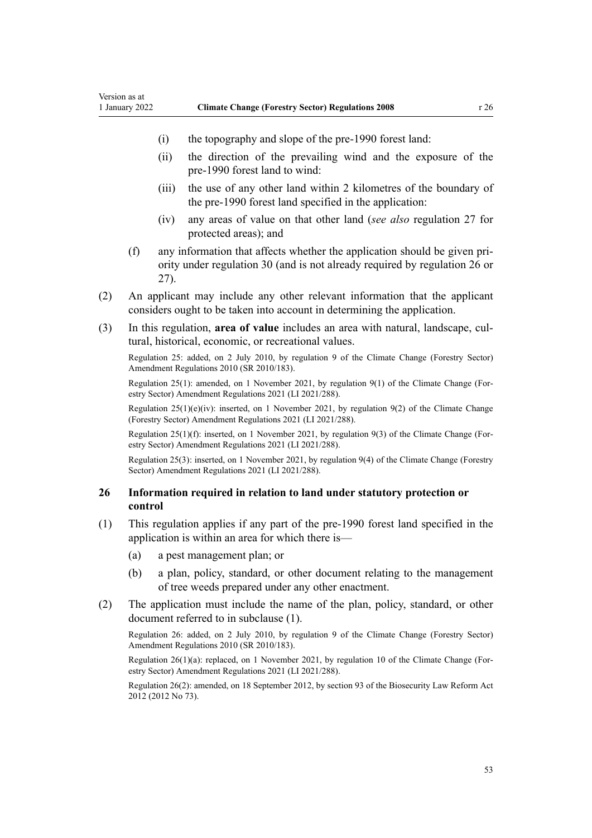- (i) the topography and slope of the pre-1990 forest land:
- (ii) the direction of the prevailing wind and the exposure of the pre-1990 forest land to wind:
- (iii) the use of any other land within 2 kilometres of the boundary of the pre-1990 forest land specified in the application:
- (iv) any areas of value on that other land (*see also* [regulation 27](#page-53-0) for protected areas); and
- (f) any information that affects whether the application should be given pri‐ ority under [regulation 30](#page-54-0) (and is not already required by regulation 26 or [27\)](#page-53-0).
- (2) An applicant may include any other relevant information that the applicant considers ought to be taken into account in determining the application.
- (3) In this regulation, **area of value** includes an area with natural, landscape, cul‐ tural, historical, economic, or recreational values.

Regulation 25: added, on 2 July 2010, by [regulation 9](http://legislation.govt.nz/pdflink.aspx?id=DLM3048703) of the Climate Change (Forestry Sector) Amendment Regulations 2010 (SR 2010/183).

Regulation 25(1): amended, on 1 November 2021, by [regulation 9\(1\)](http://legislation.govt.nz/pdflink.aspx?id=LMS539367) of the Climate Change (For‐ estry Sector) Amendment Regulations 2021 (LI 2021/288).

Regulation 25(1)(e)(iv): inserted, on 1 November 2021, by [regulation 9\(2\)](http://legislation.govt.nz/pdflink.aspx?id=LMS539367) of the Climate Change (Forestry Sector) Amendment Regulations 2021 (LI 2021/288).

Regulation 25(1)(f): inserted, on 1 November 2021, by [regulation 9\(3\)](http://legislation.govt.nz/pdflink.aspx?id=LMS539367) of the Climate Change (For‐ estry Sector) Amendment Regulations 2021 (LI 2021/288).

Regulation 25(3): inserted, on 1 November 2021, by [regulation 9\(4\)](http://legislation.govt.nz/pdflink.aspx?id=LMS539367) of the Climate Change (Forestry Sector) Amendment Regulations 2021 (LI 2021/288).

### **26 Information required in relation to land under statutory protection or control**

- (1) This regulation applies if any part of the pre-1990 forest land specified in the application is within an area for which there is—
	- (a) a pest management plan; or
	- (b) a plan, policy, standard, or other document relating to the management of tree weeds prepared under any other enactment.
- (2) The application must include the name of the plan, policy, standard, or other document referred to in subclause (1).

Regulation 26: added, on 2 July 2010, by [regulation 9](http://legislation.govt.nz/pdflink.aspx?id=DLM3048703) of the Climate Change (Forestry Sector) Amendment Regulations 2010 (SR 2010/183).

Regulation 26(1)(a): replaced, on 1 November 2021, by [regulation 10](http://legislation.govt.nz/pdflink.aspx?id=LMS539368) of the Climate Change (Forestry Sector) Amendment Regulations 2021 (LI 2021/288).

Regulation 26(2): amended, on 18 September 2012, by [section 93](http://legislation.govt.nz/pdflink.aspx?id=DLM3388552) of the Biosecurity Law Reform Act 2012 (2012 No 73).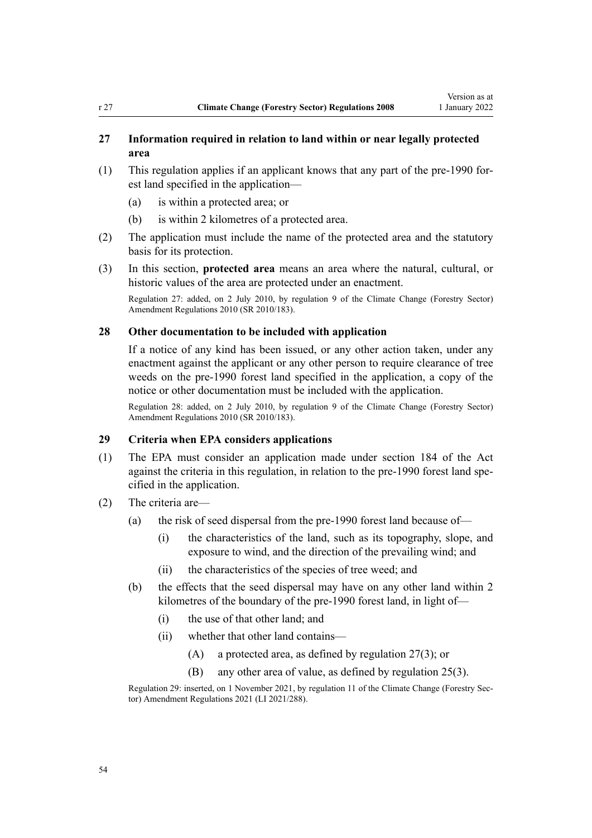### <span id="page-53-0"></span>**27 Information required in relation to land within or near legally protected area**

- (1) This regulation applies if an applicant knows that any part of the pre-1990 for‐ est land specified in the application—
	- (a) is within a protected area; or
	- (b) is within 2 kilometres of a protected area.
- (2) The application must include the name of the protected area and the statutory basis for its protection.
- (3) In this section, **protected area** means an area where the natural, cultural, or historic values of the area are protected under an enactment.

Regulation 27: added, on 2 July 2010, by [regulation 9](http://legislation.govt.nz/pdflink.aspx?id=DLM3048703) of the Climate Change (Forestry Sector) Amendment Regulations 2010 (SR 2010/183).

### **28 Other documentation to be included with application**

If a notice of any kind has been issued, or any other action taken, under any enactment against the applicant or any other person to require clearance of tree weeds on the pre-1990 forest land specified in the application, a copy of the notice or other documentation must be included with the application.

Regulation 28: added, on 2 July 2010, by [regulation 9](http://legislation.govt.nz/pdflink.aspx?id=DLM3048703) of the Climate Change (Forestry Sector) Amendment Regulations 2010 (SR 2010/183).

### **29 Criteria when EPA considers applications**

- (1) The EPA must consider an application made under [section 184](http://legislation.govt.nz/pdflink.aspx?id=DLM1662775) of the Act against the criteria in this regulation, in relation to the pre-1990 forest land spe‐ cified in the application.
- (2) The criteria are—
	- (a) the risk of seed dispersal from the pre-1990 forest land because of—
		- (i) the characteristics of the land, such as its topography, slope, and exposure to wind, and the direction of the prevailing wind; and
		- (ii) the characteristics of the species of tree weed; and
	- (b) the effects that the seed dispersal may have on any other land within 2 kilometres of the boundary of the pre-1990 forest land, in light of—
		- (i) the use of that other land; and
		- (ii) whether that other land contains—
			- (A) a protected area, as defined by regulation 27(3); or
			- (B) any other area of value, as defined by [regulation 25\(3\).](#page-51-0)

Regulation 29: inserted, on 1 November 2021, by [regulation 11](http://legislation.govt.nz/pdflink.aspx?id=LMS539371) of the Climate Change (Forestry Sec‐ tor) Amendment Regulations 2021 (LI 2021/288).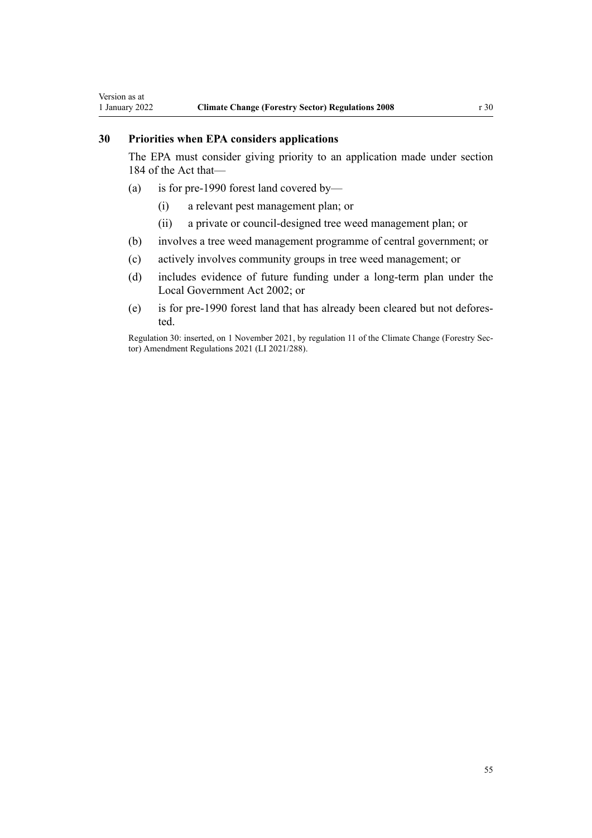# <span id="page-54-0"></span>**30 Priorities when EPA considers applications**

The EPA must consider giving priority to an application made under [section](http://legislation.govt.nz/pdflink.aspx?id=DLM1662775) [184](http://legislation.govt.nz/pdflink.aspx?id=DLM1662775) of the Act that—

- (a) is for pre-1990 forest land covered by—
	- (i) a relevant pest management plan; or
	- (ii) a private or council-designed tree weed management plan; or
- (b) involves a tree weed management programme of central government; or
- (c) actively involves community groups in tree weed management; or
- (d) includes evidence of future funding under a long-term plan under the [Local Government Act 2002](http://legislation.govt.nz/pdflink.aspx?id=DLM170872); or
- (e) is for pre-1990 forest land that has already been cleared but not defores‐ ted.

Regulation 30: inserted, on 1 November 2021, by [regulation 11](http://legislation.govt.nz/pdflink.aspx?id=LMS539371) of the Climate Change (Forestry Sector) Amendment Regulations 2021 (LI 2021/288).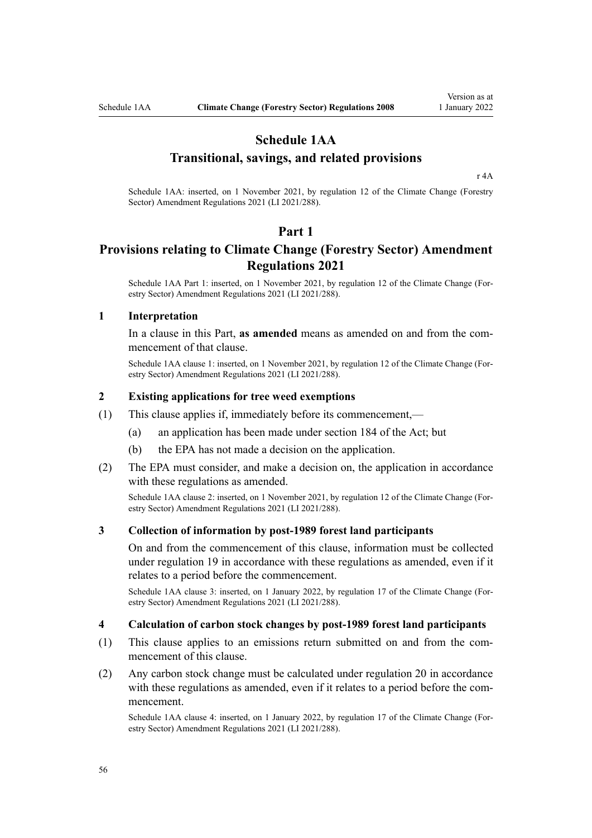# **Schedule 1AA**

### **Transitional, savings, and related provisions**

[r 4A](#page-7-0)

Schedule 1AA: inserted, on 1 November 2021, by [regulation 12](http://legislation.govt.nz/pdflink.aspx?id=LMS539372) of the Climate Change (Forestry Sector) Amendment Regulations 2021 (LI 2021/288).

#### **Part 1**

# **Provisions relating to Climate Change (Forestry Sector) Amendment Regulations 2021**

Schedule 1AA Part 1: inserted, on 1 November 2021, by [regulation 12](http://legislation.govt.nz/pdflink.aspx?id=LMS539372) of the Climate Change (Forestry Sector) Amendment Regulations 2021 (LI 2021/288).

#### **1 Interpretation**

In a clause in this Part, **as amended** means as amended on and from the commencement of that clause.

Schedule 1AA clause 1: inserted, on 1 November 2021, by [regulation 12](http://legislation.govt.nz/pdflink.aspx?id=LMS539372) of the Climate Change (Forestry Sector) Amendment Regulations 2021 (LI 2021/288).

#### **2 Existing applications for tree weed exemptions**

- (1) This clause applies if, immediately before its commencement,—
	- (a) an application has been made under [section 184](http://legislation.govt.nz/pdflink.aspx?id=DLM1662775) of the Act; but
	- (b) the EPA has not made a decision on the application.
- (2) The EPA must consider, and make a decision on, the application in accordance with these regulations as amended.

Schedule 1AA clause 2: inserted, on 1 November 2021, by [regulation 12](http://legislation.govt.nz/pdflink.aspx?id=LMS539372) of the Climate Change (Forestry Sector) Amendment Regulations 2021 (LI 2021/288).

### **3 Collection of information by post-1989 forest land participants**

On and from the commencement of this clause, information must be collected under [regulation 19](#page-20-0) in accordance with these regulations as amended, even if it relates to a period before the commencement.

Schedule 1AA clause 3: inserted, on 1 January 2022, by [regulation 17](http://legislation.govt.nz/pdflink.aspx?id=LMS539379) of the Climate Change (Forestry Sector) Amendment Regulations 2021 (LI 2021/288).

#### **4 Calculation of carbon stock changes by post-1989 forest land participants**

- (1) This clause applies to an emissions return submitted on and from the com‐ mencement of this clause.
- (2) Any carbon stock change must be calculated under [regulation 20](#page-20-0) in accordance with these regulations as amended, even if it relates to a period before the commencement.

Schedule 1AA clause 4: inserted, on 1 January 2022, by [regulation 17](http://legislation.govt.nz/pdflink.aspx?id=LMS539379) of the Climate Change (For‐ estry Sector) Amendment Regulations 2021 (LI 2021/288).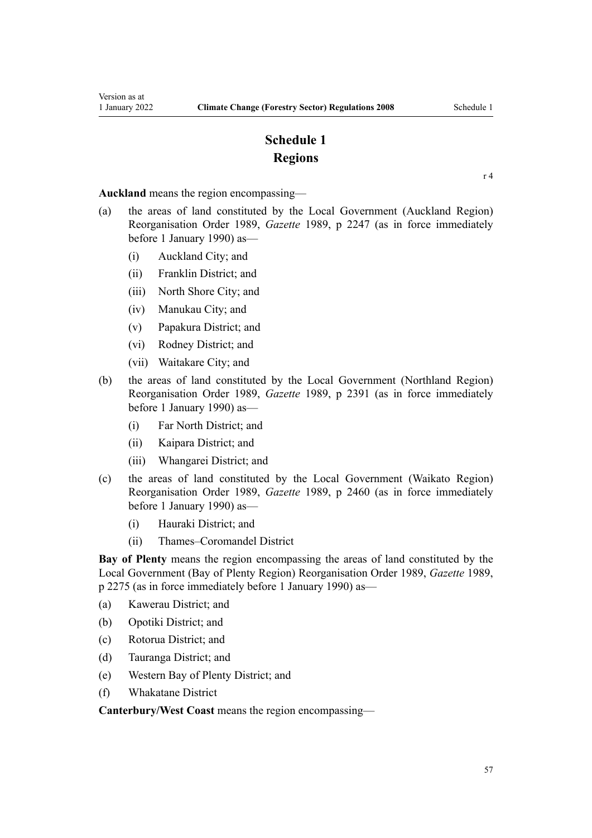# **Schedule 1 Regions**

[r 4](#page-3-0)

**Auckland** means the region encompassing—

- (a) the areas of land constituted by the Local Government (Auckland Region) Reorganisation Order 1989, *Gazette* 1989, p 2247 (as in force immediately before 1 January 1990) as—
	- (i) Auckland City; and
	- (ii) Franklin District; and
	- (iii) North Shore City; and
	- (iv) Manukau City; and
	- (v) Papakura District; and
	- (vi) Rodney District; and
	- (vii) Waitakare City; and
- (b) the areas of land constituted by the Local Government (Northland Region) Reorganisation Order 1989, *Gazette* 1989, p 2391 (as in force immediately before 1 January 1990) as—
	- (i) Far North District; and
	- (ii) Kaipara District; and
	- (iii) Whangarei District; and
- (c) the areas of land constituted by the Local Government (Waikato Region) Reorganisation Order 1989, *Gazette* 1989, p 2460 (as in force immediately before 1 January 1990) as—
	- (i) Hauraki District; and
	- (ii) Thames–Coromandel District

**Bay of Plenty** means the region encompassing the areas of land constituted by the Local Government (Bay of Plenty Region) Reorganisation Order 1989, *Gazette* 1989, p 2275 (as in force immediately before 1 January 1990) as—

- (a) Kawerau District; and
- (b) Opotiki District; and
- (c) Rotorua District; and
- (d) Tauranga District; and
- (e) Western Bay of Plenty District; and
- (f) Whakatane District

**Canterbury/West Coast** means the region encompassing—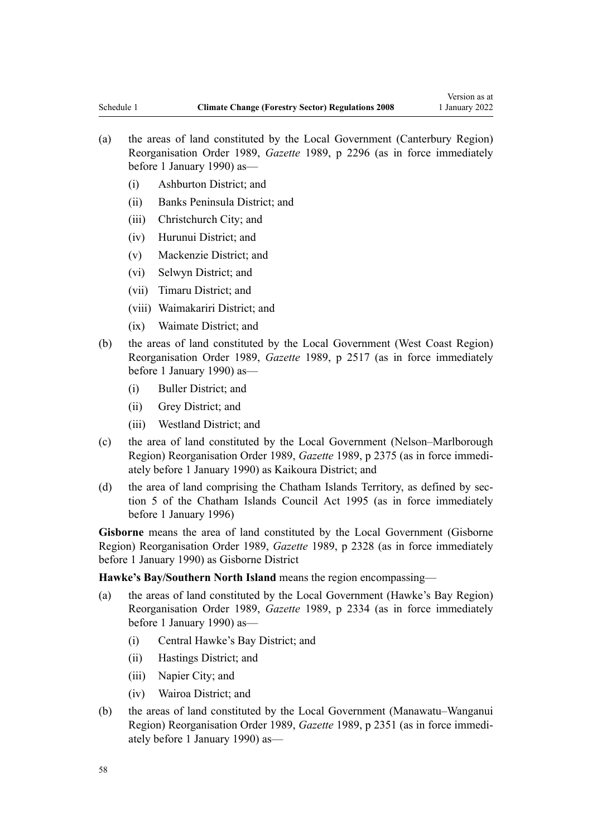- (a) the areas of land constituted by the Local Government (Canterbury Region) Reorganisation Order 1989, *Gazette* 1989, p 2296 (as in force immediately before 1 January 1990) as—
	- (i) Ashburton District; and
	- (ii) Banks Peninsula District; and
	- (iii) Christchurch City; and
	- (iv) Hurunui District; and
	- (v) Mackenzie District; and
	- (vi) Selwyn District; and
	- (vii) Timaru District; and
	- (viii) Waimakariri District; and
	- (ix) Waimate District; and
- (b) the areas of land constituted by the Local Government (West Coast Region) Reorganisation Order 1989, *Gazette* 1989, p 2517 (as in force immediately before 1 January 1990) as—
	- (i) Buller District; and
	- (ii) Grey District; and
	- (iii) Westland District; and
- (c) the area of land constituted by the Local Government (Nelson–Marlborough Region) Reorganisation Order 1989, *Gazette* 1989, p 2375 (as in force immedi‐ ately before 1 January 1990) as Kaikoura District; and
- (d) the area of land comprising the Chatham Islands Territory, as defined by section 5 of the Chatham Islands Council Act 1995 (as in force immediately before 1 January 1996)

**Gisborne** means the area of land constituted by the Local Government (Gisborne Region) Reorganisation Order 1989, *Gazette* 1989, p 2328 (as in force immediately before 1 January 1990) as Gisborne District

**Hawke's Bay/Southern North Island** means the region encompassing—

- (a) the areas of land constituted by the Local Government (Hawke's Bay Region) Reorganisation Order 1989, *Gazette* 1989, p 2334 (as in force immediately before 1 January 1990) as—
	- (i) Central Hawke's Bay District; and
	- (ii) Hastings District; and
	- (iii) Napier City; and
	- (iv) Wairoa District; and
- (b) the areas of land constituted by the Local Government (Manawatu–Wanganui Region) Reorganisation Order 1989, *Gazette* 1989, p 2351 (as in force immedi‐ ately before 1 January 1990) as—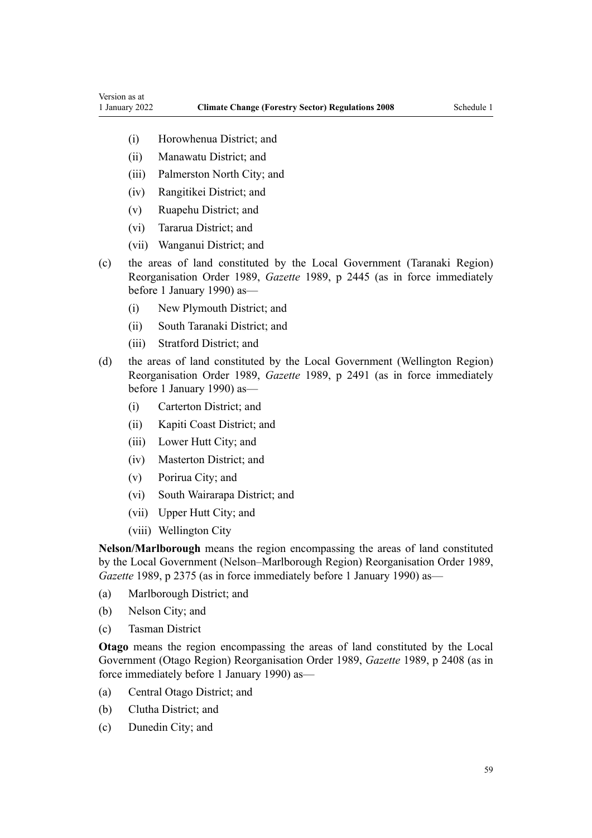- (i) Horowhenua District; and
- (ii) Manawatu District; and
- (iii) Palmerston North City; and
- (iv) Rangitikei District; and
- (v) Ruapehu District; and
- (vi) Tararua District; and
- (vii) Wanganui District; and
- (c) the areas of land constituted by the Local Government (Taranaki Region) Reorganisation Order 1989, *Gazette* 1989, p 2445 (as in force immediately before 1 January 1990) as—
	- (i) New Plymouth District; and
	- (ii) South Taranaki District; and
	- (iii) Stratford District; and
- (d) the areas of land constituted by the Local Government (Wellington Region) Reorganisation Order 1989, *Gazette* 1989, p 2491 (as in force immediately before 1 January 1990) as—
	- (i) Carterton District; and
	- (ii) Kapiti Coast District; and
	- (iii) Lower Hutt City; and
	- (iv) Masterton District; and
	- (v) Porirua City; and
	- (vi) South Wairarapa District; and
	- (vii) Upper Hutt City; and
	- (viii) Wellington City

**Nelson/Marlborough** means the region encompassing the areas of land constituted by the Local Government (Nelson–Marlborough Region) Reorganisation Order 1989, *Gazette* 1989, p 2375 (as in force immediately before 1 January 1990) as—

- (a) Marlborough District; and
- (b) Nelson City; and
- (c) Tasman District

**Otago** means the region encompassing the areas of land constituted by the Local Government (Otago Region) Reorganisation Order 1989, *Gazette* 1989, p 2408 (as in force immediately before 1 January 1990) as—

- (a) Central Otago District; and
- (b) Clutha District; and
- (c) Dunedin City; and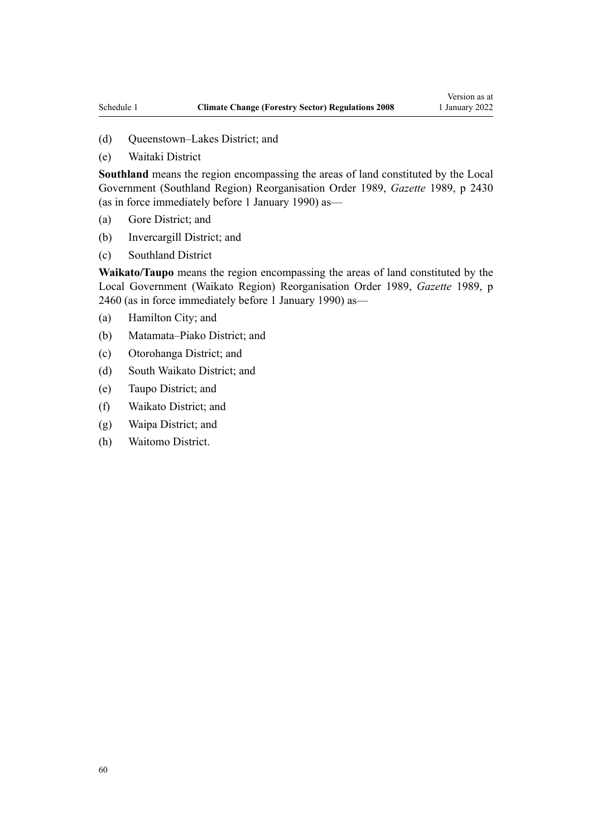- (d) Queenstown–Lakes District; and
- (e) Waitaki District

**Southland** means the region encompassing the areas of land constituted by the Local Government (Southland Region) Reorganisation Order 1989, *Gazette* 1989, p 2430 (as in force immediately before 1 January 1990) as—

- (a) Gore District; and
- (b) Invercargill District; and
- (c) Southland District

**Waikato/Taupo** means the region encompassing the areas of land constituted by the Local Government (Waikato Region) Reorganisation Order 1989, *Gazette* 1989, p 2460 (as in force immediately before 1 January 1990) as—

- (a) Hamilton City; and
- (b) Matamata–Piako District; and
- (c) Otorohanga District; and
- (d) South Waikato District; and
- (e) Taupo District; and
- (f) Waikato District; and
- (g) Waipa District; and
- (h) Waitomo District.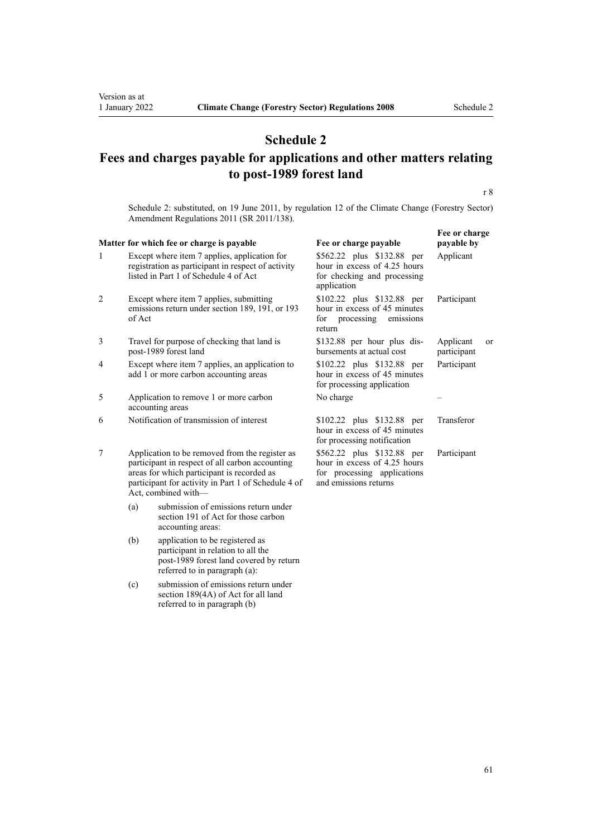# **Schedule 2**

# **Fees and charges payable for applications and other matters relating to post-1989 forest land**

r 8

Schedule 2: substituted, on 19 June 2011, by [regulation 12](http://legislation.govt.nz/pdflink.aspx?id=DLM3733349) of the Climate Change (Forestry Sector) Amendment Regulations 2011 (SR 2011/138).

|                |        | Matter for which fee or charge is payable                                                                                                                                                                                     | Fee or charge payable                                                                                              | Fee or charge<br>payable by    |
|----------------|--------|-------------------------------------------------------------------------------------------------------------------------------------------------------------------------------------------------------------------------------|--------------------------------------------------------------------------------------------------------------------|--------------------------------|
| 1              |        | Except where item 7 applies, application for<br>registration as participant in respect of activity<br>listed in Part 1 of Schedule 4 of Act                                                                                   | \$562.22 plus \$132.88 per<br>hour in excess of 4.25 hours<br>for checking and processing<br>application           | Applicant                      |
| $\mathfrak{2}$ | of Act | Except where item 7 applies, submitting<br>emissions return under section 189, 191, or 193                                                                                                                                    | \$102.22 plus \$132.88 per<br>hour in excess of 45 minutes<br>for processing<br>emissions<br>return                | Participant                    |
| 3              |        | Travel for purpose of checking that land is<br>post-1989 forest land                                                                                                                                                          | \$132.88 per hour plus dis-<br>bursements at actual cost                                                           | Applicant<br>or<br>participant |
| $\overline{4}$ |        | Except where item 7 applies, an application to<br>add 1 or more carbon accounting areas                                                                                                                                       | \$102.22 plus \$132.88 per<br>hour in excess of 45 minutes<br>for processing application                           | Participant                    |
| 5              |        | Application to remove 1 or more carbon<br>accounting areas                                                                                                                                                                    | No charge                                                                                                          |                                |
| 6              |        | Notification of transmission of interest                                                                                                                                                                                      | \$102.22 plus \$132.88 per<br>hour in excess of 45 minutes<br>for processing notification                          | Transferor                     |
| 7              |        | Application to be removed from the register as<br>participant in respect of all carbon accounting<br>areas for which participant is recorded as<br>participant for activity in Part 1 of Schedule 4 of<br>Act, combined with- | \$562.22 plus \$132.88 per<br>hour in excess of 4.25 hours<br>for processing applications<br>and emissions returns | Participant                    |
|                | (a)    | submission of emissions return under<br>section 191 of Act for those carbon<br>accounting areas:                                                                                                                              |                                                                                                                    |                                |
|                | (b)    | application to be registered as<br>participant in relation to all the<br>post-1989 forest land covered by return<br>referred to in paragraph (a):                                                                             |                                                                                                                    |                                |
|                | (c)    | submission of emissions return under                                                                                                                                                                                          |                                                                                                                    |                                |

[section 189\(4A\)](http://legislation.govt.nz/pdflink.aspx?id=DLM1662782) of Act for all land referred to in paragraph (b)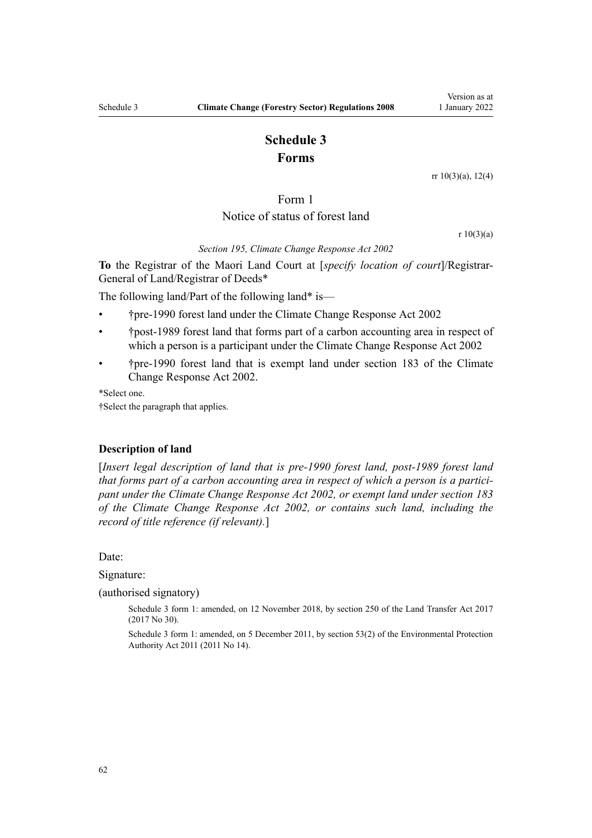# **Schedule 3 Forms**

[rr 10\(3\)\(a\)](#page-10-0), [12\(4\)](#page-12-0)

# Form 1 Notice of status of forest land

r 10(3)(a)

*Section 195, Climate Change Response Act 2002*

**To** the Registrar of the Maori Land Court at [*specify location of court*]/Registrar-General of Land/Registrar of Deeds\*

The following land/Part of the following land\* is—

- †pre-1990 forest land under the Climate Change Response Act 2002
- †post-1989 forest land that forms part of a carbon accounting area in respect of which a person is a participant under the Climate Change Response Act 2002
- †pre-1990 forest land that is exempt land under section 183 of the Climate Change Response Act 2002.

\*Select one.

†Select the paragraph that applies.

#### **Description of land**

[*Insert legal description of land that is pre-1990 forest land, post-1989 forest land that forms part of a carbon accounting area in respect of which a person is a partici‐ pant under the Climate Change Response Act 2002, or exempt land under section 183 of the Climate Change Response Act 2002, or contains such land, including the record of title reference (if relevant).*]

Date:

Signature:

(authorised signatory)

Schedule 3 form 1: amended, on 12 November 2018, by [section 250](http://legislation.govt.nz/pdflink.aspx?id=DLM6731493) of the Land Transfer Act 2017 (2017 No 30).

Schedule 3 form 1: amended, on 5 December 2011, by [section 53\(2\)](http://legislation.govt.nz/pdflink.aspx?id=DLM3366997) of the Environmental Protection Authority Act 2011 (2011 No 14).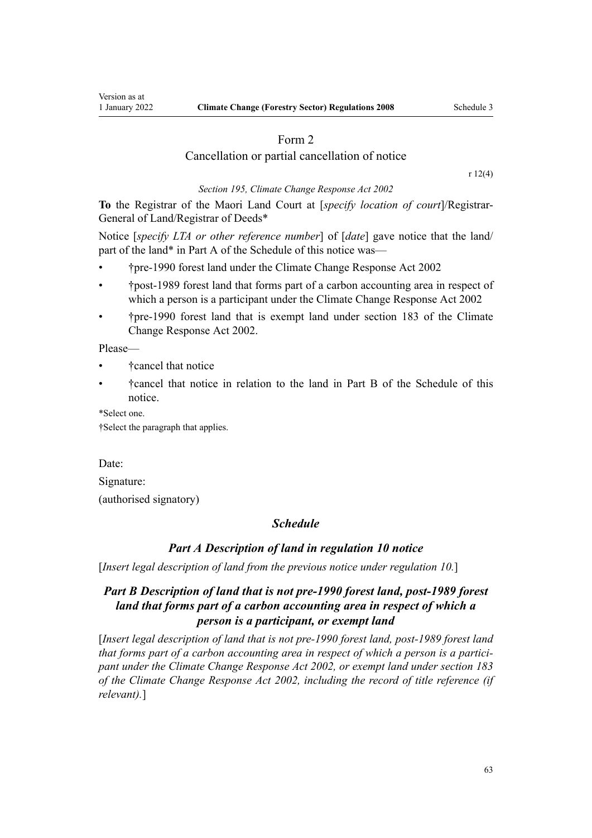### Form 2

### Cancellation or partial cancellation of notice

[r 12\(4\)](#page-12-0)

*Section 195, Climate Change Response Act 2002* **To** the Registrar of the Maori Land Court at [*specify location of court*]/Registrar-

General of Land/Registrar of Deeds\*

Notice [*specify LTA or other reference number*] of [*date*] gave notice that the land/ part of the land\* in Part A of the Schedule of this notice was—

- †pre-1990 forest land under the Climate Change Response Act 2002
- †post-1989 forest land that forms part of a carbon accounting area in respect of which a person is a participant under the Climate Change Response Act 2002
- †pre-1990 forest land that is exempt land under section 183 of the Climate Change Response Act 2002.

Please—

- †cancel that notice
- †cancel that notice in relation to the land in Part B of the Schedule of this notice.

\*Select one.

†Select the paragraph that applies.

Date:

Signature:

(authorised signatory)

# *Schedule*

# *Part A Description of land in regulation 10 notice*

[*Insert legal description of land from the previous notice under regulation 10.*]

# *Part B Description of land that is not pre-1990 forest land, post-1989 forest land that forms part of a carbon accounting area in respect of which a person is a participant, or exempt land*

[*Insert legal description of land that is not pre-1990 forest land, post-1989 forest land that forms part of a carbon accounting area in respect of which a person is a partici‐ pant under the Climate Change Response Act 2002, or exempt land under section 183 of the Climate Change Response Act 2002, including the record of title reference (if relevant).*]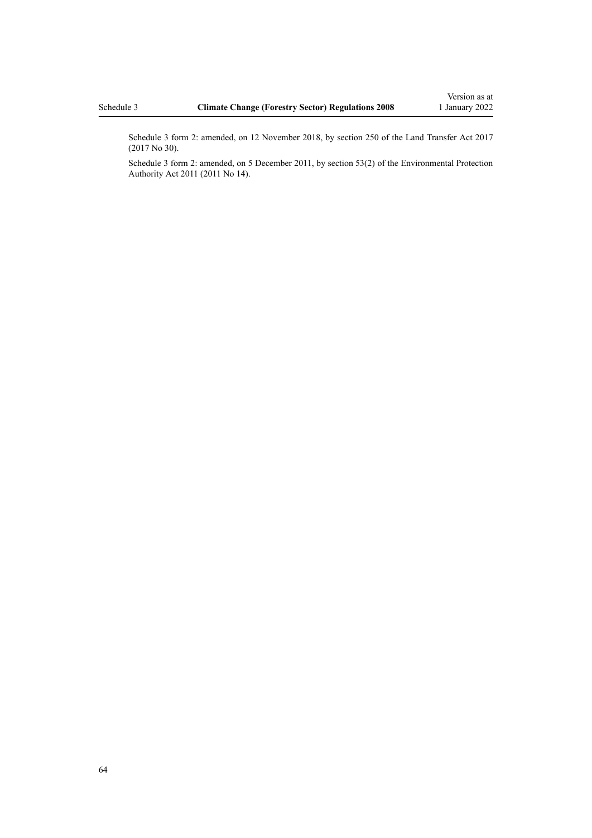Schedule 3 form 2: amended, on 12 November 2018, by [section 250](http://legislation.govt.nz/pdflink.aspx?id=DLM6731493) of the Land Transfer Act 2017 (2017 No 30).

Schedule 3 form 2: amended, on 5 December 2011, by [section 53\(2\)](http://legislation.govt.nz/pdflink.aspx?id=DLM3366997) of the Environmental Protection Authority Act 2011 (2011 No 14).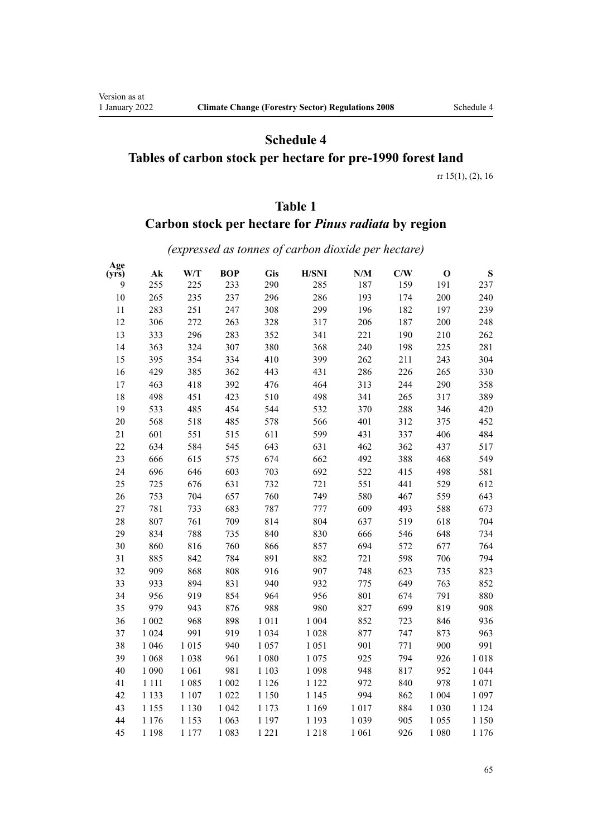Version as at<br>1 January 2022

# **Schedule 4 Tables of carbon stock per hectare for pre-1990 forest land**

[rr 15\(1\), \(2\),](#page-14-0) [16](#page-17-0)

# **Table 1**

# **Carbon stock per hectare for** *Pinus radiata* **by region**

*(expressed as tonnes of carbon dioxide per hectare)*

| Age<br>(yrs) | $A\mathbf{k}$ | W/T     | <b>BOP</b> | <b>Gis</b> | <b>H/SNI</b> | N/M     | C/W | $\mathbf 0$ | ${\bf S}$ |
|--------------|---------------|---------|------------|------------|--------------|---------|-----|-------------|-----------|
| 9            | 255           | 225     | 233        | 290        | 285          | 187     | 159 | 191         | 237       |
| 10           | 265           | 235     | 237        | 296        | 286          | 193     | 174 | 200         | 240       |
| 11           | 283           | 251     | 247        | 308        | 299          | 196     | 182 | 197         | 239       |
| 12           | 306           | 272     | 263        | 328        | 317          | 206     | 187 | 200         | 248       |
| 13           | 333           | 296     | 283        | 352        | 341          | 221     | 190 | 210         | 262       |
| 14           | 363           | 324     | 307        | 380        | 368          | 240     | 198 | 225         | 281       |
| 15           | 395           | 354     | 334        | 410        | 399          | 262     | 211 | 243         | 304       |
| 16           | 429           | 385     | 362        | 443        | 431          | 286     | 226 | 265         | 330       |
| 17           | 463           | 418     | 392        | 476        | 464          | 313     | 244 | 290         | 358       |
| 18           | 498           | 451     | 423        | 510        | 498          | 341     | 265 | 317         | 389       |
| 19           | 533           | 485     | 454        | 544        | 532          | 370     | 288 | 346         | 420       |
| 20           | 568           | 518     | 485        | 578        | 566          | 401     | 312 | 375         | 452       |
| 21           | 601           | 551     | 515        | 611        | 599          | 431     | 337 | 406         | 484       |
| 22           | 634           | 584     | 545        | 643        | 631          | 462     | 362 | 437         | 517       |
| 23           | 666           | 615     | 575        | 674        | 662          | 492     | 388 | 468         | 549       |
| 24           | 696           | 646     | 603        | 703        | 692          | 522     | 415 | 498         | 581       |
| 25           | 725           | 676     | 631        | 732        | 721          | 551     | 441 | 529         | 612       |
| 26           | 753           | 704     | 657        | 760        | 749          | 580     | 467 | 559         | 643       |
| 27           | 781           | 733     | 683        | 787        | 777          | 609     | 493 | 588         | 673       |
| 28           | 807           | 761     | 709        | 814        | 804          | 637     | 519 | 618         | 704       |
| 29           | 834           | 788     | 735        | 840        | 830          | 666     | 546 | 648         | 734       |
| 30           | 860           | 816     | 760        | 866        | 857          | 694     | 572 | 677         | 764       |
| 31           | 885           | 842     | 784        | 891        | 882          | 721     | 598 | 706         | 794       |
| 32           | 909           | 868     | 808        | 916        | 907          | 748     | 623 | 735         | 823       |
| 33           | 933           | 894     | 831        | 940        | 932          | 775     | 649 | 763         | 852       |
| 34           | 956           | 919     | 854        | 964        | 956          | 801     | 674 | 791         | 880       |
| 35           | 979           | 943     | 876        | 988        | 980          | 827     | 699 | 819         | 908       |
| 36           | 1 002         | 968     | 898        | 1 0 1 1    | 1 0 0 4      | 852     | 723 | 846         | 936       |
| 37           | 1 0 2 4       | 991     | 919        | 1 0 3 4    | 1 0 2 8      | 877     | 747 | 873         | 963       |
| 38           | 1 0 4 6       | 1 0 1 5 | 940        | 1 0 5 7    | 1 0 5 1      | 901     | 771 | 900         | 991       |
| 39           | 1 0 6 8       | 1 0 38  | 961        | 1 0 8 0    | 1 0 7 5      | 925     | 794 | 926         | 1018      |
| 40           | 1 0 9 0       | 1 0 6 1 | 981        | 1 1 0 3    | 1 0 9 8      | 948     | 817 | 952         | 1 0 4 4   |
| 41           | 1 1 1 1       | 1 0 8 5 | 1 0 0 2    | 1 1 2 6    | 1 1 2 2      | 972     | 840 | 978         | 1 0 7 1   |
| 42           | 1 1 3 3       | 1 1 0 7 | 1 0 2 2    | 1 1 5 0    | 1 1 4 5      | 994     | 862 | 1 0 0 4     | 1 0 9 7   |
| 43           | 1 1 5 5       | 1 1 3 0 | 1 0 4 2    | 1 1 7 3    | 1 1 6 9      | 1017    | 884 | 1 0 3 0     | 1 1 2 4   |
| 44           | 1 1 7 6       | 1 1 5 3 | 1 0 6 3    | 1 1 9 7    | 1 1 9 3      | 1 0 3 9 | 905 | 1 0 5 5     | 1 1 5 0   |
| 45           | 1 1 9 8       | 1 1 7 7 | 1 0 8 3    | 1 2 2 1    | 1218         | 1 0 6 1 | 926 | 1 0 8 0     | 1 1 7 6   |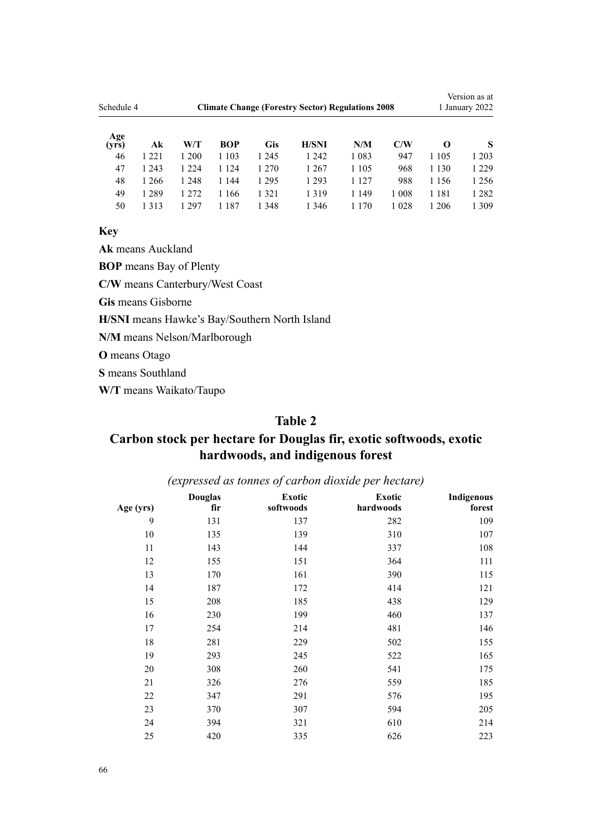| Schedule 4   |         | <b>Climate Change (Forestry Sector) Regulations 2008</b> |         |            |              |         |         |          | Version as at<br>1 January 2022 |  |
|--------------|---------|----------------------------------------------------------|---------|------------|--------------|---------|---------|----------|---------------------------------|--|
| Age<br>(vrs) | Ak      | W/T                                                      | BOP     | <b>Gis</b> | <b>H/SNI</b> | N/M     | C/W     | $\Omega$ | S                               |  |
| 46           | 1 2 2 1 | 1 200                                                    | 1 1 0 3 | 1 245      | 1 2 4 2      | 1 0 8 3 | 947     | 1 1 0 5  | 1 2 0 3                         |  |
| 47           | 1 2 4 3 | 1 2 2 4                                                  | 1 124   | 1 270      | 1 2 6 7      | 1 1 0 5 | 968     | 1 1 3 0  | 1 2 2 9                         |  |
| 48           | 1 2 6 6 | 1 248                                                    | 1 144   | 1 2 9 5    | 1 2 9 3      | 1 1 2 7 | 988     | 1 1 5 6  | 1 2 5 6                         |  |
| 49           | 1 2 8 9 | 1 2 7 2                                                  | 1 166   | 1 3 2 1    | 1319         | 1 1 4 9 | 1 0 0 8 | 1 1 8 1  | 1 2 8 2                         |  |
| 50           | 1 3 1 3 | 297                                                      | -187    | 1 348      | 1 3 4 6      | 170     | 1 0 2 8 | 1 206    | 1 309                           |  |

**Key**

**Ak** means Auckland

**BOP** means Bay of Plenty

**C/W** means Canterbury/West Coast

**Gis** means Gisborne

**H/SNI** means Hawke's Bay/Southern North Island

**N/M** means Nelson/Marlborough

**O** means Otago

**S** means Southland

**W/T** means Waikato/Taupo

# **Table 2**

# **Carbon stock per hectare for Douglas fir, exotic softwoods, exotic hardwoods, and indigenous forest**

| $(\alpha, \beta)$ cased as tonnes of carbon atoxine per necture, |                       |                     |                     |                      |  |  |  |  |
|------------------------------------------------------------------|-----------------------|---------------------|---------------------|----------------------|--|--|--|--|
| Age (yrs)                                                        | <b>Douglas</b><br>fir | Exotic<br>softwoods | Exotic<br>hardwoods | Indigenous<br>forest |  |  |  |  |
| 9                                                                | 131                   | 137                 | 282                 | 109                  |  |  |  |  |
| 10                                                               | 135                   | 139                 | 310                 | 107                  |  |  |  |  |
| 11                                                               | 143                   | 144                 | 337                 | 108                  |  |  |  |  |
| 12                                                               | 155                   | 151                 | 364                 | 111                  |  |  |  |  |
| 13                                                               | 170                   | 161                 | 390                 | 115                  |  |  |  |  |
| 14                                                               | 187                   | 172                 | 414                 | 121                  |  |  |  |  |
| 15                                                               | 208                   | 185                 | 438                 | 129                  |  |  |  |  |
| 16                                                               | 230                   | 199                 | 460                 | 137                  |  |  |  |  |
| 17                                                               | 254                   | 214                 | 481                 | 146                  |  |  |  |  |
| 18                                                               | 281                   | 229                 | 502                 | 155                  |  |  |  |  |
| 19                                                               | 293                   | 245                 | 522                 | 165                  |  |  |  |  |
| 20                                                               | 308                   | 260                 | 541                 | 175                  |  |  |  |  |
| 21                                                               | 326                   | 276                 | 559                 | 185                  |  |  |  |  |
| 22                                                               | 347                   | 291                 | 576                 | 195                  |  |  |  |  |
| 23                                                               | 370                   | 307                 | 594                 | 205                  |  |  |  |  |
| 24                                                               | 394                   | 321                 | 610                 | 214                  |  |  |  |  |
| 25                                                               | 420                   | 335                 | 626                 | 223                  |  |  |  |  |

*(expressed as tonnes of carbon dioxide per hectare)*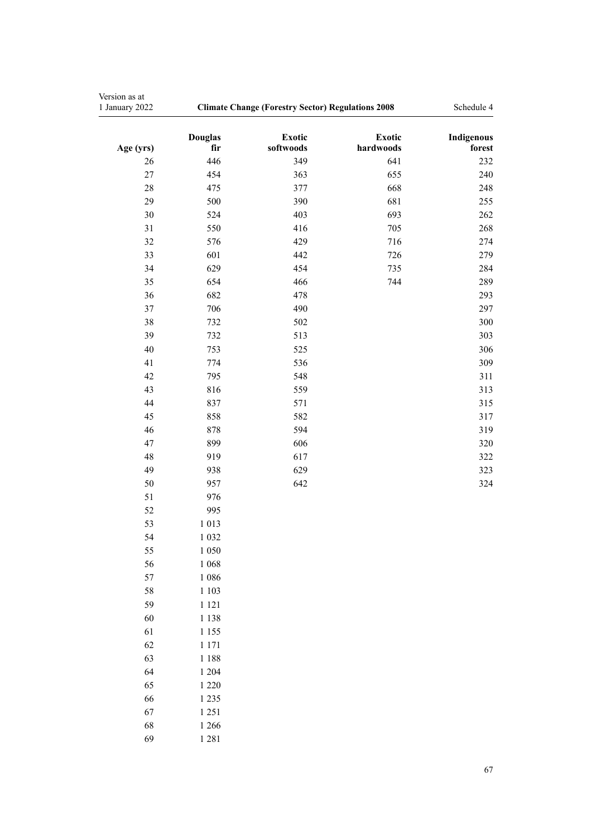| Version as at<br>1 January 2022 | <b>Climate Change (Forestry Sector) Regulations 2008</b> | Schedule 4                 |                     |                      |
|---------------------------------|----------------------------------------------------------|----------------------------|---------------------|----------------------|
| Age (yrs)                       | <b>Douglas</b><br>fir                                    | <b>Exotic</b><br>softwoods | Exotic<br>hardwoods | Indigenous<br>forest |
| 26                              | 446                                                      | 349                        | 641                 | 232                  |
| $27\,$                          | 454                                                      | 363                        | 655                 | 240                  |
| 28                              | 475                                                      | 377                        | 668                 | 248                  |
| 29                              | 500                                                      | 390                        | 681                 | 255                  |
| 30                              | 524                                                      | 403                        | 693                 | 262                  |
| 31                              | 550                                                      | 416                        | 705                 | 268                  |
| 32                              | 576                                                      | 429                        | 716                 | 274                  |
| 33                              | 601                                                      | 442                        | 726                 | 279                  |
| 34                              | 629                                                      | 454                        | 735                 | 284                  |
| 35                              | 654                                                      | 466                        | 744                 | 289                  |
| 36                              | 682                                                      | 478                        |                     | 293                  |
| 37                              | 706                                                      | 490                        |                     | 297                  |
| 38                              | 732                                                      | 502                        |                     | 300                  |
| 39                              | 732                                                      | 513                        |                     | 303                  |
| 40                              | 753                                                      | 525                        |                     | 306                  |
| 41                              | 774                                                      | 536                        |                     | 309                  |
| 42                              | 795                                                      | 548                        |                     | 311                  |
| 43                              | 816                                                      | 559                        |                     | 313                  |
| 44                              | 837                                                      | 571                        |                     | 315                  |
| 45                              | 858                                                      | 582                        |                     | 317                  |
| 46                              | 878                                                      | 594                        |                     | 319                  |
| 47                              | 899                                                      | 606                        |                     | 320                  |
| 48                              | 919                                                      | 617                        |                     | 322                  |
| 49                              | 938                                                      | 629                        |                     | 323                  |
| 50                              | 957                                                      | 642                        |                     | 324                  |
| 51                              | 976                                                      |                            |                     |                      |
| 52                              | 995                                                      |                            |                     |                      |
| 53                              | 1 0 1 3                                                  |                            |                     |                      |
| 54                              | 1 0 3 2                                                  |                            |                     |                      |
| 55                              | 1 0 5 0                                                  |                            |                     |                      |
| 56                              | 1 0 6 8                                                  |                            |                     |                      |
| 57                              | 1 0 8 6                                                  |                            |                     |                      |
| 58                              | 1 1 0 3                                                  |                            |                     |                      |
| 59                              | 1 1 2 1                                                  |                            |                     |                      |
| 60                              | 1 1 3 8                                                  |                            |                     |                      |
| 61                              | 1 1 5 5                                                  |                            |                     |                      |
| 62                              | 1 1 7 1                                                  |                            |                     |                      |
| 63                              | 1 1 8 8                                                  |                            |                     |                      |
| 64                              | 1 2 0 4                                                  |                            |                     |                      |
| 65                              | 1 2 2 0                                                  |                            |                     |                      |
| 66                              | 1 2 3 5                                                  |                            |                     |                      |
| 67                              | 1 2 5 1                                                  |                            |                     |                      |
| 68                              | 1 2 6 6                                                  |                            |                     |                      |
| 69                              | 1 2 8 1                                                  |                            |                     |                      |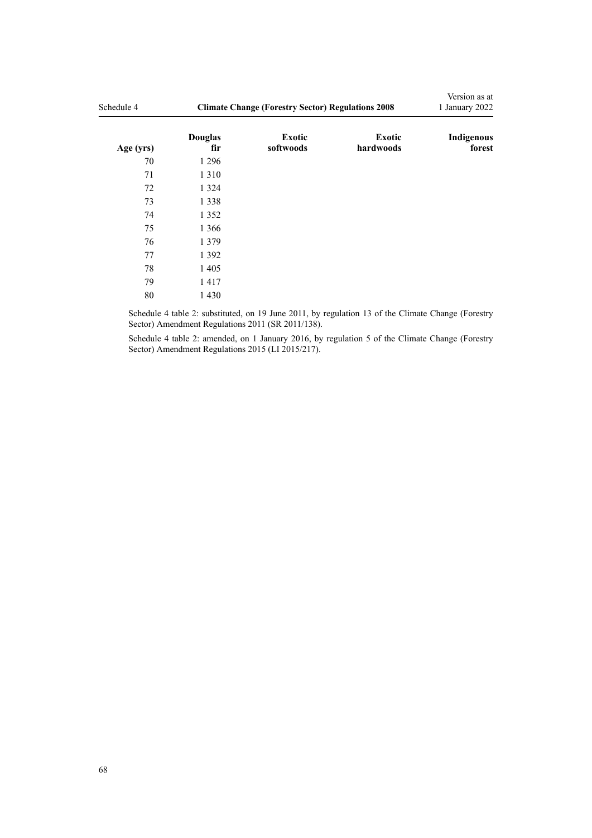| Schedule 4 | <b>Climate Change (Forestry Sector) Regulations 2008</b> | Version as at<br>1 January 2022 |                            |                      |
|------------|----------------------------------------------------------|---------------------------------|----------------------------|----------------------|
| Age (yrs)  | <b>Douglas</b><br>fir                                    | <b>Exotic</b><br>softwoods      | <b>Exotic</b><br>hardwoods | Indigenous<br>forest |
| 70         | 1 2 9 6                                                  |                                 |                            |                      |
| 71         | 1 3 1 0                                                  |                                 |                            |                      |
| 72         | 1 3 2 4                                                  |                                 |                            |                      |
| 73         | 1 3 3 8                                                  |                                 |                            |                      |
| 74         | 1 3 5 2                                                  |                                 |                            |                      |
| 75         | 1 3 6 6                                                  |                                 |                            |                      |
| 76         | 1 3 7 9                                                  |                                 |                            |                      |
| 77         | 1 3 9 2                                                  |                                 |                            |                      |
| 78         | 1 4 0 5                                                  |                                 |                            |                      |
| 79         | 1417                                                     |                                 |                            |                      |
| 80         | 1 4 3 0                                                  |                                 |                            |                      |

Schedule 4 table 2: substituted, on 19 June 2011, by [regulation 13](http://legislation.govt.nz/pdflink.aspx?id=DLM3733358) of the Climate Change (Forestry Sector) Amendment Regulations 2011 (SR 2011/138).

Schedule 4 table 2: amended, on 1 January 2016, by [regulation 5](http://legislation.govt.nz/pdflink.aspx?id=DLM6586519) of the Climate Change (Forestry Sector) Amendment Regulations 2015 (LI 2015/217).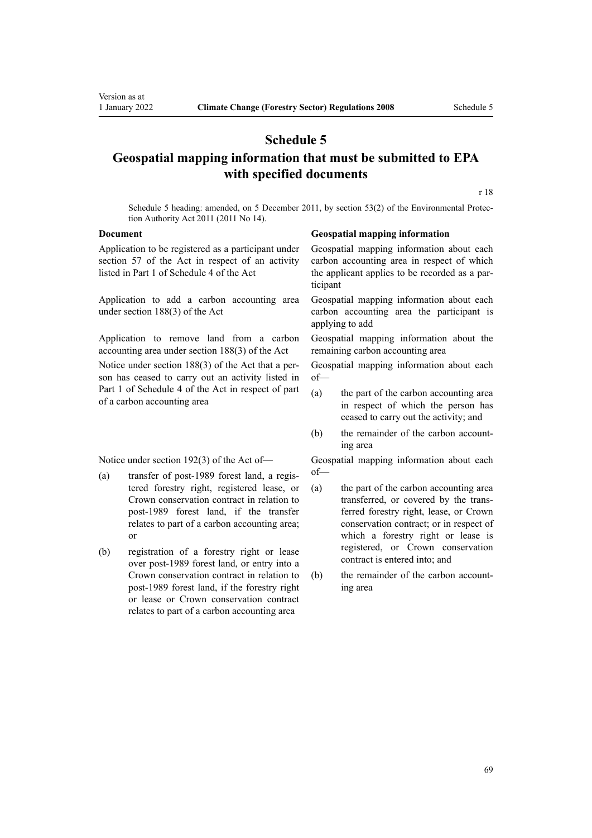# **Schedule 5**

# **Geospatial mapping information that must be submitted to EPA with specified documents**

[r 18](#page-20-0)

Schedule 5 heading: amended, on 5 December 2011, by [section 53\(2\)](http://legislation.govt.nz/pdflink.aspx?id=DLM3366997) of the Environmental Protection Authority Act 2011 (2011 No 14).

Application to be registered as a participant under section 57 of the Act in respect of an activity listed in Part 1 of Schedule 4 of the Act

Application to add a carbon accounting area under section 188(3) of the Act

Application to remove land from a carbon accounting area under section 188(3) of the Act

Notice under section 188(3) of the Act that a per‐ son has ceased to carry out an activity listed in Part 1 of Schedule 4 of the Act in respect of part of a carbon accounting area

Notice under section 192(3) of the Act of—

- (a) transfer of post-1989 forest land, a regis‐ tered forestry right, registered lease, or Crown conservation contract in relation to post-1989 forest land, if the transfer relates to part of a carbon accounting area; or
- (b) registration of a forestry right or lease over post-1989 forest land, or entry into a Crown conservation contract in relation to post-1989 forest land, if the forestry right or lease or Crown conservation contract relates to part of a carbon accounting area

#### **Document Geospatial mapping information**

Geospatial mapping information about each carbon accounting area in respect of which the applicant applies to be recorded as a par‐ ticipant

Geospatial mapping information about each carbon accounting area the participant is applying to add

Geospatial mapping information about the remaining carbon accounting area

Geospatial mapping information about each of—

- (a) the part of the carbon accounting area in respect of which the person has ceased to carry out the activity; and
- (b) the remainder of the carbon accounting area

Geospatial mapping information about each of—

- (a) the part of the carbon accounting area transferred, or covered by the trans‐ ferred forestry right, lease, or Crown conservation contract; or in respect of which a forestry right or lease is registered, or Crown conservation contract is entered into; and
- (b) the remainder of the carbon accounting area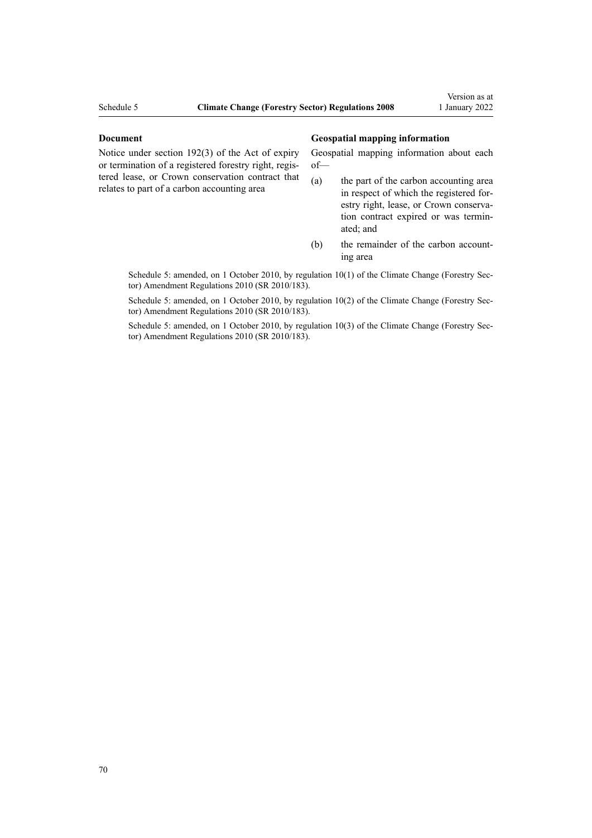Notice under section 192(3) of the Act of expiry or termination of a registered forestry right, regis‐ tered lease, or Crown conservation contract that relates to part of a carbon accounting area

#### **Document Geospatial mapping information**

Geospatial mapping information about each of—

- (a) the part of the carbon accounting area in respect of which the registered for‐ estry right, lease, or Crown conservation contract expired or was termin‐ ated; and
- (b) the remainder of the carbon accounting area

Schedule 5: amended, on 1 October 2010, by [regulation 10\(1\)](http://legislation.govt.nz/pdflink.aspx?id=DLM3048765) of the Climate Change (Forestry Sector) Amendment Regulations 2010 (SR 2010/183).

Schedule 5: amended, on 1 October 2010, by [regulation 10\(2\)](http://legislation.govt.nz/pdflink.aspx?id=DLM3048765) of the Climate Change (Forestry Sector) Amendment Regulations 2010 (SR 2010/183).

Schedule 5: amended, on 1 October 2010, by [regulation 10\(3\)](http://legislation.govt.nz/pdflink.aspx?id=DLM3048765) of the Climate Change (Forestry Sector) Amendment Regulations 2010 (SR 2010/183).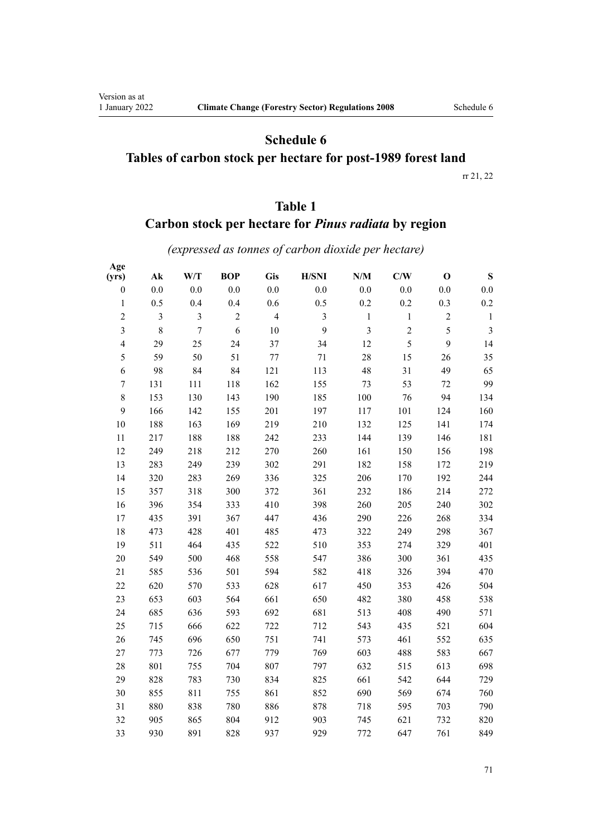Version as at<br>1 January 2022

# **Schedule 6 Tables of carbon stock per hectare for post-1989 forest land**

[rr 21,](#page-22-0) [22](#page-24-0)

# **Table 1**

# **Carbon stock per hectare for** *Pinus radiata* **by region**

*(expressed as tonnes of carbon dioxide per hectare)*

| Age              |                |                |            |                |                |                         |                |             |                |
|------------------|----------------|----------------|------------|----------------|----------------|-------------------------|----------------|-------------|----------------|
| (yrs)            | $A\mathbf{k}$  | W/T            | <b>BOP</b> | Gis            | H/SNI          | $\mathbf{N}/\mathbf{M}$ | C/W            | $\mathbf 0$ | ${\bf S}$      |
| $\boldsymbol{0}$ | 0.0            | 0.0            | 0.0        | 0.0            | $0.0\,$        | 0.0                     | $0.0\,$        | 0.0         | $0.0\,$        |
| $\mathbf{1}$     | 0.5            | 0.4            | 0.4        | 0.6            | 0.5            | 0.2                     | 0.2            | 0.3         | $0.2\,$        |
| $\overline{2}$   | $\mathfrak{Z}$ | $\overline{3}$ | $\sqrt{2}$ | $\overline{4}$ | $\overline{3}$ | $\mathbf{1}$            | $\,1$          | $\sqrt{2}$  | $\mathbf{1}$   |
| $\overline{3}$   | 8              | $\overline{7}$ | 6          | 10             | 9              | $\overline{\mathbf{3}}$ | $\overline{c}$ | 5           | $\mathfrak{Z}$ |
| $\overline{4}$   | 29             | 25             | 24         | 37             | 34             | 12                      | 5              | 9           | 14             |
| 5                | 59             | 50             | 51         | 77             | 71             | 28                      | 15             | 26          | 35             |
| 6                | 98             | 84             | 84         | 121            | 113            | 48                      | 31             | 49          | 65             |
| $\boldsymbol{7}$ | 131            | 111            | 118        | 162            | 155            | 73                      | 53             | 72          | 99             |
| $8\,$            | 153            | 130            | 143        | 190            | 185            | 100                     | 76             | 94          | 134            |
| 9                | 166            | 142            | 155        | 201            | 197            | 117                     | 101            | 124         | 160            |
| 10               | 188            | 163            | 169        | 219            | 210            | 132                     | 125            | 141         | 174            |
| 11               | 217            | 188            | 188        | 242            | 233            | 144                     | 139            | 146         | 181            |
| 12               | 249            | 218            | 212        | 270            | 260            | 161                     | 150            | 156         | 198            |
| 13               | 283            | 249            | 239        | 302            | 291            | 182                     | 158            | 172         | 219            |
| 14               | 320            | 283            | 269        | 336            | 325            | 206                     | 170            | 192         | 244            |
| 15               | 357            | 318            | 300        | 372            | 361            | 232                     | 186            | 214         | 272            |
| 16               | 396            | 354            | 333        | 410            | 398            | 260                     | 205            | 240         | 302            |
| 17               | 435            | 391            | 367        | 447            | 436            | 290                     | 226            | 268         | 334            |
| 18               | 473            | 428            | 401        | 485            | 473            | 322                     | 249            | 298         | 367            |
| 19               | 511            | 464            | 435        | 522            | 510            | 353                     | 274            | 329         | 401            |
| 20               | 549            | 500            | 468        | 558            | 547            | 386                     | 300            | 361         | 435            |
| 21               | 585            | 536            | 501        | 594            | 582            | 418                     | 326            | 394         | 470            |
| 22               | 620            | 570            | 533        | 628            | 617            | 450                     | 353            | 426         | 504            |
| 23               | 653            | 603            | 564        | 661            | 650            | 482                     | 380            | 458         | 538            |
| 24               | 685            | 636            | 593        | 692            | 681            | 513                     | 408            | 490         | 571            |
| 25               | 715            | 666            | 622        | 722            | 712            | 543                     | 435            | 521         | 604            |
| 26               | 745            | 696            | 650        | 751            | 741            | 573                     | 461            | 552         | 635            |
| 27               | 773            | 726            | 677        | 779            | 769            | 603                     | 488            | 583         | 667            |
| 28               | 801            | 755            | 704        | 807            | 797            | 632                     | 515            | 613         | 698            |
| 29               | 828            | 783            | 730        | 834            | 825            | 661                     | 542            | 644         | 729            |
| 30               | 855            | 811            | 755        | 861            | 852            | 690                     | 569            | 674         | 760            |
| 31               | 880            | 838            | 780        | 886            | 878            | 718                     | 595            | 703         | 790            |
| 32               | 905            | 865            | 804        | 912            | 903            | 745                     | 621            | 732         | 820            |
| 33               | 930            | 891            | 828        | 937            | 929            | 772                     | 647            | 761         | 849            |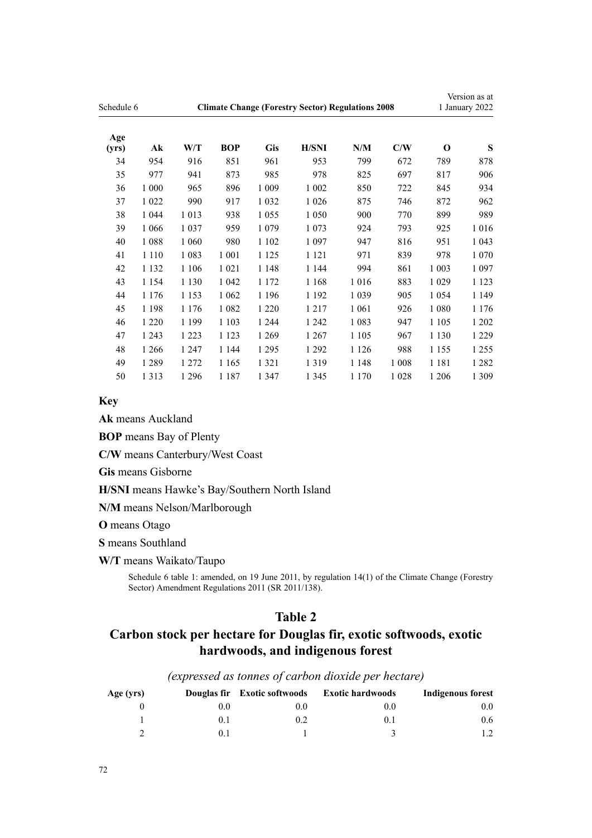| Schedule 6   |         | <b>Climate Change (Forestry Sector) Regulations 2008</b> |            |            |              |         |         |          | Version as at<br>1 January 2022 |  |
|--------------|---------|----------------------------------------------------------|------------|------------|--------------|---------|---------|----------|---------------------------------|--|
| Age<br>(yrs) | Ak      | W/T                                                      | <b>BOP</b> | <b>Gis</b> | <b>H/SNI</b> | N/M     | C/W     | $\Omega$ | S                               |  |
| 34           | 954     | 916                                                      | 851        | 961        | 953          | 799     | 672     | 789      | 878                             |  |
| 35           | 977     | 941                                                      | 873        | 985        | 978          | 825     | 697     | 817      | 906                             |  |
| 36           | 1 000   | 965                                                      | 896        | 1 0 0 9    | 1 0 0 2      | 850     | 722     | 845      | 934                             |  |
| 37           | 1 0 2 2 | 990                                                      | 917        | 1 0 3 2    | 1 0 2 6      | 875     | 746     | 872      | 962                             |  |
| 38           | 1 0 4 4 | 1013                                                     | 938        | 1 0 5 5    | 1 0 5 0      | 900     | 770     | 899      | 989                             |  |
| 39           | 1 0 6 6 | 1 0 3 7                                                  | 959        | 1 0 7 9    | 1 0 7 3      | 924     | 793     | 925      | 1016                            |  |
| 40           | 1088    | 1 0 6 0                                                  | 980        | 1 1 0 2    | 1 0 9 7      | 947     | 816     | 951      | 1 0 4 3                         |  |
| 41           | 1 1 1 0 | 1 0 8 3                                                  | 1 0 0 1    | 1 1 2 5    | 1 1 2 1      | 971     | 839     | 978      | 1 0 7 0                         |  |
| 42           | 1 1 3 2 | 1 1 0 6                                                  | 1 0 2 1    | 1 1 4 8    | 1 1 4 4      | 994     | 861     | 1 0 0 3  | 1 0 9 7                         |  |
| 43           | 1 1 5 4 | 1 1 3 0                                                  | 1 0 4 2    | 1 1 7 2    | 1 1 6 8      | 1 0 1 6 | 883     | 1 0 2 9  | 1 1 2 3                         |  |
| 44           | 1 1 7 6 | 1 1 5 3                                                  | 1 0 6 2    | 1 1 9 6    | 1 1 9 2      | 1 0 3 9 | 905     | 1 0 5 4  | 1 1 4 9                         |  |
| 45           | 1 1 9 8 | 1 1 7 6                                                  | 1 0 8 2    | 1 2 2 0    | 1 2 1 7      | 1 0 6 1 | 926     | 1 0 8 0  | 1 1 7 6                         |  |
| 46           | 1 2 2 0 | 1 1 9 9                                                  | 1 1 0 3    | 1 2 4 4    | 1 2 4 2      | 1 0 8 3 | 947     | 1 1 0 5  | 1 202                           |  |
| 47           | 1 2 4 3 | 1 2 2 3                                                  | 1 1 2 3    | 1 2 6 9    | 1 2 6 7      | 1 1 0 5 | 967     | 1 1 3 0  | 1 2 2 9                         |  |
| 48           | 1 2 6 6 | 1 2 4 7                                                  | 1 1 4 4    | 1 2 9 5    | 1 2 9 2      | 1 1 2 6 | 988     | 1 1 5 5  | 1 2 5 5                         |  |
| 49           | 1 2 8 9 | 1 272                                                    | 1 1 6 5    | 1 3 2 1    | 1319         | 1 1 4 8 | 1 0 0 8 | 1 1 8 1  | 1 2 8 2                         |  |
| 50           | 1 3 1 3 | 1 2 9 6                                                  | 1 1 8 7    | 1 3 4 7    | 1 3 4 5      | 1 1 7 0 | 1 0 2 8 | 1 2 0 6  | 1 3 0 9                         |  |

### **Key**

**Ak** means Auckland

**BOP** means Bay of Plenty

**C/W** means Canterbury/West Coast

**Gis** means Gisborne

**H/SNI** means Hawke's Bay/Southern North Island

**N/M** means Nelson/Marlborough

**O** means Otago

**S** means Southland

**W/T** means Waikato/Taupo

Schedule 6 table 1: amended, on 19 June 2011, by [regulation 14\(1\)](http://legislation.govt.nz/pdflink.aspx?id=DLM3733360) of the Climate Change (Forestry Sector) Amendment Regulations 2011 (SR 2011/138).

# **Table 2**

# **Carbon stock per hectare for Douglas fir, exotic softwoods, exotic hardwoods, and indigenous forest**

| Age (yrs) |     | Douglas fir Exotic softwoods | <b>Exotic hardwoods</b> | Indigenous forest |
|-----------|-----|------------------------------|-------------------------|-------------------|
|           | 0.0 | $0.0\,$                      | 0.0                     | 0.0               |
|           | 0.1 | 0.2                          | O. I                    | 0.6               |
|           |     |                              |                         |                   |

*(expressed as tonnes of carbon dioxide per hectare)*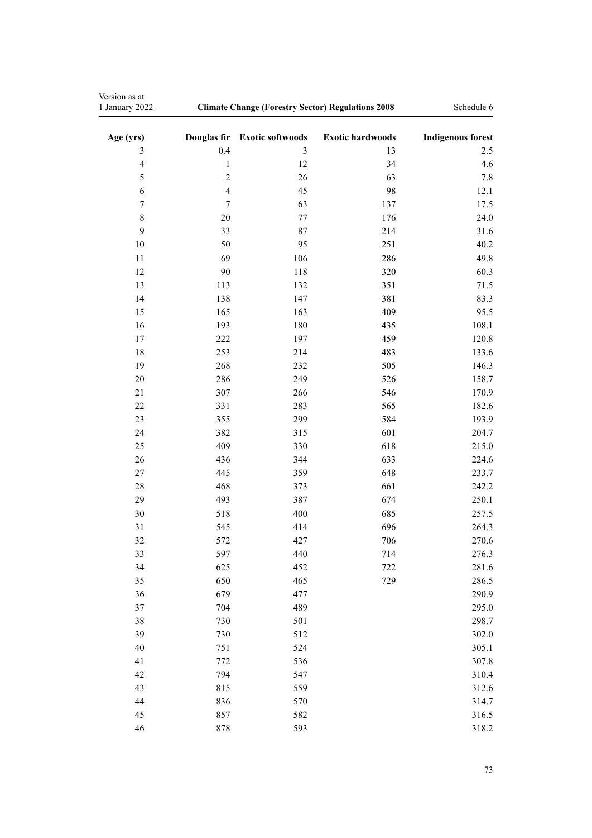| Version as at<br>1 January 2022 | <b>Climate Change (Forestry Sector) Regulations 2008</b> | Schedule 6              |                         |                          |
|---------------------------------|----------------------------------------------------------|-------------------------|-------------------------|--------------------------|
| Age (yrs)                       | Douglas fir                                              | <b>Exotic softwoods</b> | <b>Exotic hardwoods</b> | <b>Indigenous forest</b> |
| $\mathfrak{Z}$                  | 0.4                                                      | 3                       | 13                      | 2.5                      |
| $\overline{4}$                  | $\mathbf{1}$                                             | 12                      | 34                      | 4.6                      |
| 5                               | $\overline{c}$                                           | 26                      | 63                      | 7.8                      |
| 6                               | $\overline{4}$                                           | 45                      | 98                      | 12.1                     |
| $\boldsymbol{7}$                | $\overline{7}$                                           | 63                      | 137                     | 17.5                     |
| 8                               | 20                                                       | 77                      | 176                     | 24.0                     |
| 9                               | 33                                                       | 87                      | 214                     | 31.6                     |
| 10                              | 50                                                       | 95                      | 251                     | 40.2                     |
| 11                              | 69                                                       | 106                     | 286                     | 49.8                     |
| 12                              | 90                                                       | 118                     | 320                     | 60.3                     |
| 13                              | 113                                                      | 132                     | 351                     | 71.5                     |
| 14                              | 138                                                      | 147                     | 381                     | 83.3                     |
| 15                              | 165                                                      | 163                     | 409                     | 95.5                     |
| 16                              | 193                                                      | 180                     | 435                     | 108.1                    |
| 17                              | 222                                                      | 197                     | 459                     | 120.8                    |
| 18                              | 253                                                      | 214                     | 483                     | 133.6                    |
| 19                              | 268                                                      | 232                     | 505                     | 146.3                    |
| 20                              | 286                                                      | 249                     | 526                     | 158.7                    |
| 21                              | 307                                                      | 266                     | 546                     | 170.9                    |
| 22                              | 331                                                      | 283                     | 565                     | 182.6                    |
| 23                              | 355                                                      | 299                     | 584                     | 193.9                    |
| 24                              | 382                                                      | 315                     | 601                     | 204.7                    |
| 25                              | 409                                                      | 330                     | 618                     | 215.0                    |
| 26                              | 436                                                      | 344                     | 633                     | 224.6                    |
| $27\,$                          | 445                                                      | 359                     | 648                     | 233.7                    |
| 28                              | 468                                                      | 373                     | 661                     | 242.2                    |
| 29                              | 493                                                      | 387                     | 674                     | 250.1                    |
| 30                              | 518                                                      | 400                     | 685                     | 257.5                    |
| 31                              | 545                                                      | 414                     | 696                     | 264.3                    |
| 32                              | 572                                                      | 427                     | 706                     | 270.6                    |
| 33                              | 597                                                      | 440                     | 714                     | 276.3                    |
| 34                              | 625                                                      | 452                     | 722<br>729              | 281.6                    |
| 35<br>36                        | 650<br>679                                               | 465<br>477              |                         | 286.5<br>290.9           |
| 37                              | 704                                                      | 489                     |                         | 295.0                    |
| 38                              | 730                                                      | 501                     |                         | 298.7                    |
| 39                              | 730                                                      | 512                     |                         | 302.0                    |
| 40                              |                                                          |                         |                         |                          |
| 41                              | 751<br>772                                               | 524<br>536              |                         | 305.1<br>307.8           |
| 42                              | 794                                                      | 547                     |                         | 310.4                    |
| 43                              | 815                                                      | 559                     |                         | 312.6                    |
| 44                              | 836                                                      | 570                     |                         | 314.7                    |
| 45                              | 857                                                      | 582                     |                         | 316.5                    |
| 46                              | 878                                                      | 593                     |                         | 318.2                    |
|                                 |                                                          |                         |                         |                          |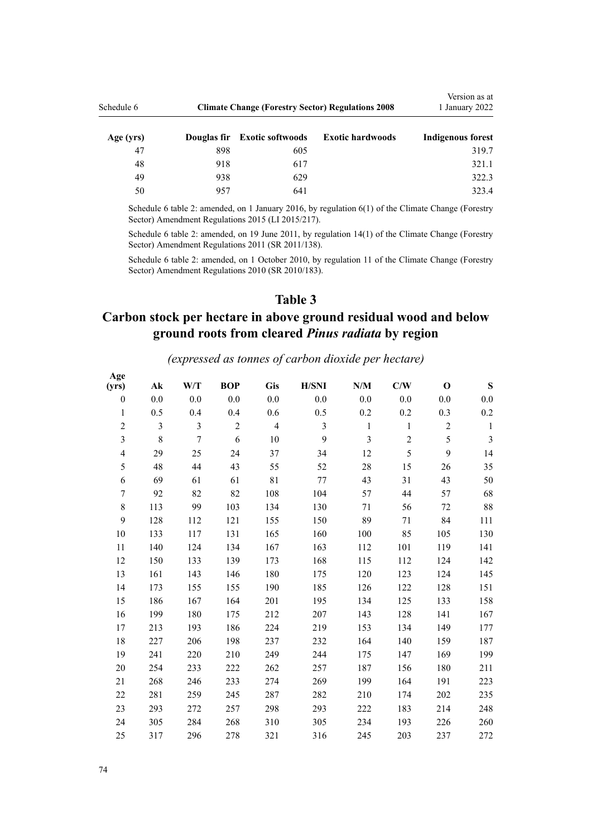| Schedule 6 | <b>Climate Change (Forestry Sector) Regulations 2008</b> | Version as at<br>1 January 2022 |                         |                          |
|------------|----------------------------------------------------------|---------------------------------|-------------------------|--------------------------|
| Age (yrs)  |                                                          | Douglas fir Exotic softwoods    | <b>Exotic hardwoods</b> | <b>Indigenous forest</b> |
| 47         | 898                                                      | 605                             |                         | 319.7                    |
| 48         | 918                                                      | 617                             |                         | 321.1                    |
| 49         | 938                                                      | 629                             |                         | 322.3                    |
| 50         | 957                                                      | 641                             |                         | 323.4                    |

Schedule 6 table 2: amended, on 1 January 2016, by [regulation 6\(1\)](http://legislation.govt.nz/pdflink.aspx?id=DLM6586521) of the Climate Change (Forestry Sector) Amendment Regulations 2015 (LI 2015/217).

Schedule 6 table 2: amended, on 19 June 2011, by [regulation 14\(1\)](http://legislation.govt.nz/pdflink.aspx?id=DLM3733360) of the Climate Change (Forestry Sector) Amendment Regulations 2011 (SR 2011/138).

Schedule 6 table 2: amended, on 1 October 2010, by [regulation 11](http://legislation.govt.nz/pdflink.aspx?id=DLM3048731) of the Climate Change (Forestry Sector) Amendment Regulations 2010 (SR 2010/183).

### **Table 3**

# **Carbon stock per hectare in above ground residual wood and below ground roots from cleared** *Pinus radiata* **by region**

## *(expressed as tonnes of carbon dioxide per hectare)*

| Age<br>(yrs)             | $\mathbf{A}\mathbf{k}$ | W/T              | <b>BOP</b>     | Gis            | <b>H/SNI</b>   | N/M            | C/W            | $\mathbf O$ | ${\bf S}$      |
|--------------------------|------------------------|------------------|----------------|----------------|----------------|----------------|----------------|-------------|----------------|
| $\theta$                 | 0.0                    | 0.0              | 0.0            | 0.0            | 0.0            | 0.0            | 0.0            | 0.0         | 0.0            |
| $\mathbf{1}$             | 0.5                    | 0.4              | 0.4            | 0.6            | 0.5            | 0.2            | 0.2            | 0.3         | 0.2            |
| $\sqrt{2}$               | 3                      | 3                | $\overline{2}$ | $\overline{4}$ | $\overline{3}$ | $\mathbf{1}$   | $\mathbf{1}$   | $\sqrt{2}$  | $\mathbf{1}$   |
| $\overline{\mathbf{3}}$  | $8\,$                  | $\boldsymbol{7}$ | 6              | 10             | 9              | $\overline{3}$ | $\overline{c}$ | 5           | $\mathfrak{Z}$ |
| $\overline{\mathcal{L}}$ | 29                     | 25               | 24             | 37             | 34             | 12             | 5              | 9           | 14             |
| 5                        | 48                     | 44               | 43             | 55             | 52             | 28             | 15             | 26          | 35             |
| 6                        | 69                     | 61               | 61             | 81             | 77             | 43             | 31             | 43          | 50             |
| $\overline{7}$           | 92                     | 82               | 82             | 108            | 104            | 57             | 44             | 57          | 68             |
| $\,$ $\,$                | 113                    | 99               | 103            | 134            | 130            | 71             | 56             | 72          | 88             |
| 9                        | 128                    | 112              | 121            | 155            | 150            | 89             | $71\,$         | 84          | 111            |
| 10                       | 133                    | 117              | 131            | 165            | 160            | 100            | 85             | 105         | 130            |
| 11                       | 140                    | 124              | 134            | 167            | 163            | 112            | 101            | 119         | 141            |
| 12                       | 150                    | 133              | 139            | 173            | 168            | 115            | 112            | 124         | 142            |
| 13                       | 161                    | 143              | 146            | 180            | 175            | 120            | 123            | 124         | 145            |
| 14                       | 173                    | 155              | 155            | 190            | 185            | 126            | 122            | 128         | 151            |
| 15                       | 186                    | 167              | 164            | 201            | 195            | 134            | 125            | 133         | 158            |
| 16                       | 199                    | 180              | 175            | 212            | 207            | 143            | 128            | 141         | 167            |
| 17                       | 213                    | 193              | 186            | 224            | 219            | 153            | 134            | 149         | 177            |
| 18                       | 227                    | 206              | 198            | 237            | 232            | 164            | 140            | 159         | 187            |
| 19                       | 241                    | 220              | 210            | 249            | 244            | 175            | 147            | 169         | 199            |
| 20                       | 254                    | 233              | 222            | 262            | 257            | 187            | 156            | 180         | 211            |
| 21                       | 268                    | 246              | 233            | 274            | 269            | 199            | 164            | 191         | 223            |
| 22                       | 281                    | 259              | 245            | 287            | 282            | 210            | 174            | 202         | 235            |
| 23                       | 293                    | 272              | 257            | 298            | 293            | 222            | 183            | 214         | 248            |
| 24                       | 305                    | 284              | 268            | 310            | 305            | 234            | 193            | 226         | 260            |
| 25                       | 317                    | 296              | 278            | 321            | 316            | 245            | 203            | 237         | 272            |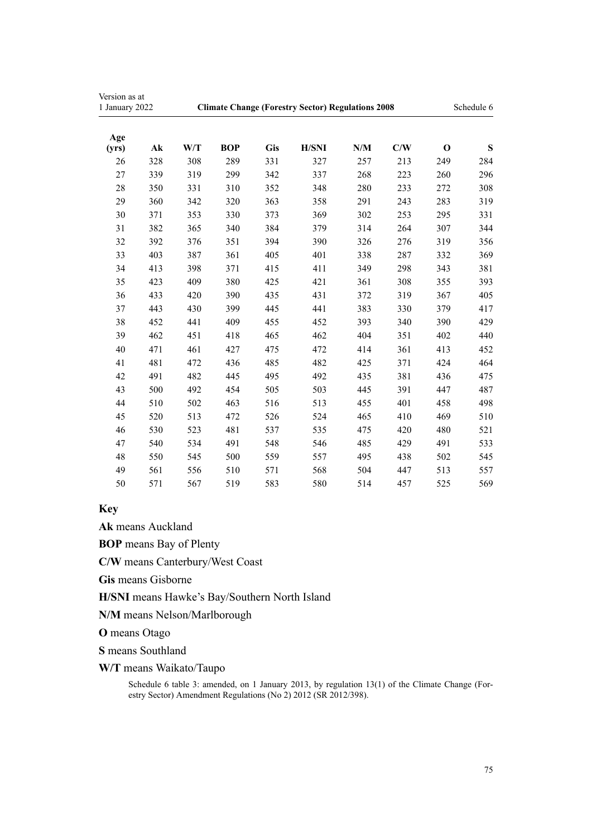| Version as at<br>1 January 2022 |               | <b>Climate Change (Forestry Sector) Regulations 2008</b> |            |            |              |     |     | Schedule 6  |     |
|---------------------------------|---------------|----------------------------------------------------------|------------|------------|--------------|-----|-----|-------------|-----|
| Age<br>(yrs)                    | $A\mathbf{k}$ | W/T                                                      | <b>BOP</b> | <b>Gis</b> | <b>H/SNI</b> | N/M | C/W | $\mathbf 0$ | S   |
| 26                              | 328           | 308                                                      | 289        | 331        | 327          | 257 | 213 | 249         | 284 |
| 27                              | 339           | 319                                                      | 299        | 342        | 337          | 268 | 223 | 260         | 296 |
| 28                              | 350           | 331                                                      | 310        | 352        | 348          | 280 | 233 | 272         | 308 |
| 29                              | 360           | 342                                                      | 320        | 363        | 358          | 291 | 243 | 283         | 319 |
| 30                              | 371           | 353                                                      | 330        | 373        | 369          | 302 | 253 | 295         | 331 |
| 31                              | 382           | 365                                                      | 340        | 384        | 379          | 314 | 264 | 307         | 344 |
| 32                              | 392           | 376                                                      | 351        | 394        | 390          | 326 | 276 | 319         | 356 |
| 33                              | 403           | 387                                                      | 361        | 405        | 401          | 338 | 287 | 332         | 369 |
| 34                              | 413           | 398                                                      | 371        | 415        | 411          | 349 | 298 | 343         | 381 |
| 35                              | 423           | 409                                                      | 380        | 425        | 421          | 361 | 308 | 355         | 393 |
| 36                              | 433           | 420                                                      | 390        | 435        | 431          | 372 | 319 | 367         | 405 |
| 37                              | 443           | 430                                                      | 399        | 445        | 441          | 383 | 330 | 379         | 417 |
| 38                              | 452           | 441                                                      | 409        | 455        | 452          | 393 | 340 | 390         | 429 |
| 39                              | 462           | 451                                                      | 418        | 465        | 462          | 404 | 351 | 402         | 440 |
| 40                              | 471           | 461                                                      | 427        | 475        | 472          | 414 | 361 | 413         | 452 |
| 41                              | 481           | 472                                                      | 436        | 485        | 482          | 425 | 371 | 424         | 464 |
| 42                              | 491           | 482                                                      | 445        | 495        | 492          | 435 | 381 | 436         | 475 |
| 43                              | 500           | 492                                                      | 454        | 505        | 503          | 445 | 391 | 447         | 487 |
| 44                              | 510           | 502                                                      | 463        | 516        | 513          | 455 | 401 | 458         | 498 |
| 45                              | 520           | 513                                                      | 472        | 526        | 524          | 465 | 410 | 469         | 510 |
| 46                              | 530           | 523                                                      | 481        | 537        | 535          | 475 | 420 | 480         | 521 |
| 47                              | 540           | 534                                                      | 491        | 548        | 546          | 485 | 429 | 491         | 533 |
| 48                              | 550           | 545                                                      | 500        | 559        | 557          | 495 | 438 | 502         | 545 |
| 49                              | 561           | 556                                                      | 510        | 571        | 568          | 504 | 447 | 513         | 557 |
| 50                              | 571           | 567                                                      | 519        | 583        | 580          | 514 | 457 | 525         | 569 |
|                                 |               |                                                          |            |            |              |     |     |             |     |

### **Key**

**Ak** means Auckland

**BOP** means Bay of Plenty

**C/W** means Canterbury/West Coast

**Gis** means Gisborne

**H/SNI** means Hawke's Bay/Southern North Island

**N/M** means Nelson/Marlborough

**O** means Otago

**S** means Southland

**W/T** means Waikato/Taupo

Schedule 6 table 3: amended, on 1 January 2013, by [regulation 13\(1\)](http://legislation.govt.nz/pdflink.aspx?id=DLM4918723) of the Climate Change (Forestry Sector) Amendment Regulations (No 2) 2012 (SR 2012/398).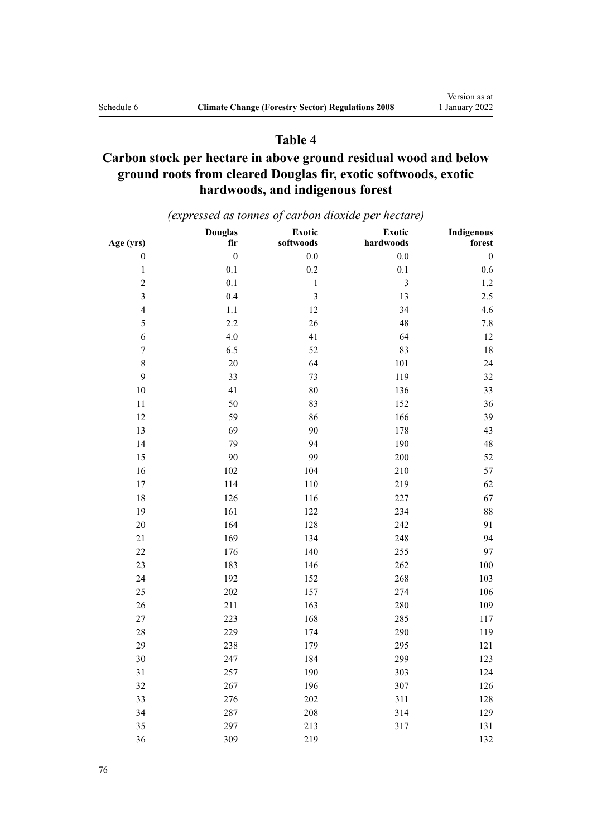### **Table 4**

## **Carbon stock per hectare in above ground residual wood and below ground roots from cleared Douglas fir, exotic softwoods, exotic hardwoods, and indigenous forest**

*(expressed as tonnes of carbon dioxide per hectare)*

| Age (yrs)               | <b>Douglas</b><br>fir | Exotic<br>softwoods     | Exotic<br>hardwoods     | <b>Indigenous</b><br>forest |
|-------------------------|-----------------------|-------------------------|-------------------------|-----------------------------|
| $\boldsymbol{0}$        | $\boldsymbol{0}$      | $0.0\,$                 | $0.0\,$                 | $\boldsymbol{0}$            |
| $\,1$                   | $0.1\,$               | 0.2                     | 0.1                     | $0.6\,$                     |
| $\sqrt{2}$              | 0.1                   | $\,1\,$                 | $\overline{\mathbf{3}}$ | $1.2\,$                     |
| $\overline{3}$          | 0.4                   | $\overline{\mathbf{3}}$ | 13                      | 2.5                         |
| $\overline{\mathbf{4}}$ | $1.1\,$               | 12                      | 34                      | 4.6                         |
| 5                       | 2.2                   | 26                      | 48                      | $7.8\,$                     |
| 6                       | $4.0\,$               | 41                      | 64                      | 12                          |
| $\boldsymbol{7}$        | 6.5                   | 52                      | 83                      | 18                          |
| $\,8\,$                 | $20\,$                | 64                      | 101                     | 24                          |
| 9                       | 33                    | 73                      | 119                     | 32                          |
| 10                      | 41                    | 80                      | 136                     | 33                          |
| 11                      | 50                    | 83                      | 152                     | 36                          |
| 12                      | 59                    | 86                      | 166                     | 39                          |
| 13                      | 69                    | 90                      | 178                     | 43                          |
| 14                      | 79                    | 94                      | 190                     | 48                          |
| 15                      | 90                    | 99                      | 200                     | 52                          |
| 16                      | 102                   | 104                     | 210                     | 57                          |
| 17                      | 114                   | 110                     | 219                     | 62                          |
| 18                      | 126                   | 116                     | 227                     | 67                          |
| 19                      | 161                   | 122                     | 234                     | 88                          |
| 20                      | 164                   | 128                     | 242                     | 91                          |
| 21                      | 169                   | 134                     | 248                     | 94                          |
| 22                      | 176                   | 140                     | 255                     | 97                          |
| 23                      | 183                   | 146                     | 262                     | 100                         |
| 24                      | 192                   | 152                     | 268                     | 103                         |
| 25                      | 202                   | 157                     | 274                     | 106                         |
| 26                      | 211                   | 163                     | 280                     | 109                         |
| 27                      | 223                   | 168                     | 285                     | 117                         |
| 28                      | 229                   | 174                     | 290                     | 119                         |
| 29                      | 238                   | 179                     | 295                     | 121                         |
| 30                      | 247                   | 184                     | 299                     | 123                         |
| 31                      | 257                   | 190                     | 303                     | 124                         |
| 32                      | 267                   | 196                     | 307                     | 126                         |
| 33                      | 276                   | $202\,$                 | 311                     | 128                         |
| 34                      | 287                   | 208                     | 314                     | 129                         |
| 35                      | 297                   | 213                     | 317                     | 131                         |
| 36                      | 309                   | 219                     |                         | 132                         |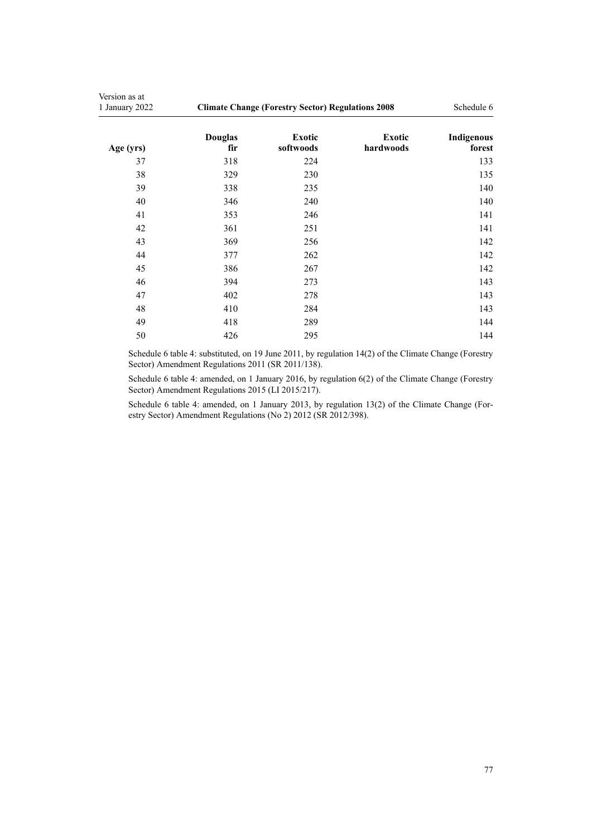| Version as at<br>1 January 2022 | <b>Climate Change (Forestry Sector) Regulations 2008</b> | Schedule 6                 |                     |                      |
|---------------------------------|----------------------------------------------------------|----------------------------|---------------------|----------------------|
| Age (yrs)                       | <b>Douglas</b><br>fir                                    | <b>Exotic</b><br>softwoods | Exotic<br>hardwoods | Indigenous<br>forest |
| 37                              | 318                                                      | 224                        |                     | 133                  |
| 38                              | 329                                                      | 230                        |                     | 135                  |
| 39                              | 338                                                      | 235                        |                     | 140                  |
| 40                              | 346                                                      | 240                        |                     | 140                  |
| 41                              | 353                                                      | 246                        |                     | 141                  |
| 42                              | 361                                                      | 251                        |                     | 141                  |
| 43                              | 369                                                      | 256                        |                     | 142                  |
| 44                              | 377                                                      | 262                        |                     | 142                  |
| 45                              | 386                                                      | 267                        |                     | 142                  |
| 46                              | 394                                                      | 273                        |                     | 143                  |
| 47                              | 402                                                      | 278                        |                     | 143                  |
| 48                              | 410                                                      | 284                        |                     | 143                  |
| 49                              | 418                                                      | 289                        |                     | 144                  |
| 50                              | 426                                                      | 295                        |                     | 144                  |

Schedule 6 table 4: substituted, on 19 June 2011, by [regulation 14\(2\)](http://legislation.govt.nz/pdflink.aspx?id=DLM3733360) of the Climate Change (Forestry Sector) Amendment Regulations 2011 (SR 2011/138).

Schedule 6 table 4: amended, on 1 January 2016, by [regulation 6\(2\)](http://legislation.govt.nz/pdflink.aspx?id=DLM6586521) of the Climate Change (Forestry Sector) Amendment Regulations 2015 (LI 2015/217).

Schedule 6 table 4: amended, on 1 January 2013, by [regulation 13\(2\)](http://legislation.govt.nz/pdflink.aspx?id=DLM4918723) of the Climate Change (Forestry Sector) Amendment Regulations (No 2) 2012 (SR 2012/398).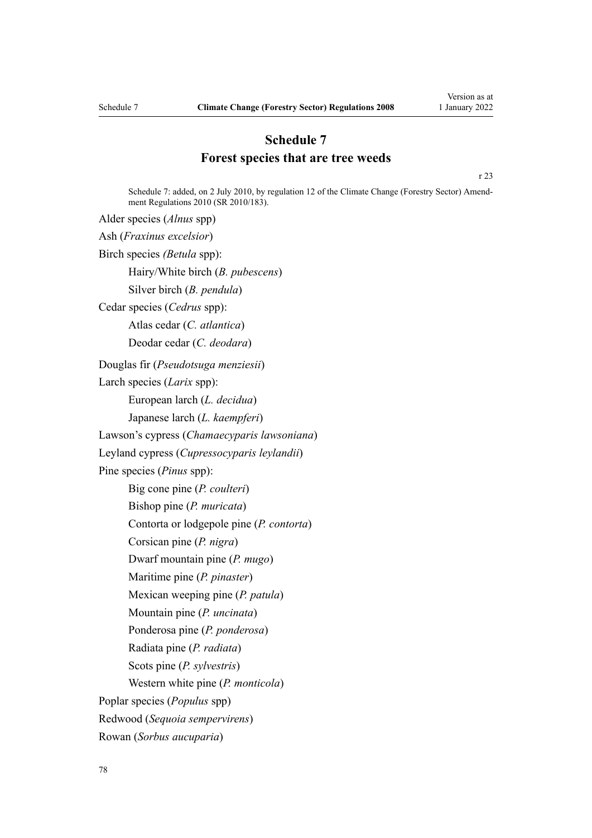## **Schedule 7 Forest species that are tree weeds**

[r 23](#page-50-0)

Schedule 7: added, on 2 July 2010, by [regulation 12](http://legislation.govt.nz/pdflink.aspx?id=DLM3048705) of the Climate Change (Forestry Sector) Amendment Regulations 2010 (SR 2010/183).

Alder species (*Alnus* spp) Ash (*Fraxinus excelsior*) Birch species *(Betula* spp): Hairy/White birch (*B. pubescens*) Silver birch (*B. pendula*) Cedar species (*Cedrus* spp): Atlas cedar (*C. atlantica*) Deodar cedar (*C. deodara*) Douglas fir (*Pseudotsuga menziesii*) Larch species (*Larix* spp): European larch (*L. decidua*) Japanese larch (*L. kaempferi*) Lawson's cypress (*Chamaecyparis lawsoniana*) Leyland cypress (*Cupressocyparis leylandii*) Pine species (*Pinus* spp): Big cone pine (*P. coulteri*) Bishop pine (*P. muricata*) Contorta or lodgepole pine (*P. contorta*) Corsican pine (*P. nigra*) Dwarf mountain pine (*P. mugo*) Maritime pine (*P. pinaster*) Mexican weeping pine (*P. patula*) Mountain pine (*P. uncinata*) Ponderosa pine (*P. ponderosa*) Radiata pine (*P. radiata*) Scots pine (*P. sylvestris*) Western white pine (*P. monticola*) Poplar species (*Populus* spp) Redwood (*Sequoia sempervirens*) Rowan (*Sorbus aucuparia*)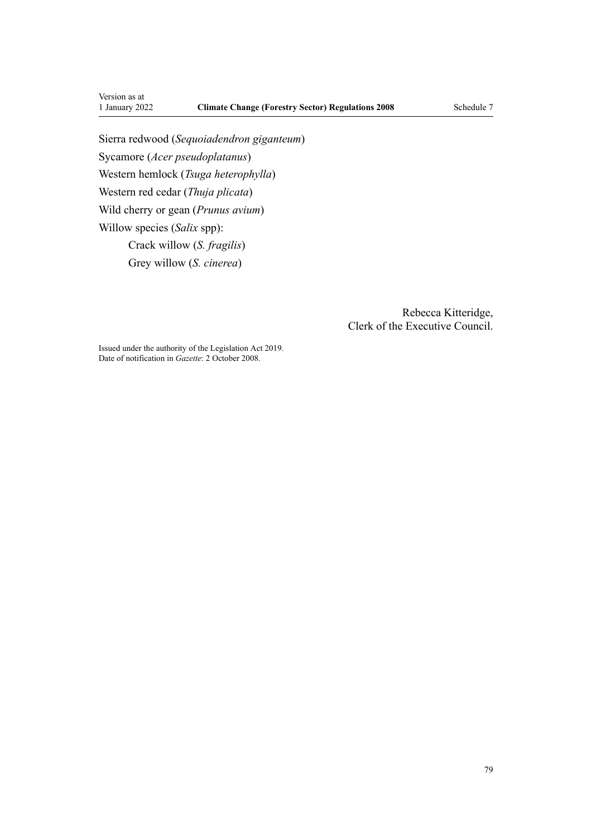Version as at<br>1 January 2022

Sierra redwood (*Sequoiadendron giganteum*) Sycamore (*Acer pseudoplatanus*) Western hemlock (*Tsuga heterophylla*) Western red cedar (*Thuja plicata*) Wild cherry or gean (*Prunus avium*) Willow species (*Salix* spp): Crack willow (*S. fragilis*) Grey willow (*S. cinerea*)

> Rebecca Kitteridge, Clerk of the Executive Council.

Issued under the authority of the [Legislation Act 2019](http://legislation.govt.nz/pdflink.aspx?id=DLM7298104). Date of notification in *Gazette*: 2 October 2008.